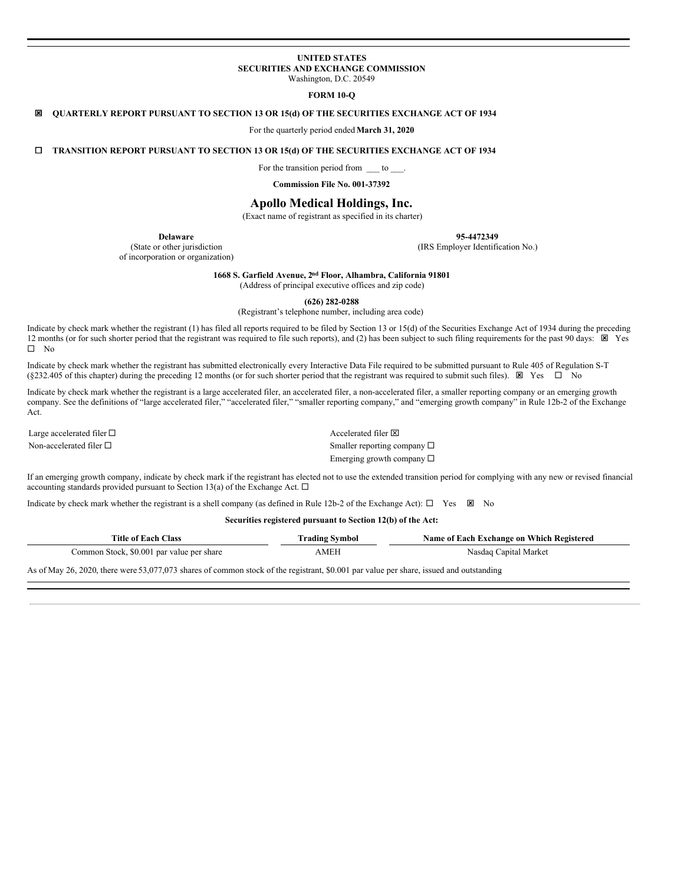### **UNITED STATES SECURITIES AND EXCHANGE COMMISSION**

Washington, D.C. 20549

### **FORM 10-Q**

#### ý **QUARTERLY REPORT PURSUANT TO SECTION 13 OR 15(d) OF THE SECURITIES EXCHANGE ACT OF 1934**

For the quarterly period ended**March 31, 2020**

¨ **TRANSITION REPORT PURSUANT TO SECTION 13 OR 15(d) OF THE SECURITIES EXCHANGE ACT OF 1934**

For the transition period from to  $\qquad$ .

**Commission File No. 001-37392**

### **Apollo Medical Holdings, Inc.**

(Exact name of registrant as specified in its charter)

**Delaware**

(State or other jurisdiction of incorporation or organization) **95-4472349**

(IRS Employer Identification No.)

**1668 S. Garfield Avenue, 2nd Floor, Alhambra, California 91801**

(Address of principal executive offices and zip code)

**(626) 282-0288**

(Registrant's telephone number, including area code)

Indicate by check mark whether the registrant (1) has filed all reports required to be filed by Section 13 or 15(d) of the Securities Exchange Act of 1934 during the preceding 12 months (or for such shorter period that the registrant was required to file such reports), and (2) has been subject to such filing requirements for the past 90 days:  $\boxtimes$  Yes  $\square$  No

Indicate by check mark whether the registrant has submitted electronically every Interactive Data File required to be submitted pursuant to Rule 405 of Regulation S-T (§232.405 of this chapter) during the preceding 12 months (or for such shorter period that the registrant was required to submit such files).  $\boxtimes$  Yes  $\Box$  No

Indicate by check mark whether the registrant is a large accelerated filer, an accelerated filer, a non-accelerated filer, a smaller reporting company or an emerging growth company. See the definitions of "large accelerated filer," "accelerated filer," "smaller reporting company," and "emerging growth company" in Rule 12b-2 of the Exchange Act.

Large accelerated filer  $\square$ 

Non-accelerated filer  $\square$  Smaller reporting company  $\square$ Emerging growth company  $\square$ 

If an emerging growth company, indicate by check mark if the registrant has elected not to use the extended transition period for complying with any new or revised financial accounting standards provided pursuant to Section 13(a) of the Exchange Act.  $\Box$ 

Indicate by check mark whether the registrant is a shell company (as defined in Rule 12b-2 of the Exchange Act):  $\Box$  Yes  $\boxtimes$  No

#### **Securities registered pursuant to Section 12(b) of the Act:**

| <b>Title of Each Class</b>                | Svmbol<br>rading ' | Name of Each Exchange on Which Registered |  |  |  |  |  |  |
|-------------------------------------------|--------------------|-------------------------------------------|--|--|--|--|--|--|
| Common Stock, \$0.001 par value per share | AMEI               | Nasdaq Capital Market                     |  |  |  |  |  |  |

As of May 26, 2020, there were 53,077,073 shares of common stock of the registrant, \$0.001 par value per share, issued and outstanding**.**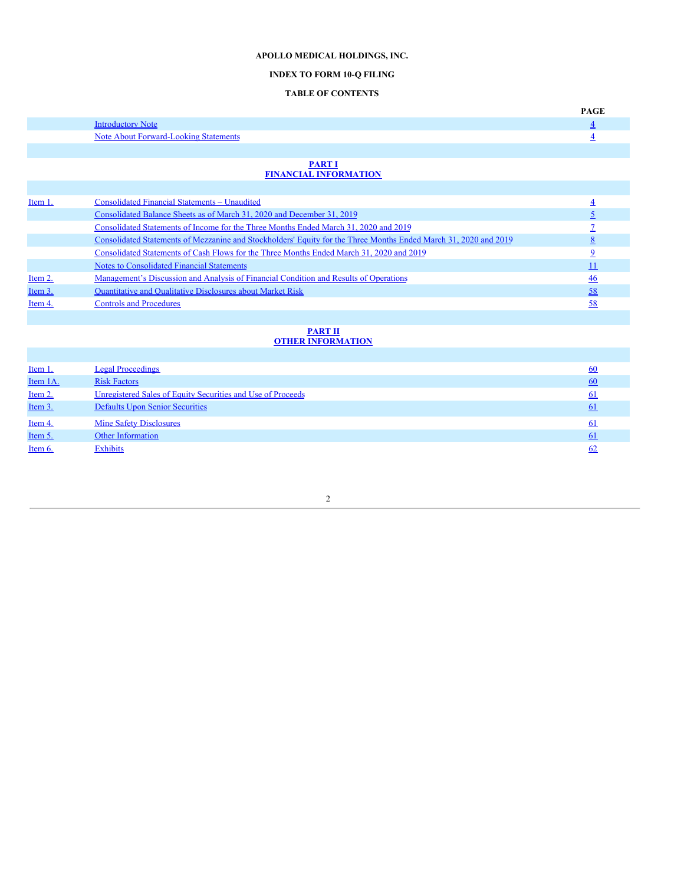### **APOLLO MEDICAL HOLDINGS, INC.**

### **INDEX TO FORM 10-Q FILING**

### **TABLE OF CONTENTS**

<span id="page-1-0"></span>

|                                       | PAGE |
|---------------------------------------|------|
| <b>Introductory Note</b>              |      |
| Note About Forward-Looking Statements |      |
|                                       |      |

#### **[PART](#page-3-1) I FINANCIAL [INFORMATION](#page-3-1)**

| Item 1. | <b>Consolidated Financial Statements - Unaudited</b>                                                             |            |
|---------|------------------------------------------------------------------------------------------------------------------|------------|
|         | Consolidated Balance Sheets as of March 31, 2020 and December 31, 2019                                           |            |
|         | Consolidated Statements of Income for the Three Months Ended March 31, 2020 and 2019                             |            |
|         | Consolidated Statements of Mezzanine and Stockholders' Equity for the Three Months Ended March 31, 2020 and 2019 |            |
|         | Consolidated Statements of Cash Flows for the Three Months Ended March 31, 2020 and 2019                         |            |
|         | <b>Notes to Consolidated Financial Statements</b>                                                                | <u> 11</u> |
| Item 2. | Management's Discussion and Analysis of Financial Condition and Results of Operations                            | 46         |
| Item 3. | <b>Quantitative and Qualitative Disclosures about Market Risk</b>                                                | <u>58</u>  |
| Item 4. | <b>Controls and Procedures</b>                                                                                   | <u>58</u>  |
|         |                                                                                                                  |            |

#### **[PART](#page-59-0) II OTHER [INFORMATION](#page-59-0)**

| Item 1.  | <b>Legal Proceedings</b>                                    | 60        |
|----------|-------------------------------------------------------------|-----------|
| Item 1A. | <b>Risk Factors</b>                                         | 60        |
| Item 2.  | Unregistered Sales of Equity Securities and Use of Proceeds | <u>61</u> |
| Item 3.  | <b>Defaults Upon Senior Securities</b>                      | <u>61</u> |
| Item 4.  | <b>Mine Safety Disclosures</b>                              | <u>61</u> |
| Item 5.  | <b>Other Information</b>                                    | <u>61</u> |
| Item 6.  | <b>Exhibits</b>                                             | 62        |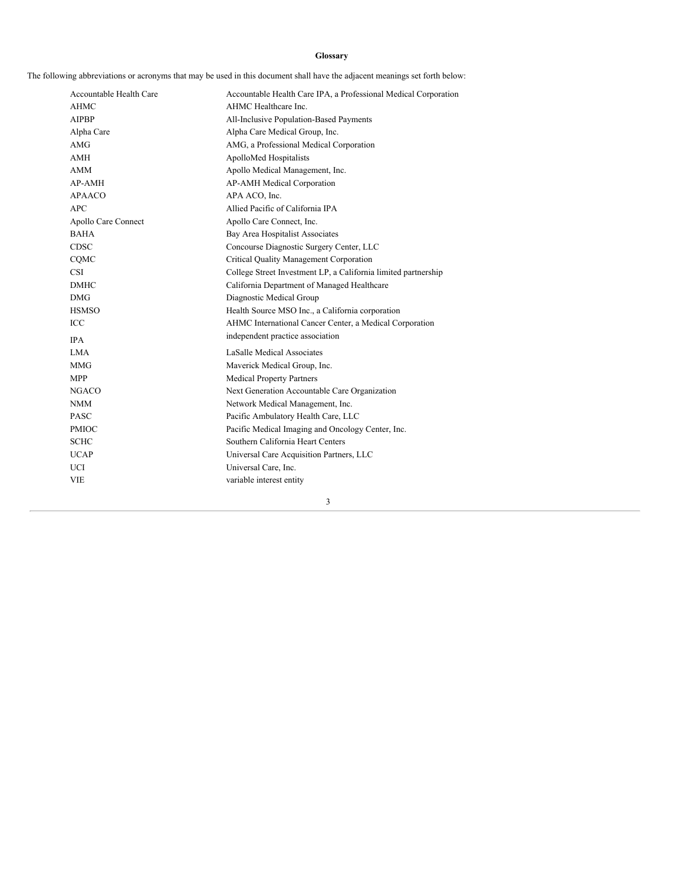### **Glossary**

The following abbreviations or acronyms that may be used in this document shall have the adjacent meanings set forth below:

| AHMC Healthcare Inc.                                           |
|----------------------------------------------------------------|
|                                                                |
| All-Inclusive Population-Based Payments                        |
| Alpha Care Medical Group, Inc.                                 |
| AMG, a Professional Medical Corporation                        |
| ApolloMed Hospitalists                                         |
| Apollo Medical Management, Inc.                                |
| <b>AP-AMH Medical Corporation</b>                              |
| APA ACO, Inc.                                                  |
| Allied Pacific of California IPA                               |
| Apollo Care Connect, Inc.                                      |
| Bay Area Hospitalist Associates                                |
| Concourse Diagnostic Surgery Center, LLC                       |
| Critical Quality Management Corporation                        |
| College Street Investment LP, a California limited partnership |
| California Department of Managed Healthcare                    |
| Diagnostic Medical Group                                       |
| Health Source MSO Inc., a California corporation               |
| AHMC International Cancer Center, a Medical Corporation        |
| independent practice association                               |
| LaSalle Medical Associates                                     |
| Maverick Medical Group, Inc.                                   |
| <b>Medical Property Partners</b>                               |
| Next Generation Accountable Care Organization                  |
| Network Medical Management, Inc.                               |
| Pacific Ambulatory Health Care, LLC                            |
| Pacific Medical Imaging and Oncology Center, Inc.              |
| Southern California Heart Centers                              |
| Universal Care Acquisition Partners, LLC                       |
| Universal Care, Inc.                                           |
| variable interest entity                                       |
|                                                                |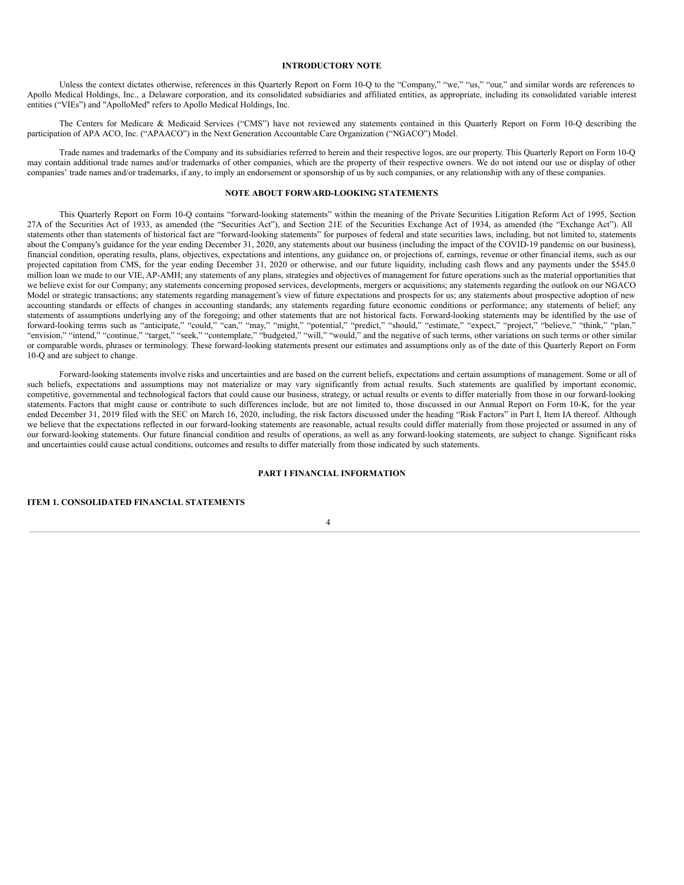#### **INTRODUCTORY NOTE**

<span id="page-3-0"></span>Unless the context dictates otherwise, references in this Quarterly Report on Form 10-Q to the "Company," "we," "us," "our," and similar words are references to Apollo Medical Holdings, Inc., a Delaware corporation, and its consolidated subsidiaries and affiliated entities, as appropriate, including its consolidated variable interest entities ("VIEs") and "ApolloMed" refers to Apollo Medical Holdings, Inc.

The Centers for Medicare & Medicaid Services ("CMS") have not reviewed any statements contained in this Quarterly Report on Form 10-Q describing the participation of APA ACO, Inc. ("APAACO") in the Next Generation Accountable Care Organization ("NGACO") Model.

Trade names and trademarks of the Company and its subsidiaries referred to herein and their respective logos, are our property. This Quarterly Report on Form 10-Q may contain additional trade names and/or trademarks of other companies, which are the property of their respective owners. We do not intend our use or display of other companies' trade names and/or trademarks, if any, to imply an endorsement or sponsorship of us by such companies, or any relationship with any of these companies.

#### **NOTE ABOUT FORWARD-LOOKING STATEMENTS**

This Quarterly Report on Form 10-Q contains "forward-looking statements" within the meaning of the Private Securities Litigation Reform Act of 1995, Section 27A of the Securities Act of 1933, as amended (the "Securities Act"), and Section 21E of the Securities Exchange Act of 1934, as amended (the "Exchange Act"). All statements other than statements of historical fact are "forward-looking statements" for purposes of federal and state securities laws, including, but not limited to, statements about the Company's guidance for the year ending December 31, 2020, any statements about our business (including the impact of the COVID-19 pandemic on our business), financial condition, operating results, plans, objectives, expectations and intentions, any guidance on, or projections of, earnings, revenue or other financial items, such as our projected capitation from CMS, for the year ending December 31, 2020 or otherwise, and our future liquidity, including cash flows and any payments under the \$545.0 million loan we made to our VIE, AP-AMH; any statements of any plans, strategies and objectives of management for future operations such as the material opportunities that we believe exist for our Company; any statements concerning proposed services, developments, mergers or acquisitions; any statements regarding the outlook on our NGACO Model or strategic transactions; any statements regarding management's view of future expectations and prospects for us; any statements about prospective adoption of new accounting standards or effects of changes in accounting standards; any statements regarding future economic conditions or performance; any statements of belief; any statements of assumptions underlying any of the foregoing; and other statements that are not historical facts. Forward-looking statements may be identified by the use of forward-looking terms such as "anticipate," "could," "can," "may," "might," "potential," "predict," "should," "estimate," "expect," "project," "believe," "think," "plan," "envision," "intend," "continue," "target," "seek," "contemplate," "budgeted," "will," "would," and the negative of such terms, other variations on such terms or other similar or comparable words, phrases or terminology. These forward-looking statements present our estimates and assumptions only as of the date of this Quarterly Report on Form 10-Q and are subject to change.

Forward-looking statements involve risks and uncertainties and are based on the current beliefs, expectations and certain assumptions of management. Some or all of such beliefs, expectations and assumptions may not materialize or may vary significantly from actual results. Such statements are qualified by important economic, competitive, governmental and technological factors that could cause our business, strategy, or actual results or events to differ materially from those in our forward-looking statements. Factors that might cause or contribute to such differences include, but are not limited to, those discussed in our Annual Report on Form 10-K, for the year ended December 31, 2019 filed with the SEC on March 16, 2020, including, the risk factors discussed under the heading "Risk Factors" in Part I, Item IA thereof. Although we believe that the expectations reflected in our forward-looking statements are reasonable, actual results could differ materially from those projected or assumed in any of our forward-looking statements. Our future financial condition and results of operations, as well as any forward-looking statements, are subject to change. Significant risks and uncertainties could cause actual conditions, outcomes and results to differ materially from those indicated by such statements.

#### **PART I FINANCIAL INFORMATION**

<span id="page-3-2"></span><span id="page-3-1"></span>**ITEM 1. CONSOLIDATED FINANCIAL STATEMENTS**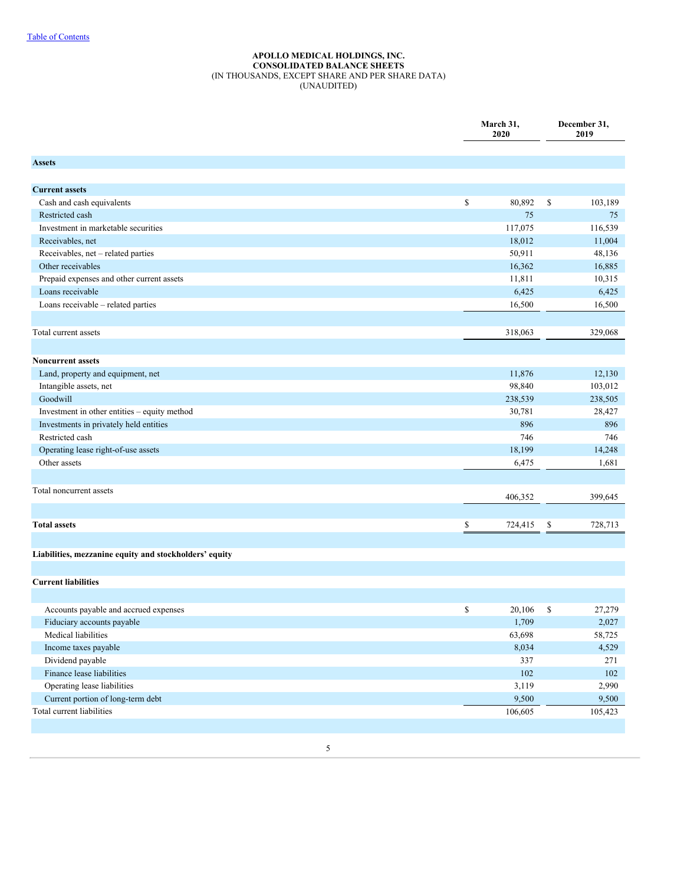#### **APOLLO MEDICAL HOLDINGS, INC. CONSOLIDATED BALANCE SHEETS** (IN THOUSANDS, EXCEPT SHARE AND PER SHARE DATA) (UNAUDITED)

<span id="page-4-0"></span>

|                                                          |    | March 31,<br>2020 | December 31,<br>2019 |              |  |
|----------------------------------------------------------|----|-------------------|----------------------|--------------|--|
| <b>Assets</b>                                            |    |                   |                      |              |  |
| <b>Current assets</b>                                    |    |                   |                      |              |  |
| Cash and cash equivalents                                | \$ | 80,892            | \$                   | 103,189      |  |
| Restricted cash                                          |    | 75                |                      | 75           |  |
| Investment in marketable securities                      |    | 117,075           |                      | 116,539      |  |
| Receivables, net                                         |    | 18,012            |                      | 11,004       |  |
| Receivables, net - related parties                       |    | 50,911            |                      | 48,136       |  |
| Other receivables                                        |    | 16,362            |                      | 16,885       |  |
| Prepaid expenses and other current assets                |    | 11,811            |                      | 10,315       |  |
| Loans receivable                                         |    | 6,425             |                      | 6,425        |  |
| Loans receivable - related parties                       |    | 16,500            |                      | 16,500       |  |
| Total current assets                                     |    | 318,063           |                      | 329,068      |  |
|                                                          |    |                   |                      |              |  |
| <b>Noncurrent assets</b>                                 |    |                   |                      |              |  |
| Land, property and equipment, net                        |    | 11,876            |                      | 12,130       |  |
| Intangible assets, net                                   |    | 98,840            |                      | 103,012      |  |
| Goodwill                                                 |    | 238,539           |                      | 238,505      |  |
| Investment in other entities - equity method             |    | 30,781            |                      | 28,427       |  |
| Investments in privately held entities                   |    | 896               |                      | 896          |  |
| Restricted cash                                          |    | 746               |                      | 746          |  |
| Operating lease right-of-use assets                      |    | 18,199            |                      | 14,248       |  |
| Other assets                                             |    | 6,475             |                      | 1,681        |  |
| Total noncurrent assets                                  |    | 406,352           |                      | 399,645      |  |
|                                                          |    |                   |                      |              |  |
| <b>Total assets</b>                                      | \$ | 724,415           | \$                   | 728,713      |  |
| Liabilities, mezzanine equity and stockholders' equity   |    |                   |                      |              |  |
|                                                          |    |                   |                      |              |  |
| <b>Current liabilities</b>                               |    |                   |                      |              |  |
|                                                          |    |                   |                      |              |  |
| Accounts payable and accrued expenses                    | \$ | 20,106            | \$                   | 27,279       |  |
| Fiduciary accounts payable                               |    | 1,709             |                      | 2,027        |  |
| Medical liabilities                                      |    | 63,698            |                      | 58,725       |  |
| Income taxes payable                                     |    | 8,034             |                      | 4,529        |  |
| Dividend payable                                         |    | 337               |                      | 271          |  |
| Finance lease liabilities<br>Operating lease liabilities |    | 102               |                      | 102<br>2,990 |  |
| Current portion of long-term debt                        |    | 3,119<br>9,500    |                      | 9,500        |  |
| Total current liabilities                                |    | 106,605           |                      |              |  |
|                                                          |    |                   |                      | 105,423      |  |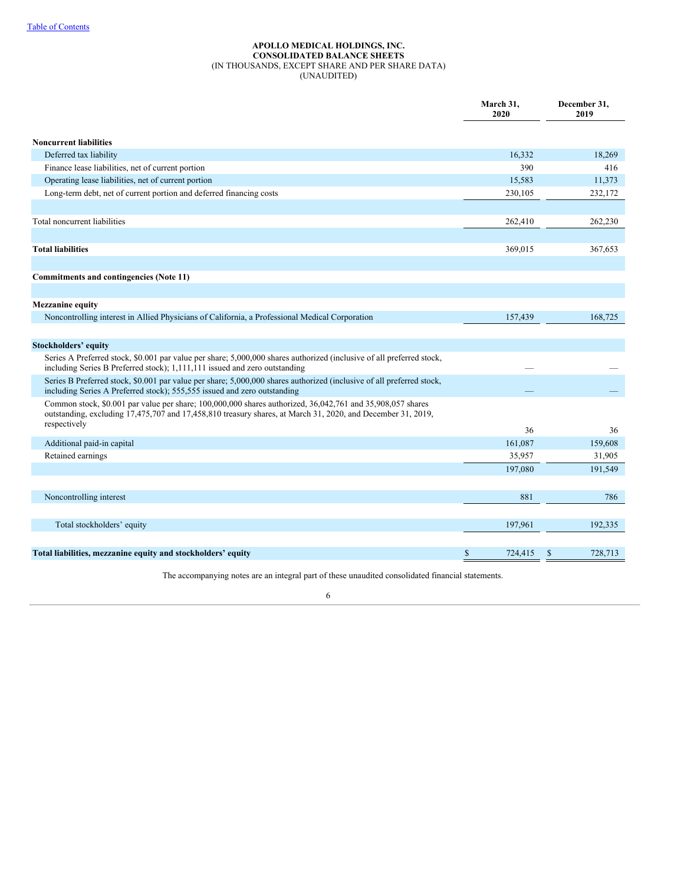#### **APOLLO MEDICAL HOLDINGS, INC. CONSOLIDATED BALANCE SHEETS** (IN THOUSANDS, EXCEPT SHARE AND PER SHARE DATA) (UNAUDITED)

|                                                                                                                                                                                                                           | March 31,<br>2020 | December 31,<br>2019 |
|---------------------------------------------------------------------------------------------------------------------------------------------------------------------------------------------------------------------------|-------------------|----------------------|
| <b>Noncurrent liabilities</b>                                                                                                                                                                                             |                   |                      |
| Deferred tax liability                                                                                                                                                                                                    | 16,332            | 18,269               |
| Finance lease liabilities, net of current portion                                                                                                                                                                         | 390               | 416                  |
| Operating lease liabilities, net of current portion                                                                                                                                                                       | 15,583            | 11,373               |
| Long-term debt, net of current portion and deferred financing costs                                                                                                                                                       | 230,105           | 232,172              |
|                                                                                                                                                                                                                           |                   |                      |
| Total noncurrent liabilities                                                                                                                                                                                              | 262,410           | 262,230              |
|                                                                                                                                                                                                                           |                   |                      |
| <b>Total liabilities</b>                                                                                                                                                                                                  | 369,015           | 367,653              |
|                                                                                                                                                                                                                           |                   |                      |
| <b>Commitments and contingencies (Note 11)</b>                                                                                                                                                                            |                   |                      |
|                                                                                                                                                                                                                           |                   |                      |
| <b>Mezzanine equity</b>                                                                                                                                                                                                   |                   |                      |
| Noncontrolling interest in Allied Physicians of California, a Professional Medical Corporation                                                                                                                            | 157,439           | 168,725              |
|                                                                                                                                                                                                                           |                   |                      |
| <b>Stockholders' equity</b>                                                                                                                                                                                               |                   |                      |
| Series A Preferred stock, \$0.001 par value per share; 5,000,000 shares authorized (inclusive of all preferred stock,<br>including Series B Preferred stock); 1,111,111 issued and zero outstanding                       |                   |                      |
| Series B Preferred stock, \$0.001 par value per share; 5,000,000 shares authorized (inclusive of all preferred stock,<br>including Series A Preferred stock); 555,555 issued and zero outstanding                         |                   |                      |
| Common stock, \$0.001 par value per share; 100,000,000 shares authorized, 36,042,761 and 35,908,057 shares<br>outstanding, excluding 17,475,707 and 17,458,810 treasury shares, at March 31, 2020, and December 31, 2019, |                   |                      |
| respectively                                                                                                                                                                                                              | 36                | 36                   |
| Additional paid-in capital                                                                                                                                                                                                | 161,087           | 159,608              |
| Retained earnings                                                                                                                                                                                                         | 35,957            | 31,905               |
|                                                                                                                                                                                                                           | 197,080           | 191,549              |
|                                                                                                                                                                                                                           |                   |                      |
| Noncontrolling interest                                                                                                                                                                                                   | 881               | 786                  |
|                                                                                                                                                                                                                           |                   |                      |
| Total stockholders' equity                                                                                                                                                                                                | 197,961           | 192,335              |
|                                                                                                                                                                                                                           |                   |                      |
| Total liabilities, mezzanine equity and stockholders' equity                                                                                                                                                              | \$<br>724,415     | \$<br>728,713        |
|                                                                                                                                                                                                                           |                   |                      |

The accompanying notes are an integral part of these unaudited consolidated financial statements.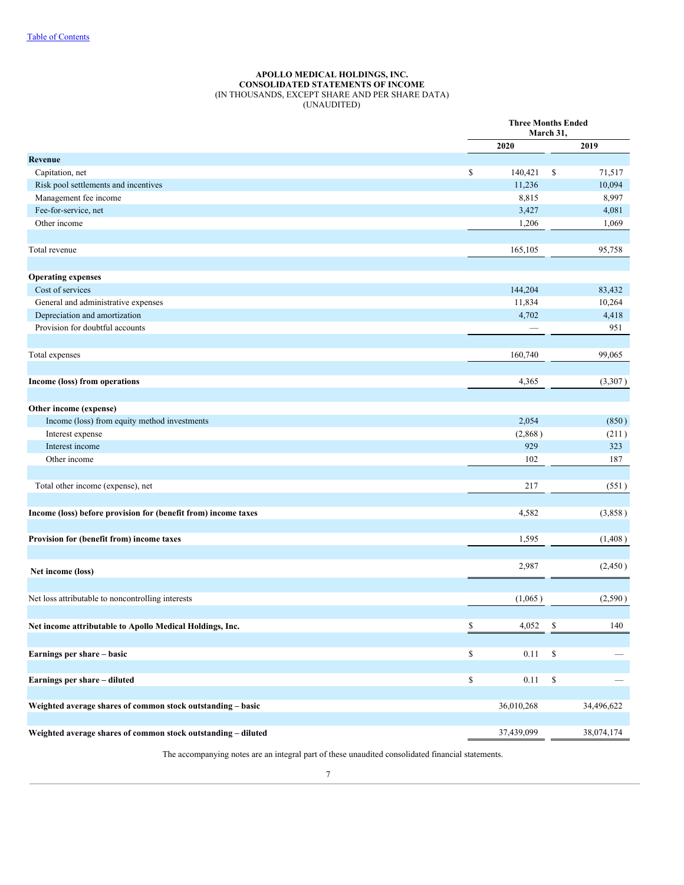#### **APOLLO MEDICAL HOLDINGS, INC. CONSOLIDATED STATEMENTS OF INCOME** (IN THOUSANDS, EXCEPT SHARE AND PER SHARE DATA) (UNAUDITED)

<span id="page-6-0"></span>

|                                                                |               | <b>Three Months Ended</b><br>March 31, |            |  |  |
|----------------------------------------------------------------|---------------|----------------------------------------|------------|--|--|
|                                                                | 2020          |                                        | 2019       |  |  |
| Revenue                                                        |               |                                        |            |  |  |
| Capitation, net                                                | \$<br>140,421 | \$                                     | 71,517     |  |  |
| Risk pool settlements and incentives                           | 11,236        |                                        | 10,094     |  |  |
| Management fee income                                          | 8,815         |                                        | 8,997      |  |  |
| Fee-for-service, net                                           | 3,427         |                                        | 4,081      |  |  |
| Other income                                                   | 1,206         |                                        | 1,069      |  |  |
| Total revenue                                                  | 165,105       |                                        | 95,758     |  |  |
| <b>Operating expenses</b>                                      |               |                                        |            |  |  |
| Cost of services                                               | 144,204       |                                        | 83,432     |  |  |
| General and administrative expenses                            | 11,834        |                                        | 10,264     |  |  |
| Depreciation and amortization                                  | 4,702         |                                        | 4,418      |  |  |
| Provision for doubtful accounts                                |               |                                        | 951        |  |  |
| Total expenses                                                 | 160,740       |                                        | 99,065     |  |  |
| Income (loss) from operations                                  | 4,365         |                                        | (3,307)    |  |  |
| Other income (expense)                                         |               |                                        |            |  |  |
| Income (loss) from equity method investments                   | 2,054         |                                        | (850)      |  |  |
| Interest expense                                               | (2,868)       |                                        | (211)      |  |  |
| Interest income                                                | 929           |                                        | 323        |  |  |
| Other income                                                   | 102           |                                        | 187        |  |  |
| Total other income (expense), net                              | 217           |                                        | (551)      |  |  |
| Income (loss) before provision for (benefit from) income taxes | 4,582         |                                        | (3,858)    |  |  |
| Provision for (benefit from) income taxes                      | 1,595         |                                        | (1, 408)   |  |  |
| Net income (loss)                                              | 2,987         |                                        | (2,450)    |  |  |
| Net loss attributable to noncontrolling interests              | (1,065)       |                                        | (2,590)    |  |  |
| Net income attributable to Apollo Medical Holdings, Inc.       | \$<br>4,052   | \$                                     | 140        |  |  |
|                                                                |               |                                        |            |  |  |
| Earnings per share - basic                                     | \$<br>0.11    | ${\mathbb S}$                          |            |  |  |
| Earnings per share - diluted                                   | \$<br>0.11    | $\mathbb{S}$                           |            |  |  |
| Weighted average shares of common stock outstanding - basic    | 36,010,268    |                                        | 34,496,622 |  |  |
| Weighted average shares of common stock outstanding - diluted  | 37,439,099    |                                        | 38,074,174 |  |  |

The accompanying notes are an integral part of these unaudited consolidated financial statements.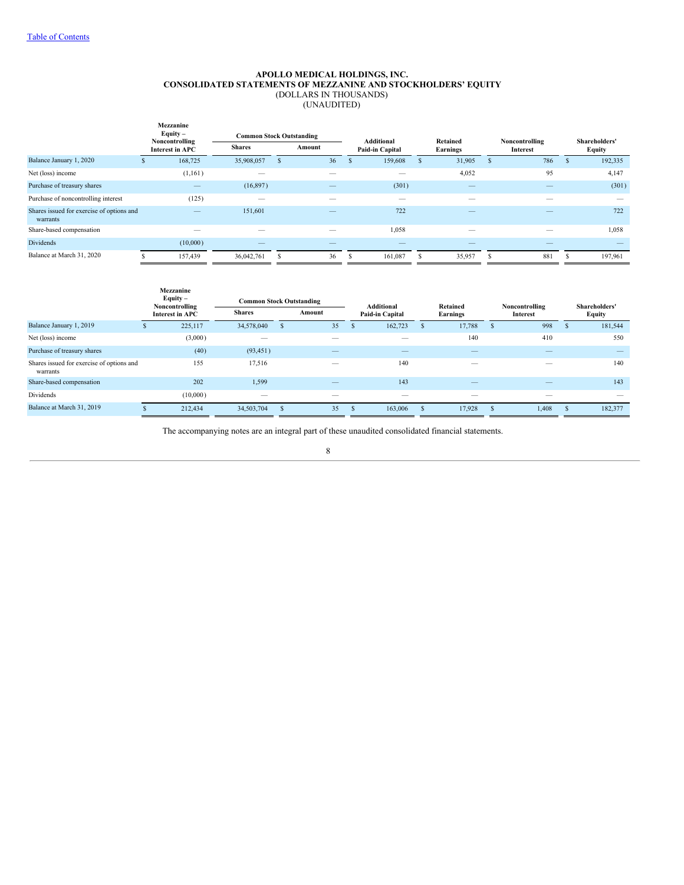#### **APOLLO MEDICAL HOLDINGS, INC. CONSOLIDATED STATEMENTS OF MEZZANINE AND STOCKHOLDERS' EQUITY** (DOLLARS IN THOUSANDS) (UNAUDITED)

<span id="page-7-0"></span>

|                                                       | Mezzanine<br>$Equity -$<br>Noncontrolling<br><b>Interest in APC</b> |                          |                          | <b>Common Stock Outstanding</b><br><b>Shares</b><br>Amount |                          | Additional |                          | Retained |                          | Noncontrolling |          |  | Shareholders' |
|-------------------------------------------------------|---------------------------------------------------------------------|--------------------------|--------------------------|------------------------------------------------------------|--------------------------|------------|--------------------------|----------|--------------------------|----------------|----------|--|---------------|
|                                                       |                                                                     |                          |                          |                                                            |                          |            | Paid-in Capital          |          | Earnings                 |                | Interest |  | <b>Equity</b> |
| Balance January 1, 2020                               |                                                                     | 168,725                  | 35,908,057               |                                                            | 36                       |            | 159,608                  |          | 31,905                   |                | 786      |  | 192,335       |
| Net (loss) income                                     |                                                                     | (1,161)                  |                          |                                                            | __                       |            |                          |          | 4,052                    |                | 95       |  | 4,147         |
| Purchase of treasury shares                           |                                                                     | $\overline{\phantom{a}}$ | (16, 897)                |                                                            |                          |            | (301)                    |          |                          |                |          |  | (301)         |
| Purchase of noncontrolling interest                   |                                                                     | (125)                    | $\overline{\phantom{a}}$ |                                                            |                          |            | $\overline{\phantom{a}}$ |          | $\overline{\phantom{a}}$ |                |          |  |               |
| Shares issued for exercise of options and<br>warrants |                                                                     |                          | 151,601                  |                                                            |                          |            | 722                      |          |                          |                |          |  | 722           |
| Share-based compensation                              |                                                                     | $\overline{\phantom{a}}$ | $\overline{\phantom{a}}$ |                                                            | $\overline{\phantom{a}}$ |            | 1,058                    |          | $\overline{\phantom{a}}$ |                |          |  | 1,058         |
| <b>Dividends</b>                                      |                                                                     | (10,000)                 | $\overline{\phantom{a}}$ |                                                            | $\overline{\phantom{a}}$ |            | –                        |          | $\overline{\phantom{a}}$ |                |          |  |               |
| Balance at March 31, 2020                             |                                                                     | 157,439                  | 36,042,761               |                                                            | 36                       |            | 161,087                  |          | 35,957                   | S              | 881      |  | 197,961       |

|                                                       | Mezzanine<br>$Equity -$<br>Noncontrolling | <b>Common Stock Outstanding</b> |                          | <b>Additional</b> | Retained | Noncontrolling  | Shareholders' |
|-------------------------------------------------------|-------------------------------------------|---------------------------------|--------------------------|-------------------|----------|-----------------|---------------|
|                                                       | <b>Interest in APC</b>                    | <b>Shares</b>                   | Amount                   | Paid-in Capital   | Earnings | <b>Interest</b> | <b>Equity</b> |
| Balance January 1, 2019                               | 225,117                                   | 34,578,040                      | 35                       | 162,723           | 17,788   | 998             | 181,544       |
| Net (loss) income                                     | (3,000)                                   |                                 |                          |                   | 140      | 410             | 550           |
| Purchase of treasury shares                           | (40)                                      | (93, 451)                       |                          |                   |          |                 |               |
| Shares issued for exercise of options and<br>warrants | 155                                       | 17,516                          |                          | 140               |          |                 | 140           |
| Share-based compensation                              | 202                                       | 1,599                           | $\overline{\phantom{a}}$ | 143               |          |                 | 143           |
| Dividends                                             | (10,000)                                  | $\overline{\phantom{a}}$        |                          |                   |          |                 |               |
| Balance at March 31, 2019                             | 212,434                                   | 34,503,704                      | 35                       | 163,006           | 17.928   | 1,408           | 182,377       |

The accompanying notes are an integral part of these unaudited consolidated financial statements.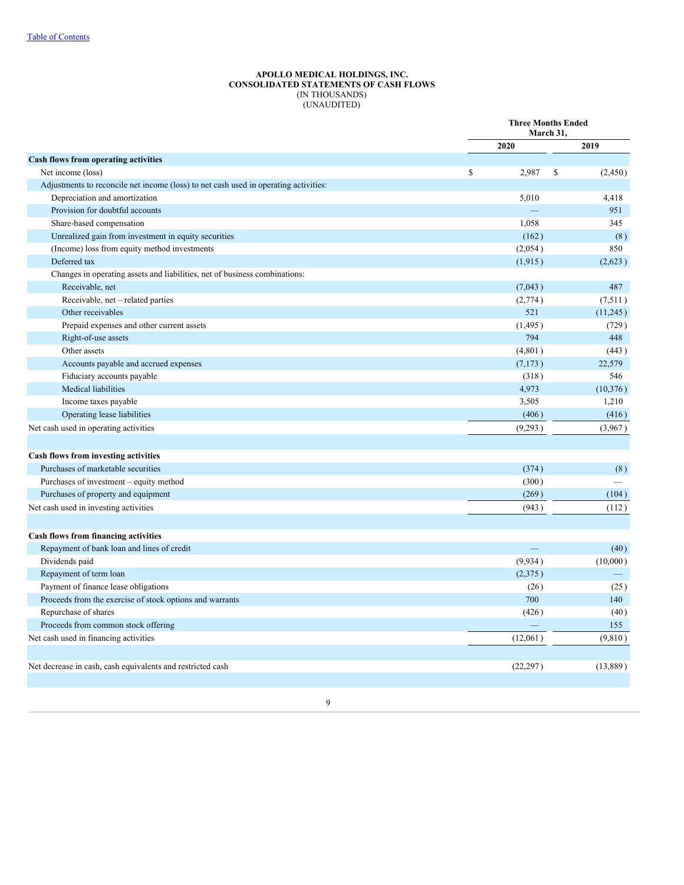#### **APOLLO MEDICAL HOLDINGS, INC. CONSOLIDATED STATEMENTS OF CASH FLOWS** (IN THOUSANDS) (UNAUDITED)

<span id="page-8-0"></span>

|                                                                                      | <b>Three Months Ended</b><br>March 31, |              |           |
|--------------------------------------------------------------------------------------|----------------------------------------|--------------|-----------|
|                                                                                      | 2020                                   |              | 2019      |
| Cash flows from operating activities                                                 |                                        |              |           |
| Net income (loss)                                                                    | \$<br>2,987                            | $\mathbb{S}$ | (2,450)   |
| Adjustments to reconcile net income (loss) to net cash used in operating activities: |                                        |              |           |
| Depreciation and amortization                                                        | 5,010                                  |              | 4,418     |
| Provision for doubtful accounts                                                      |                                        |              | 951       |
| Share-based compensation                                                             | 1,058                                  |              | 345       |
| Unrealized gain from investment in equity securities                                 | (162)                                  |              | (8)       |
| (Income) loss from equity method investments                                         | (2,054)                                |              | 850       |
| Deferred tax                                                                         | (1,915)                                |              | (2,623)   |
| Changes in operating assets and liabilities, net of business combinations:           |                                        |              |           |
| Receivable, net                                                                      | (7,043)                                |              | 487       |
| Receivable, net - related parties                                                    | (2,774)                                |              | (7,511)   |
| Other receivables                                                                    | 521                                    |              | (11,245)  |
| Prepaid expenses and other current assets                                            | (1, 495)                               |              | (729)     |
| Right-of-use assets                                                                  | 794                                    |              | 448       |
| Other assets                                                                         | (4,801)                                |              | (443)     |
| Accounts payable and accrued expenses                                                | (7,173)                                |              | 22,579    |
| Fiduciary accounts payable                                                           | (318)                                  |              | 546       |
| Medical liabilities                                                                  | 4,973                                  |              | (10, 376) |
| Income taxes payable                                                                 | 3,505                                  |              | 1,210     |
| Operating lease liabilities                                                          | (406)                                  |              | (416)     |
| Net cash used in operating activities                                                | (9,293)                                |              | (3,967)   |
|                                                                                      |                                        |              |           |
| Cash flows from investing activities                                                 |                                        |              |           |
| Purchases of marketable securities                                                   | (374)                                  |              | (8)       |
| Purchases of investment – equity method                                              | (300)                                  |              |           |
| Purchases of property and equipment                                                  | (269)                                  |              | (104)     |
| Net cash used in investing activities                                                | (943)                                  |              | (112)     |
|                                                                                      |                                        |              |           |
| Cash flows from financing activities                                                 |                                        |              |           |
| Repayment of bank loan and lines of credit                                           | $\overline{\phantom{0}}$               |              | (40)      |
| Dividends paid                                                                       | (9,934)                                |              | (10,000)  |
| Repayment of term loan                                                               | (2,375)                                |              |           |
| Payment of finance lease obligations                                                 | (26)                                   |              | (25)      |
| Proceeds from the exercise of stock options and warrants                             | 700                                    |              | 140       |
| Repurchase of shares                                                                 | (426)                                  |              | (40)      |
| Proceeds from common stock offering                                                  |                                        |              | 155       |
| Net cash used in financing activities                                                | (12,061)                               |              | (9,810)   |
|                                                                                      |                                        |              |           |
| Net decrease in cash, cash equivalents and restricted cash                           | (22, 297)                              |              | (13,889)  |
|                                                                                      |                                        |              |           |
|                                                                                      |                                        |              |           |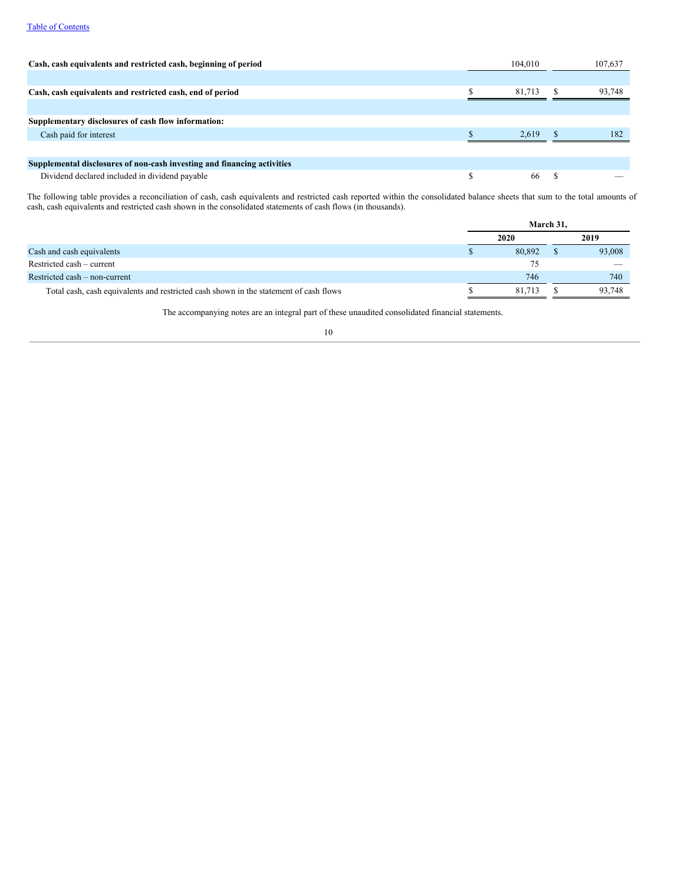| Cash, cash equivalents and restricted cash, beginning of period         | 104.010 | 107,637 |
|-------------------------------------------------------------------------|---------|---------|
|                                                                         |         |         |
| Cash, cash equivalents and restricted cash, end of period               | 81.713  | 93,748  |
|                                                                         |         |         |
| Supplementary disclosures of cash flow information:                     |         |         |
| Cash paid for interest                                                  | 2.619   | 182     |
|                                                                         |         |         |
| Supplemental disclosures of non-cash investing and financing activities |         |         |
| Dividend declared included in dividend payable                          | 66      |         |

The following table provides a reconciliation of cash, cash equivalents and restricted cash reported within the consolidated balance sheets that sum to the total amounts of cash, cash equivalents and restricted cash shown in the consolidated statements of cash flows (in thousands).

|                                                                                       | March 31. |        |  |        |
|---------------------------------------------------------------------------------------|-----------|--------|--|--------|
|                                                                                       |           | 2020   |  | 2019   |
| Cash and cash equivalents                                                             |           | 80.892 |  | 93,008 |
| Restricted cash – current                                                             |           | 75     |  |        |
| Restricted cash – non-current                                                         |           | 746    |  | 740    |
| Total cash, cash equivalents and restricted cash shown in the statement of cash flows |           | 81.713 |  | 93.748 |

The accompanying notes are an integral part of these unaudited consolidated financial statements.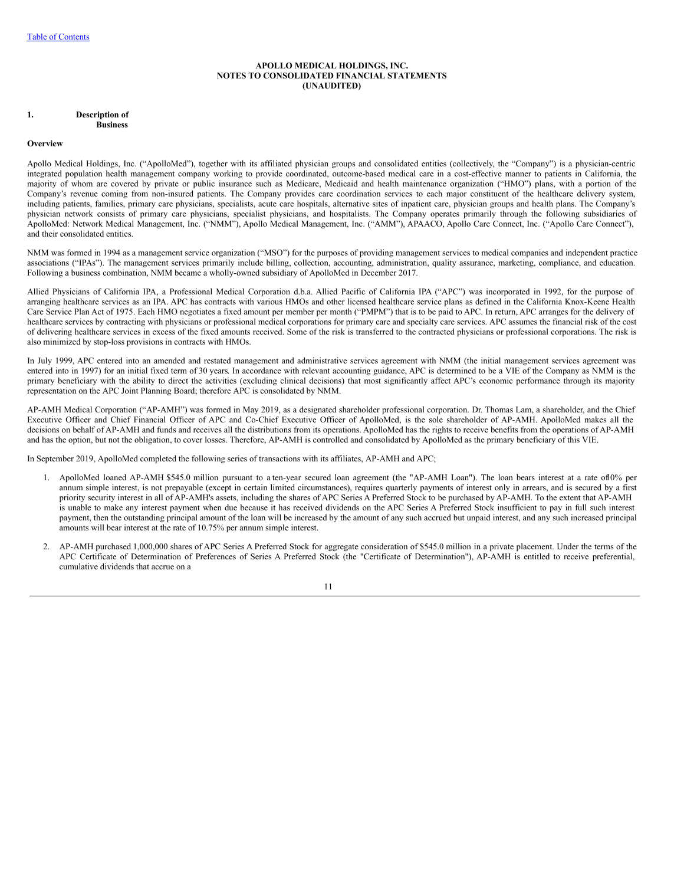#### **APOLLO MEDICAL HOLDINGS, INC. NOTES TO CONSOLIDATED FINANCIAL STATEMENTS (UNAUDITED)**

#### <span id="page-10-0"></span>**1. Description of Business**

#### **Overview**

Apollo Medical Holdings, Inc. ("ApolloMed"), together with its affiliated physician groups and consolidated entities (collectively, the "Company") is a physician-centric integrated population health management company working to provide coordinated, outcome-based medical care in a cost-effective manner to patients in California, the majority of whom are covered by private or public insurance such as Medicare, Medicaid and health maintenance organization ("HMO") plans, with a portion of the Company's revenue coming from non-insured patients. The Company provides care coordination services to each major constituent of the healthcare delivery system, including patients, families, primary care physicians, specialists, acute care hospitals, alternative sites of inpatient care, physician groups and health plans. The Company's physician network consists of primary care physicians, specialist physicians, and hospitalists. The Company operates primarily through the following subsidiaries of ApolloMed: Network Medical Management, Inc. ("NMM"), Apollo Medical Management, Inc. ("AMM"), APAACO, Apollo Care Connect, Inc. ("Apollo Care Connect"), and their consolidated entities.

NMM was formed in 1994 as a management service organization ("MSO") for the purposes of providing management services to medical companies and independent practice associations ("IPAs"). The management services primarily include billing, collection, accounting, administration, quality assurance, marketing, compliance, and education. Following a business combination, NMM became a wholly-owned subsidiary of ApolloMed in December 2017.

Allied Physicians of California IPA, a Professional Medical Corporation d.b.a. Allied Pacific of California IPA ("APC") was incorporated in 1992, for the purpose of arranging healthcare services as an IPA. APC has contracts with various HMOs and other licensed healthcare service plans as defined in the California Knox-Keene Health Care Service Plan Act of 1975. Each HMO negotiates a fixed amount per member per month ("PMPM") that is to be paid to APC. In return, APC arranges for the delivery of healthcare services by contracting with physicians or professional medical corporations for primary care and specialty care services. APC assumes the financial risk of the cost of delivering healthcare services in excess of the fixed amounts received. Some of the risk is transferred to the contracted physicians or professional corporations. The risk is also minimized by stop-loss provisions in contracts with HMOs.

In July 1999, APC entered into an amended and restated management and administrative services agreement with NMM (the initial management services agreement was entered into in 1997) for an initial fixed term of 30 years. In accordance with relevant accounting guidance, APC is determined to be a VIE of the Company as NMM is the primary beneficiary with the ability to direct the activities (excluding clinical decisions) that most significantly affect APC's economic performance through its majority representation on the APC Joint Planning Board; therefore APC is consolidated by NMM.

AP-AMH Medical Corporation ("AP-AMH") was formed in May 2019, as a designated shareholder professional corporation. Dr. Thomas Lam, a shareholder, and the Chief Executive Officer and Chief Financial Officer of APC and Co-Chief Executive Officer of ApolloMed, is the sole shareholder of AP-AMH. ApolloMed makes all the decisions on behalf of AP-AMH and funds and receives all the distributions from its operations. ApolloMed has the rights to receive benefits from the operations of AP-AMH and has the option, but not the obligation, to cover losses. Therefore, AP-AMH is controlled and consolidated by ApolloMed as the primary beneficiary of this VIE.

In September 2019, ApolloMed completed the following series of transactions with its affiliates, AP-AMH and APC;

- 1. ApolloMed loaned AP-AMH \$545.0 million pursuant to a ten-year secured loan agreement (the "AP-AMH Loan"). The loan bears interest at a rate of10% per annum simple interest, is not prepayable (except in certain limited circumstances), requires quarterly payments of interest only in arrears, and is secured by a first priority security interest in all of AP-AMH's assets, including the shares of APC Series A Preferred Stock to be purchased by AP-AMH. To the extent that AP-AMH is unable to make any interest payment when due because it has received dividends on the APC Series A Preferred Stock insufficient to pay in full such interest payment, then the outstanding principal amount of the loan will be increased by the amount of any such accrued but unpaid interest, and any such increased principal amounts will bear interest at the rate of 10.75% per annum simple interest.
- 2. AP-AMH purchased 1,000,000 shares of APC Series A Preferred Stock for aggregate consideration of \$545.0 million in a private placement. Under the terms of the APC Certificate of Determination of Preferences of Series A Preferred Stock (the "Certificate of Determination"), AP-AMH is entitled to receive preferential, cumulative dividends that accrue on a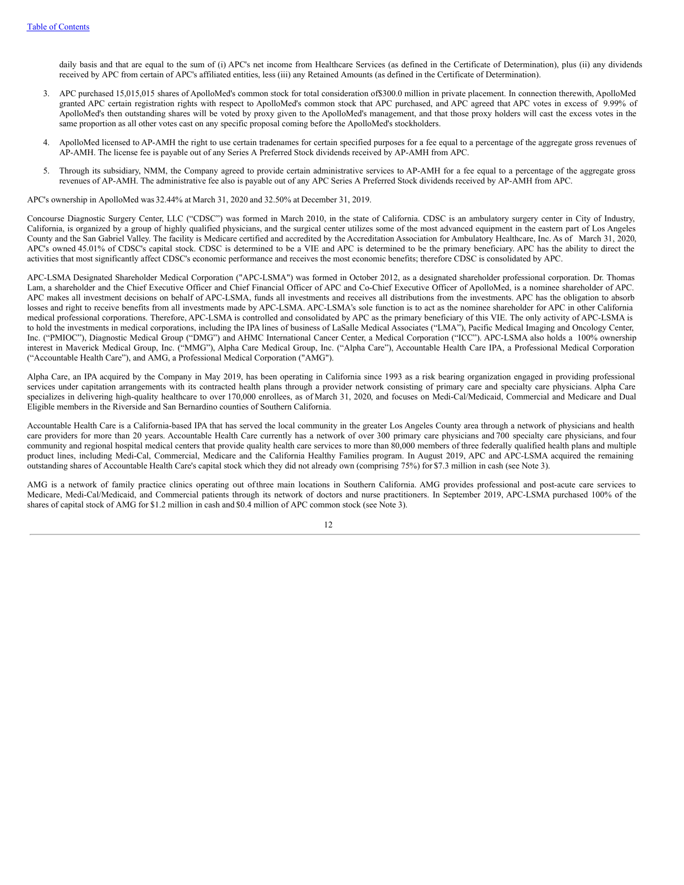daily basis and that are equal to the sum of (i) APC's net income from Healthcare Services (as defined in the Certificate of Determination), plus (ii) any dividends received by APC from certain of APC's affiliated entities, less (iii) any Retained Amounts (as defined in the Certificate of Determination).

- 3. APC purchased 15,015,015 shares of ApolloMed's common stock for total consideration of\$300.0 million in private placement. In connection therewith, ApolloMed granted APC certain registration rights with respect to ApolloMed's common stock that APC purchased, and APC agreed that APC votes in excess of 9.99% of ApolloMed's then outstanding shares will be voted by proxy given to the ApolloMed's management, and that those proxy holders will cast the excess votes in the same proportion as all other votes cast on any specific proposal coming before the ApolloMed's stockholders.
- 4. ApolloMed licensed to AP-AMH the right to use certain tradenames for certain specified purposes for a fee equal to a percentage of the aggregate gross revenues of AP-AMH. The license fee is payable out of any Series A Preferred Stock dividends received by AP-AMH from APC.
- 5. Through its subsidiary, NMM, the Company agreed to provide certain administrative services to AP-AMH for a fee equal to a percentage of the aggregate gross revenues of AP-AMH. The administrative fee also is payable out of any APC Series A Preferred Stock dividends received by AP-AMH from APC.

APC's ownership in ApolloMed was 32.44% at March 31, 2020 and 32.50% at December 31, 2019.

Concourse Diagnostic Surgery Center, LLC ("CDSC") was formed in March 2010, in the state of California. CDSC is an ambulatory surgery center in City of Industry, California, is organized by a group of highly qualified physicians, and the surgical center utilizes some of the most advanced equipment in the eastern part of Los Angeles County and the San Gabriel Valley. The facility is Medicare certified and accredited by the Accreditation Association for Ambulatory Healthcare, Inc. As of March 31, 2020, APC's owned 45.01% of CDSC's capital stock. CDSC is determined to be a VIE and APC is determined to be the primary beneficiary. APC has the ability to direct the activities that most significantly affect CDSC's economic performance and receives the most economic benefits; therefore CDSC is consolidated by APC.

APC-LSMA Designated Shareholder Medical Corporation ("APC-LSMA") was formed in October 2012, as a designated shareholder professional corporation. Dr. Thomas Lam, a shareholder and the Chief Executive Officer and Chief Financial Officer of APC and Co-Chief Executive Officer of ApolloMed, is a nominee shareholder of APC. APC makes all investment decisions on behalf of APC-LSMA, funds all investments and receives all distributions from the investments. APC has the obligation to absorb losses and right to receive benefits from all investments made by APC-LSMA. APC-LSMA's sole function is to act as the nominee shareholder for APC in other California medical professional corporations. Therefore, APC-LSMA is controlled and consolidated by APC as the primary beneficiary of this VIE. The only activity of APC-LSMA is to hold the investments in medical corporations, including the IPA lines of business of LaSalle Medical Associates ("LMA"), Pacific Medical Imaging and Oncology Center, Inc. ("PMIOC"), Diagnostic Medical Group ("DMG") and AHMC International Cancer Center, a Medical Corporation ("ICC"). APC-LSMA also holds a 100% ownership interest in Maverick Medical Group, Inc. ("MMG"), Alpha Care Medical Group, Inc. ("Alpha Care"), Accountable Health Care IPA, a Professional Medical Corporation ("Accountable Health Care"), and AMG, a Professional Medical Corporation ("AMG").

Alpha Care, an IPA acquired by the Company in May 2019, has been operating in California since 1993 as a risk bearing organization engaged in providing professional services under capitation arrangements with its contracted health plans through a provider network consisting of primary care and specialty care physicians. Alpha Care specializes in delivering high-quality healthcare to over 170,000 enrollees, as of March 31, 2020, and focuses on Medi-Cal/Medicaid, Commercial and Medicare and Dual Eligible members in the Riverside and San Bernardino counties of Southern California.

Accountable Health Care is a California-based IPA that has served the local community in the greater Los Angeles County area through a network of physicians and health care providers for more than 20 years. Accountable Health Care currently has a network of over 300 primary care physicians and 700 specialty care physicians, and four community and regional hospital medical centers that provide quality health care services to more than 80,000 members of three federally qualified health plans and multiple product lines, including Medi-Cal, Commercial, Medicare and the California Healthy Families program. In August 2019, APC and APC-LSMA acquired the remaining outstanding shares of Accountable Health Care's capital stock which they did not already own (comprising 75%) for \$7.3 million in cash (see Note 3).

AMG is a network of family practice clinics operating out ofthree main locations in Southern California. AMG provides professional and post-acute care services to Medicare, Medi-Cal/Medicaid, and Commercial patients through its network of doctors and nurse practitioners. In September 2019, APC-LSMA purchased 100% of the shares of capital stock of AMG for \$1.2 million in cash and \$0.4 million of APC common stock (see Note 3).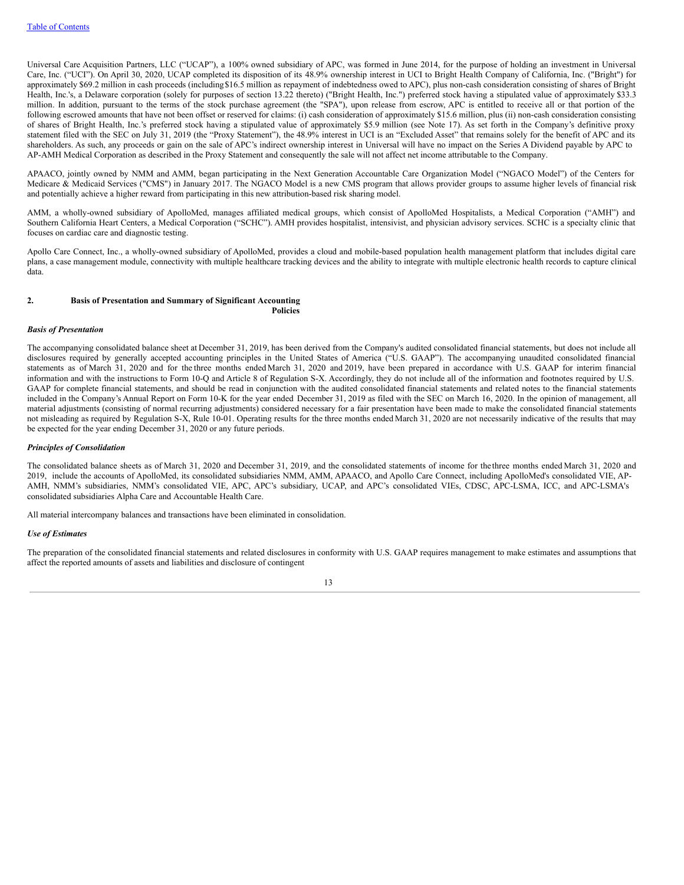Universal Care Acquisition Partners, LLC ("UCAP"), a 100% owned subsidiary of APC, was formed in June 2014, for the purpose of holding an investment in Universal Care, Inc. ("UCI"). On April 30, 2020, UCAP completed its disposition of its 48.9% ownership interest in UCI to Bright Health Company of California, Inc. ("Bright") for approximately \$69.2 million in cash proceeds (including\$16.5 million as repayment of indebtedness owed to APC), plus non-cash consideration consisting of shares of Bright Health, Inc.'s, a Delaware corporation (solely for purposes of section 13.22 thereto) ("Bright Health, Inc.") preferred stock having a stipulated value of approximately \$33.3 million. In addition, pursuant to the terms of the stock purchase agreement (the "SPA"), upon release from escrow, APC is entitled to receive all or that portion of the following escrowed amounts that have not been offset or reserved for claims: (i) cash consideration of approximately \$15.6 million, plus (ii) non-cash consideration consisting of shares of Bright Health, Inc.'s preferred stock having a stipulated value of approximately \$5.9 million (see Note 17). As set forth in the Company's definitive proxy statement filed with the SEC on July 31, 2019 (the "Proxy Statement"), the 48.9% interest in UCI is an "Excluded Asset" that remains solely for the benefit of APC and its shareholders. As such, any proceeds or gain on the sale of APC's indirect ownership interest in Universal will have no impact on the Series A Dividend payable by APC to AP-AMH Medical Corporation as described in the Proxy Statement and consequently the sale will not affect net income attributable to the Company.

APAACO, jointly owned by NMM and AMM, began participating in the Next Generation Accountable Care Organization Model ("NGACO Model") of the Centers for Medicare & Medicaid Services ("CMS") in January 2017. The NGACO Model is a new CMS program that allows provider groups to assume higher levels of financial risk and potentially achieve a higher reward from participating in this new attribution-based risk sharing model.

AMM, a wholly-owned subsidiary of ApolloMed, manages affiliated medical groups, which consist of ApolloMed Hospitalists, a Medical Corporation ("AMH") and Southern California Heart Centers, a Medical Corporation ("SCHC"). AMH provides hospitalist, intensivist, and physician advisory services. SCHC is a specialty clinic that focuses on cardiac care and diagnostic testing.

Apollo Care Connect, Inc., a wholly-owned subsidiary of ApolloMed, provides a cloud and mobile-based population health management platform that includes digital care plans, a case management module, connectivity with multiple healthcare tracking devices and the ability to integrate with multiple electronic health records to capture clinical data.

**Policies**

#### **2. Basis of Presentation and Summary of Significant Accounting**

#### *Basis of Presentation*

The accompanying consolidated balance sheet at December 31, 2019, has been derived from the Company's audited consolidated financial statements, but does not include all disclosures required by generally accepted accounting principles in the United States of America ("U.S. GAAP"). The accompanying unaudited consolidated financial statements as of March 31, 2020 and for the three months ended March 31, 2020 and 2019, have been prepared in accordance with U.S. GAAP for interim financial information and with the instructions to Form 10-Q and Article 8 of Regulation S-X. Accordingly, they do not include all of the information and footnotes required by U.S. GAAP for complete financial statements, and should be read in conjunction with the audited consolidated financial statements and related notes to the financial statements included in the Company's Annual Report on Form 10-K for the year ended December 31, 2019 as filed with the SEC on March 16, 2020. In the opinion of management, all material adjustments (consisting of normal recurring adjustments) considered necessary for a fair presentation have been made to make the consolidated financial statements not misleading as required by Regulation S-X, Rule 10-01. Operating results for the three months ended March 31, 2020 are not necessarily indicative of the results that may be expected for the year ending December 31, 2020 or any future periods.

#### *Principles of Consolidation*

The consolidated balance sheets as of March 31, 2020 and December 31, 2019, and the consolidated statements of income for the three months ended March 31, 2020 and 2019, include the accounts of ApolloMed, its consolidated subsidiaries NMM, AMM, APAACO, and Apollo Care Connect, including ApolloMed's consolidated VIE, AP-AMH, NMM's subsidiaries, NMM's consolidated VIE, APC, APC's subsidiary, UCAP, and APC's consolidated VIEs, CDSC, APC-LSMA, ICC, and APC-LSMA's consolidated subsidiaries Alpha Care and Accountable Health Care.

All material intercompany balances and transactions have been eliminated in consolidation.

#### *Use of Estimates*

The preparation of the consolidated financial statements and related disclosures in conformity with U.S. GAAP requires management to make estimates and assumptions that affect the reported amounts of assets and liabilities and disclosure of contingent

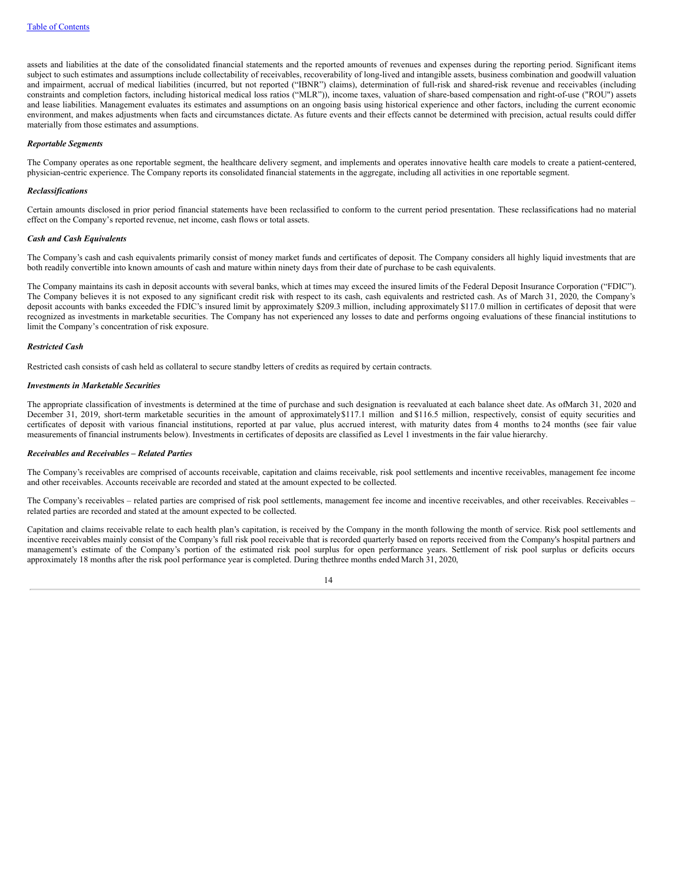assets and liabilities at the date of the consolidated financial statements and the reported amounts of revenues and expenses during the reporting period. Significant items subject to such estimates and assumptions include collectability of receivables, recoverability of long-lived and intangible assets, business combination and goodwill valuation and impairment, accrual of medical liabilities (incurred, but not reported ("IBNR") claims), determination of full-risk and shared-risk revenue and receivables (including constraints and completion factors, including historical medical loss ratios ("MLR")), income taxes, valuation of share-based compensation and right-of-use ("ROU") assets and lease liabilities. Management evaluates its estimates and assumptions on an ongoing basis using historical experience and other factors, including the current economic environment, and makes adjustments when facts and circumstances dictate. As future events and their effects cannot be determined with precision, actual results could differ materially from those estimates and assumptions.

#### *Reportable Segments*

The Company operates as one reportable segment, the healthcare delivery segment, and implements and operates innovative health care models to create a patient-centered, physician-centric experience. The Company reports its consolidated financial statements in the aggregate, including all activities in one reportable segment.

#### *Reclassifications*

Certain amounts disclosed in prior period financial statements have been reclassified to conform to the current period presentation. These reclassifications had no material effect on the Company's reported revenue, net income, cash flows or total assets.

#### *Cash and Cash Equivalents*

The Company's cash and cash equivalents primarily consist of money market funds and certificates of deposit. The Company considers all highly liquid investments that are both readily convertible into known amounts of cash and mature within ninety days from their date of purchase to be cash equivalents.

The Company maintains its cash in deposit accounts with several banks, which at times may exceed the insured limits of the Federal Deposit Insurance Corporation ("FDIC"). The Company believes it is not exposed to any significant credit risk with respect to its cash, cash equivalents and restricted cash. As of March 31, 2020, the Company's deposit accounts with banks exceeded the FDIC's insured limit by approximately \$209.3 million, including approximately \$117.0 million in certificates of deposit that were recognized as investments in marketable securities. The Company has not experienced any losses to date and performs ongoing evaluations of these financial institutions to limit the Company's concentration of risk exposure.

#### *Restricted Cash*

Restricted cash consists of cash held as collateral to secure standby letters of credits as required by certain contracts.

#### *Investments in Marketable Securities*

The appropriate classification of investments is determined at the time of purchase and such designation is reevaluated at each balance sheet date. As ofMarch 31, 2020 and December 31, 2019, short-term marketable securities in the amount of approximately\$117.1 million and \$116.5 million, respectively, consist of equity securities and certificates of deposit with various financial institutions, reported at par value, plus accrued interest, with maturity dates from 4 months to 24 months (see fair value measurements of financial instruments below). Investments in certificates of deposits are classified as Level 1 investments in the fair value hierarchy.

#### *Receivables and Receivables – Related Parties*

The Company's receivables are comprised of accounts receivable, capitation and claims receivable, risk pool settlements and incentive receivables, management fee income and other receivables. Accounts receivable are recorded and stated at the amount expected to be collected.

The Company's receivables – related parties are comprised of risk pool settlements, management fee income and incentive receivables, and other receivables. Receivables – related parties are recorded and stated at the amount expected to be collected.

Capitation and claims receivable relate to each health plan's capitation, is received by the Company in the month following the month of service. Risk pool settlements and incentive receivables mainly consist of the Company's full risk pool receivable that is recorded quarterly based on reports received from the Company's hospital partners and management's estimate of the Company's portion of the estimated risk pool surplus for open performance years. Settlement of risk pool surplus or deficits occurs approximately 18 months after the risk pool performance year is completed. During thethree months ended March 31, 2020,

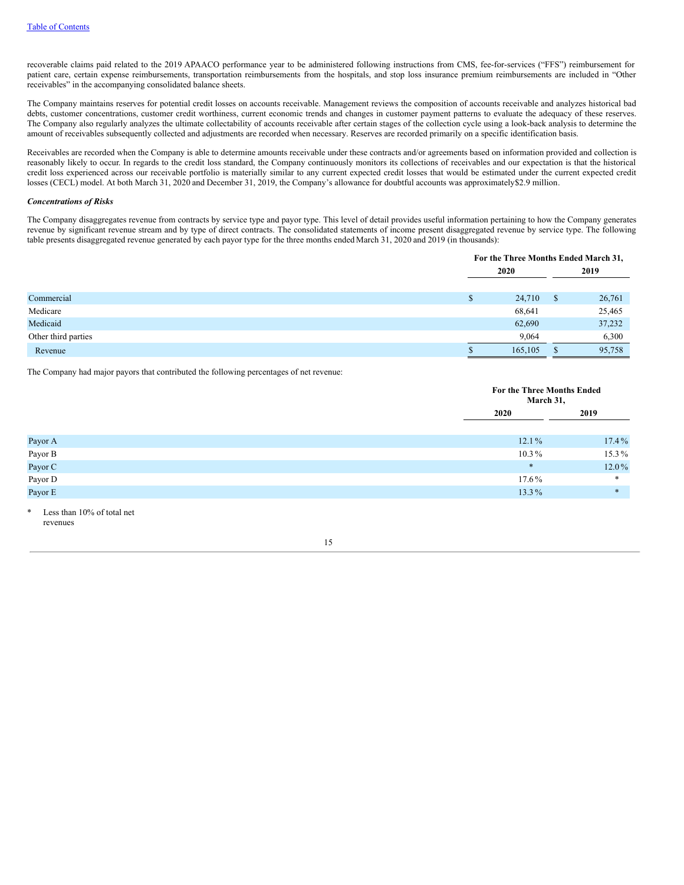recoverable claims paid related to the 2019 APAACO performance year to be administered following instructions from CMS, fee-for-services ("FFS") reimbursement for patient care, certain expense reimbursements, transportation reimbursements from the hospitals, and stop loss insurance premium reimbursements are included in "Other receivables" in the accompanying consolidated balance sheets.

The Company maintains reserves for potential credit losses on accounts receivable. Management reviews the composition of accounts receivable and analyzes historical bad debts, customer concentrations, customer credit worthiness, current economic trends and changes in customer payment patterns to evaluate the adequacy of these reserves. The Company also regularly analyzes the ultimate collectability of accounts receivable after certain stages of the collection cycle using a look-back analysis to determine the amount of receivables subsequently collected and adjustments are recorded when necessary. Reserves are recorded primarily on a specific identification basis.

Receivables are recorded when the Company is able to determine amounts receivable under these contracts and/or agreements based on information provided and collection is reasonably likely to occur. In regards to the credit loss standard, the Company continuously monitors its collections of receivables and our expectation is that the historical credit loss experienced across our receivable portfolio is materially similar to any current expected credit losses that would be estimated under the current expected credit losses (CECL) model. At both March 31, 2020 and December 31, 2019, the Company's allowance for doubtful accounts was approximately\$2.9 million.

#### *Concentrations of Risks*

The Company disaggregates revenue from contracts by service type and payor type. This level of detail provides useful information pertaining to how the Company generates revenue by significant revenue stream and by type of direct contracts. The consolidated statements of income present disaggregated revenue by service type. The following table presents disaggregated revenue generated by each payor type for the three months ended March 31, 2020 and 2019 (in thousands):

|                     |   | For the Three Months Ended March 31, |    |        |  |
|---------------------|---|--------------------------------------|----|--------|--|
|                     |   | 2020                                 |    | 2019   |  |
|                     |   |                                      |    |        |  |
| Commercial          | D | 24,710                               | -S | 26,761 |  |
| Medicare            |   | 68,641                               |    | 25,465 |  |
| Medicaid            |   | 62,690                               |    | 37,232 |  |
| Other third parties |   | 9,064                                |    | 6,300  |  |
| Revenue             |   | 165,105                              |    | 95,758 |  |

The Company had major payors that contributed the following percentages of net revenue:

|         | For the Three Months Ended<br>March 31, |       |
|---------|-----------------------------------------|-------|
|         | 2020                                    | 2019  |
| Payor A | $12.1\%$                                | 17.4% |
| Payor B | $10.3\%$                                | 15.3% |
| Payor C | $\ast$                                  | 12.0% |
| Payor D | $17.6\%$                                | $*$   |
| Payor E | 13.3%                                   | $*$   |
|         |                                         |       |

Less than  $10\%$  of total net revenues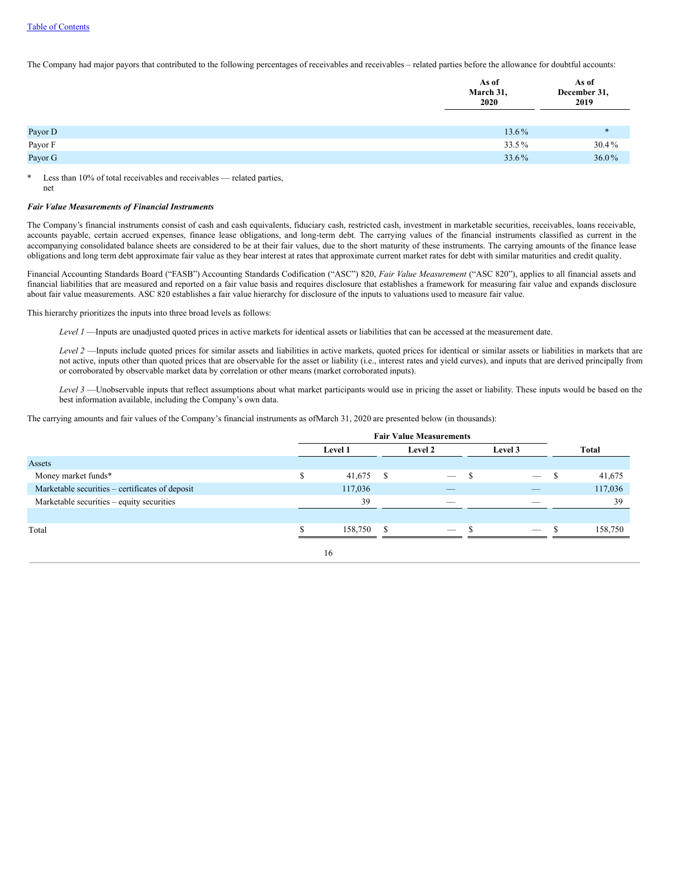The Company had major payors that contributed to the following percentages of receivables and receivables – related parties before the allowance for doubtful accounts:

|         | As of<br>March 31,<br>2020 | As of<br>December 31,<br>2019 |
|---------|----------------------------|-------------------------------|
| Payor D | 13.6%                      | $*$                           |
| Payor F | 33.5%                      | $30.4\%$                      |
| Payor G | 33.6%                      | 36.0%                         |

\* Less than 10% of total receivables and receivables — related parties, net

#### *Fair Value Measurements of Financial Instruments*

The Company's financial instruments consist of cash and cash equivalents, fiduciary cash, restricted cash, investment in marketable securities, receivables, loans receivable, accounts payable, certain accrued expenses, finance lease obligations, and long-term debt. The carrying values of the financial instruments classified as current in the accompanying consolidated balance sheets are considered to be at their fair values, due to the short maturity of these instruments. The carrying amounts of the finance lease obligations and long term debt approximate fair value as they bear interest at rates that approximate current market rates for debt with similar maturities and credit quality.

Financial Accounting Standards Board ("FASB") Accounting Standards Codification ("ASC") 820, *Fair Value Measurement* ("ASC 820"), applies to all financial assets and financial liabilities that are measured and reported on a fair value basis and requires disclosure that establishes a framework for measuring fair value and expands disclosure about fair value measurements. ASC 820 establishes a fair value hierarchy for disclosure of the inputs to valuations used to measure fair value.

This hierarchy prioritizes the inputs into three broad levels as follows:

*Level 1* —Inputs are unadjusted quoted prices in active markets for identical assets or liabilities that can be accessed at the measurement date.

*Level 2* —Inputs include quoted prices for similar assets and liabilities in active markets, quoted prices for identical or similar assets or liabilities in markets that are not active, inputs other than quoted prices that are observable for the asset or liability (i.e., interest rates and yield curves), and inputs that are derived principally from or corroborated by observable market data by correlation or other means (market corroborated inputs).

*Level 3* —Unobservable inputs that reflect assumptions about what market participants would use in pricing the asset or liability. These inputs would be based on the best information available, including the Company's own data.

The carrying amounts and fair values of the Company's financial instruments as ofMarch 31, 2020 are presented below (in thousands):

|                                                 | <b>Fair Value Measurements</b> |         |     |                                 |  |                                 |   |              |
|-------------------------------------------------|--------------------------------|---------|-----|---------------------------------|--|---------------------------------|---|--------------|
|                                                 |                                | Level 1 |     | <b>Level 2</b>                  |  | Level 3                         |   | <b>Total</b> |
| Assets                                          |                                |         |     |                                 |  |                                 |   |              |
| Money market funds*                             | л.                             | 41,675  | -S  | $\hspace{0.1mm}-\hspace{0.1mm}$ |  | $\hspace{0.1mm}-\hspace{0.1mm}$ | ъ | 41,675       |
| Marketable securities – certificates of deposit |                                | 117,036 |     | _                               |  |                                 |   | 117,036      |
| Marketable securities - equity securities       |                                | 39      |     | $\overline{\phantom{a}}$        |  |                                 |   | 39           |
|                                                 |                                |         |     |                                 |  |                                 |   |              |
| Total                                           |                                | 158,750 | \$. | $\hspace{0.1mm}-\hspace{0.1mm}$ |  | $\overline{\phantom{a}}$        |   | 158,750      |
|                                                 |                                |         |     |                                 |  |                                 |   |              |
|                                                 |                                | 16      |     |                                 |  |                                 |   |              |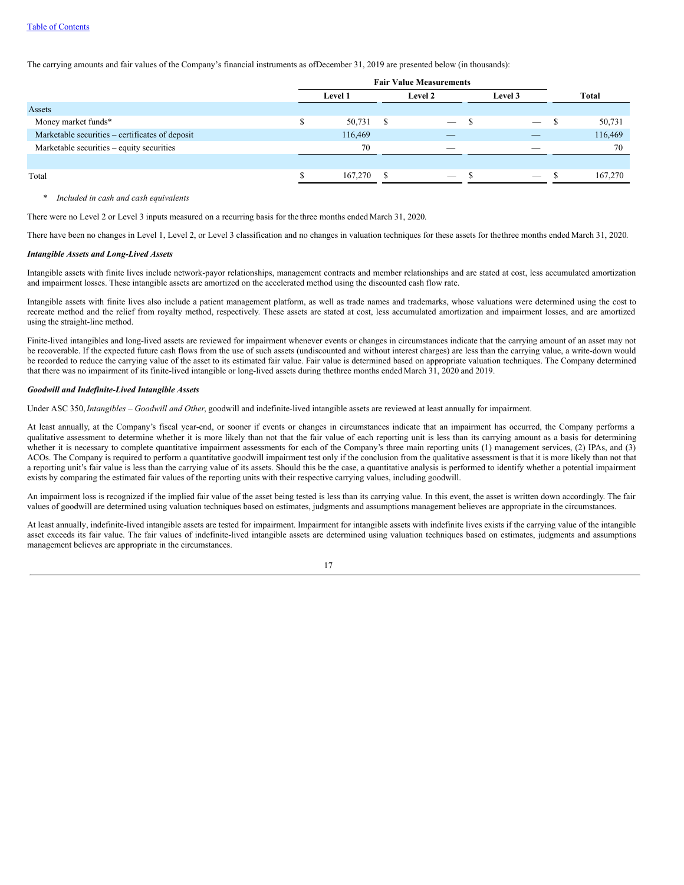The carrying amounts and fair values of the Company's financial instruments as ofDecember 31, 2019 are presented below (in thousands):

|                                                 | <b>Fair Value Measurements</b> |         |      |                                 |  |                                 |    |         |
|-------------------------------------------------|--------------------------------|---------|------|---------------------------------|--|---------------------------------|----|---------|
|                                                 |                                | Level 1 |      | Level 2                         |  | Level 3                         |    | Total   |
| Assets                                          |                                |         |      |                                 |  |                                 |    |         |
| Money market funds*                             | S                              | 50,731  | - \$ | $\hspace{0.05cm}$               |  | $\hspace{0.1mm}-\hspace{0.1mm}$ | -S | 50,731  |
| Marketable securities - certificates of deposit |                                | 116,469 |      | __                              |  |                                 |    | 116,469 |
| Marketable securities – equity securities       |                                | 70      |      | $\overline{\phantom{a}}$        |  | _                               |    | 70      |
|                                                 |                                |         |      |                                 |  |                                 |    |         |
| Total                                           | J.                             | 167,270 |      | $\hspace{0.1mm}-\hspace{0.1mm}$ |  |                                 |    | 167,270 |

#### \* *Included in cash and cash equivalents*

There were no Level 2 or Level 3 inputs measured on a recurring basis for the three months ended March 31, 2020.

There have been no changes in Level 1, Level 2, or Level 3 classification and no changes in valuation techniques for these assets for thethree months ended March 31, 2020.

#### *Intangible Assets and Long-Lived Assets*

Intangible assets with finite lives include network-payor relationships, management contracts and member relationships and are stated at cost, less accumulated amortization and impairment losses. These intangible assets are amortized on the accelerated method using the discounted cash flow rate.

Intangible assets with finite lives also include a patient management platform, as well as trade names and trademarks, whose valuations were determined using the cost to recreate method and the relief from royalty method, respectively. These assets are stated at cost, less accumulated amortization and impairment losses, and are amortized using the straight-line method.

Finite-lived intangibles and long-lived assets are reviewed for impairment whenever events or changes in circumstances indicate that the carrying amount of an asset may not be recoverable. If the expected future cash flows from the use of such assets (undiscounted and without interest charges) are less than the carrying value, a write-down would be recorded to reduce the carrying value of the asset to its estimated fair value. Fair value is determined based on appropriate valuation techniques. The Company determined that there was no impairment of its finite-lived intangible or long-lived assets during thethree months ended March 31, 2020 and 2019.

#### *Goodwill and Indefinite-Lived Intangible Assets*

Under ASC 350,*Intangibles – Goodwill and Other*, goodwill and indefinite-lived intangible assets are reviewed at least annually for impairment.

At least annually, at the Company's fiscal year-end, or sooner if events or changes in circumstances indicate that an impairment has occurred, the Company performs a qualitative assessment to determine whether it is more likely than not that the fair value of each reporting unit is less than its carrying amount as a basis for determining whether it is necessary to complete quantitative impairment assessments for each of the Company's three main reporting units (1) management services, (2) IPAs, and (3) ACOs. The Company is required to perform a quantitative goodwill impairment test only if the conclusion from the qualitative assessment is that it is more likely than not that a reporting unit's fair value is less than the carrying value of its assets. Should this be the case, a quantitative analysis is performed to identify whether a potential impairment exists by comparing the estimated fair values of the reporting units with their respective carrying values, including goodwill.

An impairment loss is recognized if the implied fair value of the asset being tested is less than its carrying value. In this event, the asset is written down accordingly. The fair values of goodwill are determined using valuation techniques based on estimates, judgments and assumptions management believes are appropriate in the circumstances.

At least annually, indefinite-lived intangible assets are tested for impairment. Impairment for intangible assets with indefinite lives exists if the carrying value of the intangible asset exceeds its fair value. The fair values of indefinite-lived intangible assets are determined using valuation techniques based on estimates, judgments and assumptions management believes are appropriate in the circumstances.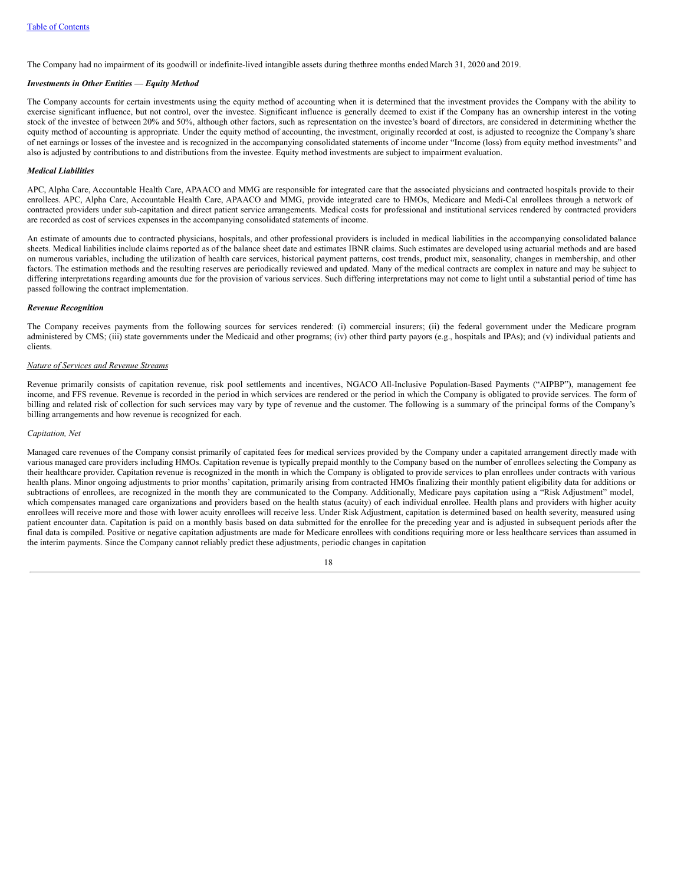The Company had no impairment of its goodwill or indefinite-lived intangible assets during thethree months ended March 31, 2020 and 2019.

#### *Investments in Other Entities — Equity Method*

The Company accounts for certain investments using the equity method of accounting when it is determined that the investment provides the Company with the ability to exercise significant influence, but not control, over the investee. Significant influence is generally deemed to exist if the Company has an ownership interest in the voting stock of the investee of between 20% and 50%, although other factors, such as representation on the investee's board of directors, are considered in determining whether the equity method of accounting is appropriate. Under the equity method of accounting, the investment, originally recorded at cost, is adjusted to recognize the Company's share of net earnings or losses of the investee and is recognized in the accompanying consolidated statements of income under "Income (loss) from equity method investments" and also is adjusted by contributions to and distributions from the investee. Equity method investments are subject to impairment evaluation.

#### *Medical Liabilities*

APC, Alpha Care, Accountable Health Care, APAACO and MMG are responsible for integrated care that the associated physicians and contracted hospitals provide to their enrollees. APC, Alpha Care, Accountable Health Care, APAACO and MMG, provide integrated care to HMOs, Medicare and Medi-Cal enrollees through a network of contracted providers under sub-capitation and direct patient service arrangements. Medical costs for professional and institutional services rendered by contracted providers are recorded as cost of services expenses in the accompanying consolidated statements of income.

An estimate of amounts due to contracted physicians, hospitals, and other professional providers is included in medical liabilities in the accompanying consolidated balance sheets. Medical liabilities include claims reported as of the balance sheet date and estimates IBNR claims. Such estimates are developed using actuarial methods and are based on numerous variables, including the utilization of health care services, historical payment patterns, cost trends, product mix, seasonality, changes in membership, and other factors. The estimation methods and the resulting reserves are periodically reviewed and updated. Many of the medical contracts are complex in nature and may be subject to differing interpretations regarding amounts due for the provision of various services. Such differing interpretations may not come to light until a substantial period of time has passed following the contract implementation.

#### *Revenue Recognition*

The Company receives payments from the following sources for services rendered: (i) commercial insurers; (ii) the federal government under the Medicare program administered by CMS; (iii) state governments under the Medicaid and other programs; (iv) other third party payors (e.g., hospitals and IPAs); and (v) individual patients and clients.

#### *Nature of Services and Revenue Streams*

Revenue primarily consists of capitation revenue, risk pool settlements and incentives, NGACO All-Inclusive Population-Based Payments ("AIPBP"), management fee income, and FFS revenue. Revenue is recorded in the period in which services are rendered or the period in which the Company is obligated to provide services. The form of billing and related risk of collection for such services may vary by type of revenue and the customer. The following is a summary of the principal forms of the Company's billing arrangements and how revenue is recognized for each.

#### *Capitation, Net*

Managed care revenues of the Company consist primarily of capitated fees for medical services provided by the Company under a capitated arrangement directly made with various managed care providers including HMOs. Capitation revenue is typically prepaid monthly to the Company based on the number of enrollees selecting the Company as their healthcare provider. Capitation revenue is recognized in the month in which the Company is obligated to provide services to plan enrollees under contracts with various health plans. Minor ongoing adjustments to prior months' capitation, primarily arising from contracted HMOs finalizing their monthly patient eligibility data for additions or subtractions of enrollees, are recognized in the month they are communicated to the Company. Additionally, Medicare pays capitation using a "Risk Adjustment" model, which compensates managed care organizations and providers based on the health status (acuity) of each individual enrollee. Health plans and providers with higher acuity enrollees will receive more and those with lower acuity enrollees will receive less. Under Risk Adjustment, capitation is determined based on health severity, measured using patient encounter data. Capitation is paid on a monthly basis based on data submitted for the enrollee for the preceding year and is adjusted in subsequent periods after the final data is compiled. Positive or negative capitation adjustments are made for Medicare enrollees with conditions requiring more or less healthcare services than assumed in the interim payments. Since the Company cannot reliably predict these adjustments, periodic changes in capitation

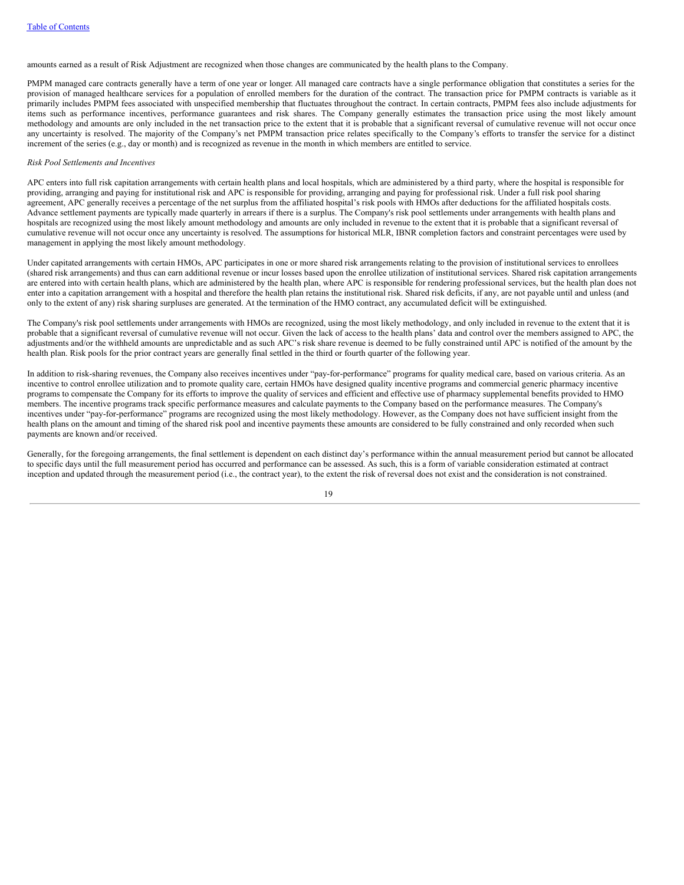amounts earned as a result of Risk Adjustment are recognized when those changes are communicated by the health plans to the Company.

PMPM managed care contracts generally have a term of one year or longer. All managed care contracts have a single performance obligation that constitutes a series for the provision of managed healthcare services for a population of enrolled members for the duration of the contract. The transaction price for PMPM contracts is variable as it primarily includes PMPM fees associated with unspecified membership that fluctuates throughout the contract. In certain contracts, PMPM fees also include adjustments for items such as performance incentives, performance guarantees and risk shares. The Company generally estimates the transaction price using the most likely amount methodology and amounts are only included in the net transaction price to the extent that it is probable that a significant reversal of cumulative revenue will not occur once any uncertainty is resolved. The majority of the Company's net PMPM transaction price relates specifically to the Company's efforts to transfer the service for a distinct increment of the series (e.g., day or month) and is recognized as revenue in the month in which members are entitled to service.

#### *Risk Pool Settlements and Incentives*

APC enters into full risk capitation arrangements with certain health plans and local hospitals, which are administered by a third party, where the hospital is responsible for providing, arranging and paying for institutional risk and APC is responsible for providing, arranging and paying for professional risk. Under a full risk pool sharing agreement, APC generally receives a percentage of the net surplus from the affiliated hospital's risk pools with HMOs after deductions for the affiliated hospitals costs. Advance settlement payments are typically made quarterly in arrears if there is a surplus. The Company's risk pool settlements under arrangements with health plans and hospitals are recognized using the most likely amount methodology and amounts are only included in revenue to the extent that it is probable that a significant reversal of cumulative revenue will not occur once any uncertainty is resolved. The assumptions for historical MLR, IBNR completion factors and constraint percentages were used by management in applying the most likely amount methodology.

Under capitated arrangements with certain HMOs, APC participates in one or more shared risk arrangements relating to the provision of institutional services to enrollees (shared risk arrangements) and thus can earn additional revenue or incur losses based upon the enrollee utilization of institutional services. Shared risk capitation arrangements are entered into with certain health plans, which are administered by the health plan, where APC is responsible for rendering professional services, but the health plan does not enter into a capitation arrangement with a hospital and therefore the health plan retains the institutional risk. Shared risk deficits, if any, are not payable until and unless (and only to the extent of any) risk sharing surpluses are generated. At the termination of the HMO contract, any accumulated deficit will be extinguished.

The Company's risk pool settlements under arrangements with HMOs are recognized, using the most likely methodology, and only included in revenue to the extent that it is probable that a significant reversal of cumulative revenue will not occur. Given the lack of access to the health plans' data and control over the members assigned to APC, the adjustments and/or the withheld amounts are unpredictable and as such APC's risk share revenue is deemed to be fully constrained until APC is notified of the amount by the health plan. Risk pools for the prior contract years are generally final settled in the third or fourth quarter of the following year.

In addition to risk-sharing revenues, the Company also receives incentives under "pay-for-performance" programs for quality medical care, based on various criteria. As an incentive to control enrollee utilization and to promote quality care, certain HMOs have designed quality incentive programs and commercial generic pharmacy incentive programs to compensate the Company for its efforts to improve the quality of services and efficient and effective use of pharmacy supplemental benefits provided to HMO members. The incentive programs track specific performance measures and calculate payments to the Company based on the performance measures. The Company's incentives under "pay-for-performance" programs are recognized using the most likely methodology. However, as the Company does not have sufficient insight from the health plans on the amount and timing of the shared risk pool and incentive payments these amounts are considered to be fully constrained and only recorded when such payments are known and/or received.

Generally, for the foregoing arrangements, the final settlement is dependent on each distinct day's performance within the annual measurement period but cannot be allocated to specific days until the full measurement period has occurred and performance can be assessed. As such, this is a form of variable consideration estimated at contract inception and updated through the measurement period (i.e., the contract year), to the extent the risk of reversal does not exist and the consideration is not constrained.

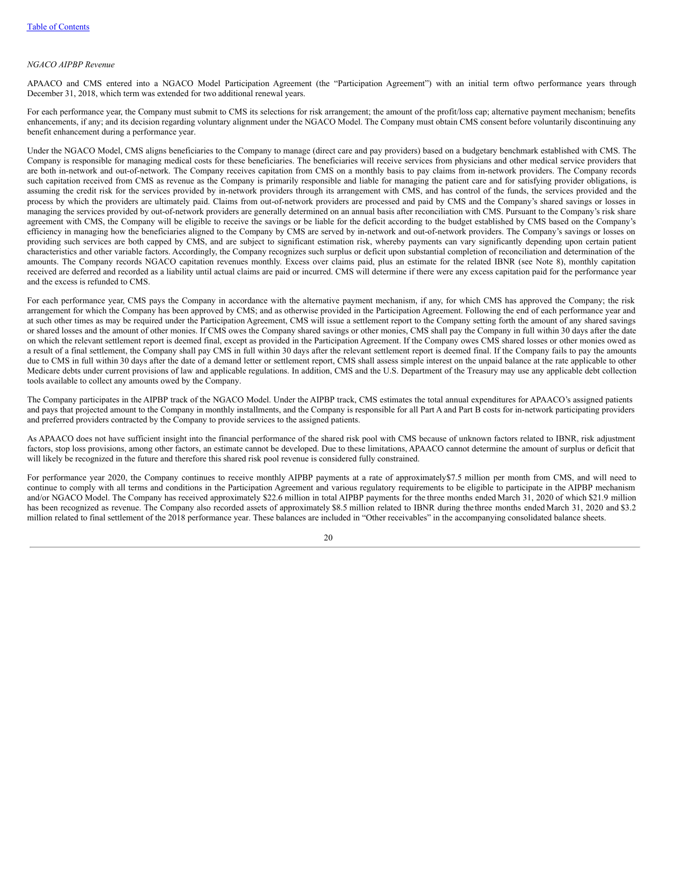#### *NGACO AIPBP Revenue*

APAACO and CMS entered into a NGACO Model Participation Agreement (the "Participation Agreement") with an initial term oftwo performance years through December 31, 2018, which term was extended for two additional renewal years.

For each performance year, the Company must submit to CMS its selections for risk arrangement; the amount of the profit/loss cap; alternative payment mechanism; benefits enhancements, if any; and its decision regarding voluntary alignment under the NGACO Model. The Company must obtain CMS consent before voluntarily discontinuing any benefit enhancement during a performance year.

Under the NGACO Model, CMS aligns beneficiaries to the Company to manage (direct care and pay providers) based on a budgetary benchmark established with CMS. The Company is responsible for managing medical costs for these beneficiaries. The beneficiaries will receive services from physicians and other medical service providers that are both in-network and out-of-network. The Company receives capitation from CMS on a monthly basis to pay claims from in-network providers. The Company records such capitation received from CMS as revenue as the Company is primarily responsible and liable for managing the patient care and for satisfying provider obligations, is assuming the credit risk for the services provided by in-network providers through its arrangement with CMS, and has control of the funds, the services provided and the process by which the providers are ultimately paid. Claims from out-of-network providers are processed and paid by CMS and the Company's shared savings or losses in managing the services provided by out-of-network providers are generally determined on an annual basis after reconciliation with CMS. Pursuant to the Company's risk share agreement with CMS, the Company will be eligible to receive the savings or be liable for the deficit according to the budget established by CMS based on the Company's efficiency in managing how the beneficiaries aligned to the Company by CMS are served by in-network and out-of-network providers. The Company's savings or losses on providing such services are both capped by CMS, and are subject to significant estimation risk, whereby payments can vary significantly depending upon certain patient characteristics and other variable factors. Accordingly, the Company recognizes such surplus or deficit upon substantial completion of reconciliation and determination of the amounts. The Company records NGACO capitation revenues monthly. Excess over claims paid, plus an estimate for the related IBNR (see Note 8), monthly capitation received are deferred and recorded as a liability until actual claims are paid or incurred. CMS will determine if there were any excess capitation paid for the performance year and the excess is refunded to CMS.

For each performance year, CMS pays the Company in accordance with the alternative payment mechanism, if any, for which CMS has approved the Company; the risk arrangement for which the Company has been approved by CMS; and as otherwise provided in the Participation Agreement. Following the end of each performance year and at such other times as may be required under the Participation Agreement, CMS will issue a settlement report to the Company setting forth the amount of any shared savings or shared losses and the amount of other monies. If CMS owes the Company shared savings or other monies, CMS shall pay the Company in full within 30 days after the date on which the relevant settlement report is deemed final, except as provided in the Participation Agreement. If the Company owes CMS shared losses or other monies owed as a result of a final settlement, the Company shall pay CMS in full within 30 days after the relevant settlement report is deemed final. If the Company fails to pay the amounts due to CMS in full within 30 days after the date of a demand letter or settlement report, CMS shall assess simple interest on the unpaid balance at the rate applicable to other Medicare debts under current provisions of law and applicable regulations. In addition, CMS and the U.S. Department of the Treasury may use any applicable debt collection tools available to collect any amounts owed by the Company.

The Company participates in the AIPBP track of the NGACO Model. Under the AIPBP track, CMS estimates the total annual expenditures for APAACO's assigned patients and pays that projected amount to the Company in monthly installments, and the Company is responsible for all Part A and Part B costs for in-network participating providers and preferred providers contracted by the Company to provide services to the assigned patients.

As APAACO does not have sufficient insight into the financial performance of the shared risk pool with CMS because of unknown factors related to IBNR, risk adjustment factors, stop loss provisions, among other factors, an estimate cannot be developed. Due to these limitations, APAACO cannot determine the amount of surplus or deficit that will likely be recognized in the future and therefore this shared risk pool revenue is considered fully constrained.

For performance year 2020, the Company continues to receive monthly AIPBP payments at a rate of approximately\$7.5 million per month from CMS, and will need to continue to comply with all terms and conditions in the Participation Agreement and various regulatory requirements to be eligible to participate in the AIPBP mechanism and/or NGACO Model. The Company has received approximately \$22.6 million in total AIPBP payments for the three months ended March 31, 2020 of which \$21.9 million has been recognized as revenue. The Company also recorded assets of approximately \$8.5 million related to IBNR during the three months ended March 31, 2020 and \$3.2 million related to final settlement of the 2018 performance year. These balances are included in "Other receivables" in the accompanying consolidated balance sheets.

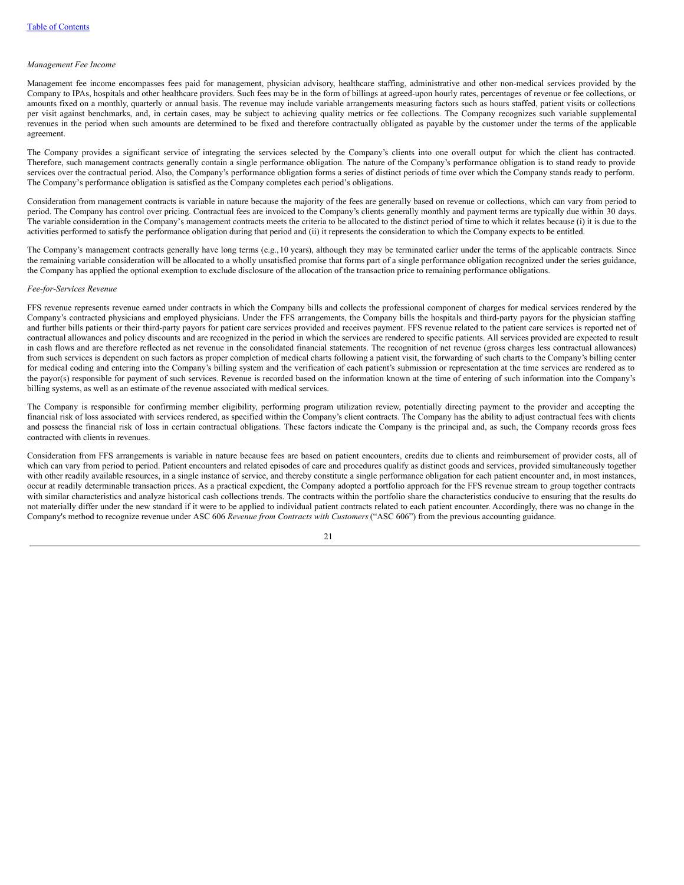#### *Management Fee Income*

Management fee income encompasses fees paid for management, physician advisory, healthcare staffing, administrative and other non-medical services provided by the Company to IPAs, hospitals and other healthcare providers. Such fees may be in the form of billings at agreed-upon hourly rates, percentages of revenue or fee collections, or amounts fixed on a monthly, quarterly or annual basis. The revenue may include variable arrangements measuring factors such as hours staffed, patient visits or collections per visit against benchmarks, and, in certain cases, may be subject to achieving quality metrics or fee collections. The Company recognizes such variable supplemental revenues in the period when such amounts are determined to be fixed and therefore contractually obligated as payable by the customer under the terms of the applicable agreement.

The Company provides a significant service of integrating the services selected by the Company's clients into one overall output for which the client has contracted. Therefore, such management contracts generally contain a single performance obligation. The nature of the Company's performance obligation is to stand ready to provide services over the contractual period. Also, the Company's performance obligation forms a series of distinct periods of time over which the Company stands ready to perform. The Company's performance obligation is satisfied as the Company completes each period's obligations.

Consideration from management contracts is variable in nature because the majority of the fees are generally based on revenue or collections, which can vary from period to period. The Company has control over pricing. Contractual fees are invoiced to the Company's clients generally monthly and payment terms are typically due within 30 days. The variable consideration in the Company's management contracts meets the criteria to be allocated to the distinct period of time to which it relates because (i) it is due to the activities performed to satisfy the performance obligation during that period and (ii) it represents the consideration to which the Company expects to be entitled.

The Company's management contracts generally have long terms (e.g., 10 years), although they may be terminated earlier under the terms of the applicable contracts. Since the remaining variable consideration will be allocated to a wholly unsatisfied promise that forms part of a single performance obligation recognized under the series guidance, the Company has applied the optional exemption to exclude disclosure of the allocation of the transaction price to remaining performance obligations.

#### *Fee-for-Services Revenue*

FFS revenue represents revenue earned under contracts in which the Company bills and collects the professional component of charges for medical services rendered by the Company's contracted physicians and employed physicians. Under the FFS arrangements, the Company bills the hospitals and third-party payors for the physician staffing and further bills patients or their third-party payors for patient care services provided and receives payment. FFS revenue related to the patient care services is reported net of contractual allowances and policy discounts and are recognized in the period in which the services are rendered to specific patients. All services provided are expected to result in cash flows and are therefore reflected as net revenue in the consolidated financial statements. The recognition of net revenue (gross charges less contractual allowances) from such services is dependent on such factors as proper completion of medical charts following a patient visit, the forwarding of such charts to the Company's billing center for medical coding and entering into the Company's billing system and the verification of each patient's submission or representation at the time services are rendered as to the payor(s) responsible for payment of such services. Revenue is recorded based on the information known at the time of entering of such information into the Company's billing systems, as well as an estimate of the revenue associated with medical services.

The Company is responsible for confirming member eligibility, performing program utilization review, potentially directing payment to the provider and accepting the financial risk of loss associated with services rendered, as specified within the Company's client contracts. The Company has the ability to adjust contractual fees with clients and possess the financial risk of loss in certain contractual obligations. These factors indicate the Company is the principal and, as such, the Company records gross fees contracted with clients in revenues.

Consideration from FFS arrangements is variable in nature because fees are based on patient encounters, credits due to clients and reimbursement of provider costs, all of which can vary from period to period. Patient encounters and related episodes of care and procedures qualify as distinct goods and services, provided simultaneously together with other readily available resources, in a single instance of service, and thereby constitute a single performance obligation for each patient encounter and, in most instances, occur at readily determinable transaction prices. As a practical expedient, the Company adopted a portfolio approach for the FFS revenue stream to group together contracts with similar characteristics and analyze historical cash collections trends. The contracts within the portfolio share the characteristics conducive to ensuring that the results do not materially differ under the new standard if it were to be applied to individual patient contracts related to each patient encounter. Accordingly, there was no change in the Company's method to recognize revenue under ASC 606 *Revenue from Contracts with Customers*("ASC 606") from the previous accounting guidance.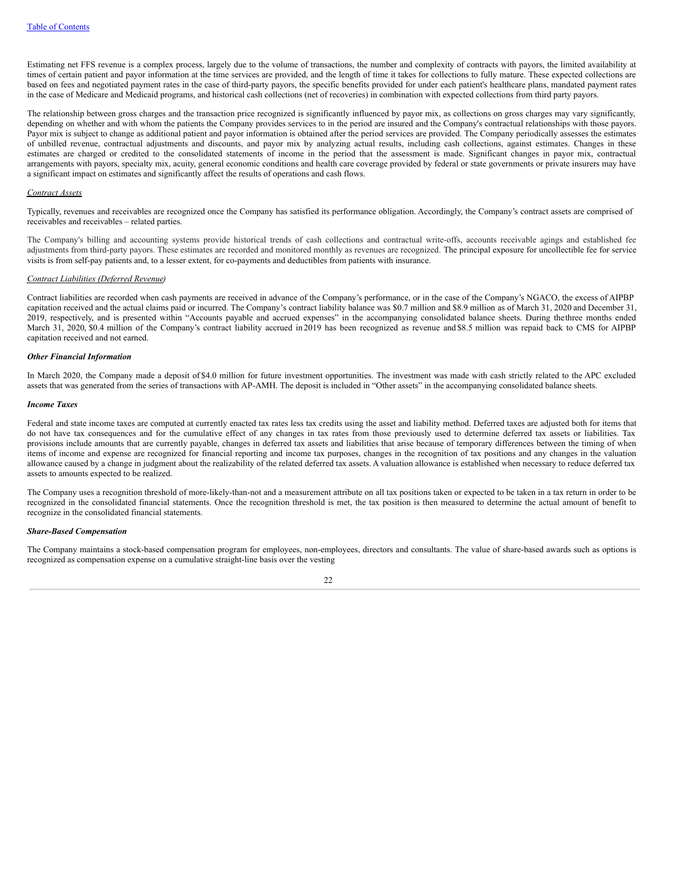Estimating net FFS revenue is a complex process, largely due to the volume of transactions, the number and complexity of contracts with payors, the limited availability at times of certain patient and payor information at the time services are provided, and the length of time it takes for collections to fully mature. These expected collections are based on fees and negotiated payment rates in the case of third-party payors, the specific benefits provided for under each patient's healthcare plans, mandated payment rates in the case of Medicare and Medicaid programs, and historical cash collections (net of recoveries) in combination with expected collections from third party payors.

The relationship between gross charges and the transaction price recognized is significantly influenced by payor mix, as collections on gross charges may vary significantly, depending on whether and with whom the patients the Company provides services to in the period are insured and the Company's contractual relationships with those payors. Payor mix is subject to change as additional patient and payor information is obtained after the period services are provided. The Company periodically assesses the estimates of unbilled revenue, contractual adjustments and discounts, and payor mix by analyzing actual results, including cash collections, against estimates. Changes in these estimates are charged or credited to the consolidated statements of income in the period that the assessment is made. Significant changes in payor mix, contractual arrangements with payors, specialty mix, acuity, general economic conditions and health care coverage provided by federal or state governments or private insurers may have a significant impact on estimates and significantly affect the results of operations and cash flows.

#### *Contract Assets*

Typically, revenues and receivables are recognized once the Company has satisfied its performance obligation. Accordingly, the Company's contract assets are comprised of receivables and receivables – related parties.

The Company's billing and accounting systems provide historical trends of cash collections and contractual write-offs, accounts receivable agings and established fee adjustments from third-party payors. These estimates are recorded and monitored monthly as revenues are recognized. The principal exposure for uncollectible fee for service visits is from self-pay patients and, to a lesser extent, for co-payments and deductibles from patients with insurance.

#### *Contract Liabilities (Deferred Revenue)*

Contract liabilities are recorded when cash payments are received in advance of the Company's performance, or in the case of the Company's NGACO, the excess of AIPBP capitation received and the actual claims paid or incurred. The Company's contract liability balance was \$0.7 million and \$8.9 million as of March 31, 2020 and December 31, 2019, respectively, and is presented within "Accounts payable and accrued expenses" in the accompanying consolidated balance sheets. During thethree months ended March 31, 2020, \$0.4 million of the Company's contract liability accrued in 2019 has been recognized as revenue and \$8.5 million was repaid back to CMS for AIPBP capitation received and not earned.

#### *Other Financial Information*

In March 2020, the Company made a deposit of \$4.0 million for future investment opportunities. The investment was made with cash strictly related to the APC excluded assets that was generated from the series of transactions with AP-AMH. The deposit is included in "Other assets" in the accompanying consolidated balance sheets.

#### *Income Taxes*

Federal and state income taxes are computed at currently enacted tax rates less tax credits using the asset and liability method. Deferred taxes are adjusted both for items that do not have tax consequences and for the cumulative effect of any changes in tax rates from those previously used to determine deferred tax assets or liabilities. Tax provisions include amounts that are currently payable, changes in deferred tax assets and liabilities that arise because of temporary differences between the timing of when items of income and expense are recognized for financial reporting and income tax purposes, changes in the recognition of tax positions and any changes in the valuation allowance caused by a change in judgment about the realizability of the related deferred tax assets. A valuation allowance is established when necessary to reduce deferred tax assets to amounts expected to be realized.

The Company uses a recognition threshold of more-likely-than-not and a measurement attribute on all tax positions taken or expected to be taken in a tax return in order to be recognized in the consolidated financial statements. Once the recognition threshold is met, the tax position is then measured to determine the actual amount of benefit to recognize in the consolidated financial statements.

#### *Share-Based Compensation*

The Company maintains a stock-based compensation program for employees, non-employees, directors and consultants. The value of share-based awards such as options is recognized as compensation expense on a cumulative straight-line basis over the vesting

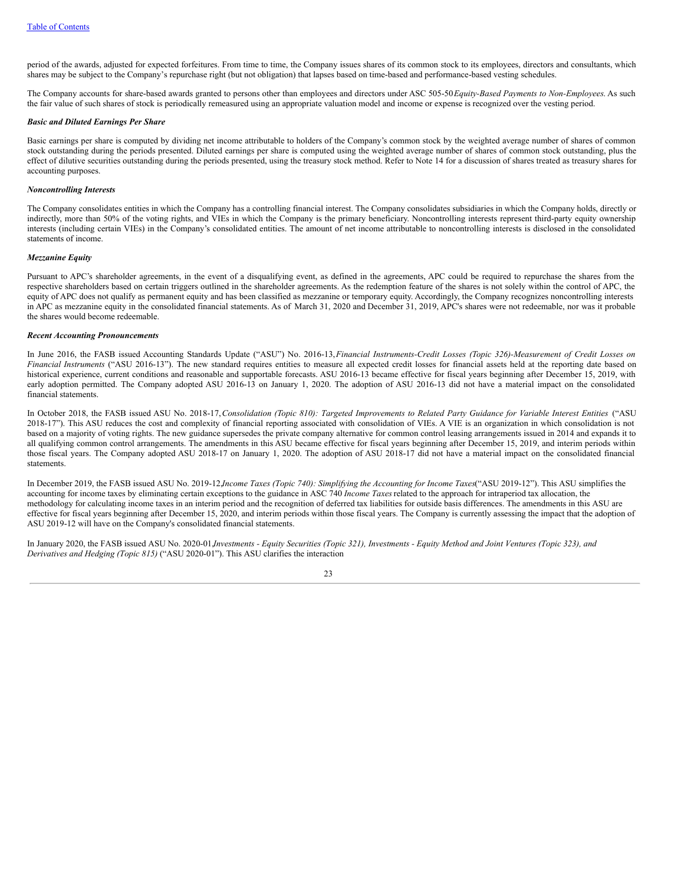period of the awards, adjusted for expected forfeitures. From time to time, the Company issues shares of its common stock to its employees, directors and consultants, which shares may be subject to the Company's repurchase right (but not obligation) that lapses based on time-based and performance-based vesting schedules.

The Company accounts for share-based awards granted to persons other than employees and directors under ASC 505-50*Equity-Based Payments to Non-Employees*. As such the fair value of such shares of stock is periodically remeasured using an appropriate valuation model and income or expense is recognized over the vesting period.

#### *Basic and Diluted Earnings Per Share*

Basic earnings per share is computed by dividing net income attributable to holders of the Company's common stock by the weighted average number of shares of common stock outstanding during the periods presented. Diluted earnings per share is computed using the weighted average number of shares of common stock outstanding, plus the effect of dilutive securities outstanding during the periods presented, using the treasury stock method. Refer to Note 14 for a discussion of shares treated as treasury shares for accounting purposes.

### *Noncontrolling Interests*

The Company consolidates entities in which the Company has a controlling financial interest. The Company consolidates subsidiaries in which the Company holds, directly or indirectly, more than 50% of the voting rights, and VIEs in which the Company is the primary beneficiary. Noncontrolling interests represent third-party equity ownership interests (including certain VIEs) in the Company's consolidated entities. The amount of net income attributable to noncontrolling interests is disclosed in the consolidated statements of income.

#### *Mezzanine Equity*

Pursuant to APC's shareholder agreements, in the event of a disqualifying event, as defined in the agreements, APC could be required to repurchase the shares from the respective shareholders based on certain triggers outlined in the shareholder agreements. As the redemption feature of the shares is not solely within the control of APC, the equity of APC does not qualify as permanent equity and has been classified as mezzanine or temporary equity. Accordingly, the Company recognizes noncontrolling interests in APC as mezzanine equity in the consolidated financial statements. As of March 31, 2020 and December 31, 2019, APC's shares were not redeemable, nor was it probable the shares would become redeemable.

#### *Recent Accounting Pronouncements*

In June 2016, the FASB issued Accounting Standards Update ("ASU") No. 2016-13,*Financial Instruments-Credit Losses (Topic 326)-Measurement of Credit Losses on Financial Instruments* ("ASU 2016-13"). The new standard requires entities to measure all expected credit losses for financial assets held at the reporting date based on historical experience, current conditions and reasonable and supportable forecasts. ASU 2016-13 became effective for fiscal years beginning after December 15, 2019, with early adoption permitted. The Company adopted ASU 2016-13 on January 1, 2020. The adoption of ASU 2016-13 did not have a material impact on the consolidated financial statements.

In October 2018, the FASB issued ASU No. 2018-17, Consolidation (Topic 810): Targeted Improvements to Related Party Guidance for Variable Interest Entities ("ASU 2018-17"). This ASU reduces the cost and complexity of financial reporting associated with consolidation of VIEs. A VIE is an organization in which consolidation is not based on a majority of voting rights. The new guidance supersedes the private company alternative for common control leasing arrangements issued in 2014 and expands it to all qualifying common control arrangements. The amendments in this ASU became effective for fiscal years beginning after December 15, 2019, and interim periods within those fiscal years. The Company adopted ASU 2018-17 on January 1, 2020. The adoption of ASU 2018-17 did not have a material impact on the consolidated financial statements.

In December 2019, the FASB issued ASU No. 2019-12.*Income Taxes (Topic 740): Simplifying the Accounting for Income Taxes*("ASU 2019-12"). This ASU simplifies the accounting for income taxes by eliminating certain exceptions to the guidance in ASC 740 *Income Taxes*related to the approach for intraperiod tax allocation, the methodology for calculating income taxes in an interim period and the recognition of deferred tax liabilities for outside basis differences. The amendments in this ASU are effective for fiscal years beginning after December 15, 2020, and interim periods within those fiscal years. The Company is currently assessing the impact that the adoption of ASU 2019-12 will have on the Company's consolidated financial statements.

In January 2020, the FASB issued ASU No. 2020-01 *Investments - Equity Securities (Topic 321)*, *Investments - Equity Method and Joint Ventures (Topic 323)*, and *Derivatives and Hedging (Topic 815)* ("ASU 2020-01"). This ASU clarifies the interaction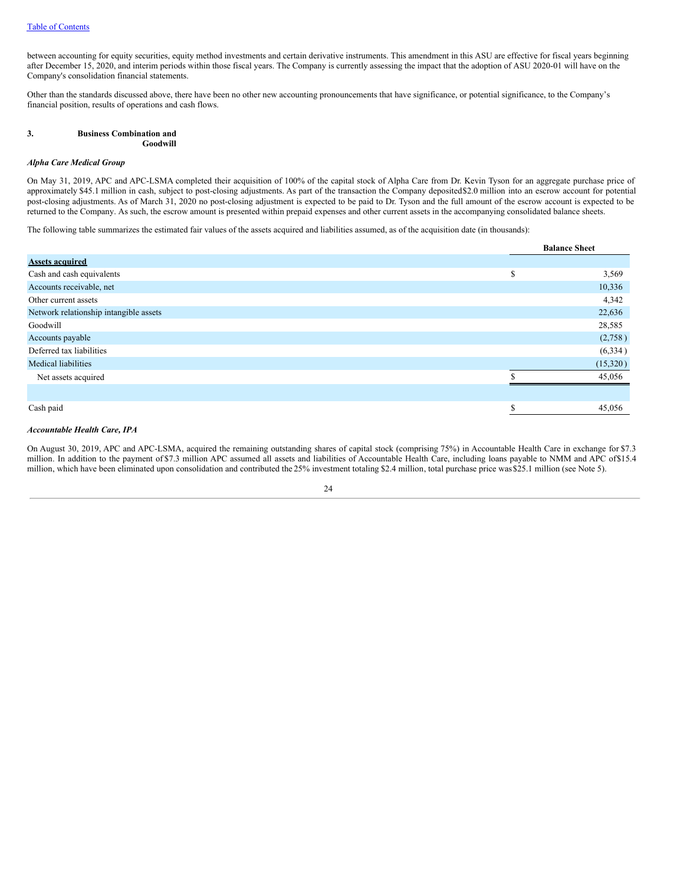between accounting for equity securities, equity method investments and certain derivative instruments. This amendment in this ASU are effective for fiscal years beginning after December 15, 2020, and interim periods within those fiscal years. The Company is currently assessing the impact that the adoption of ASU 2020-01 will have on the Company's consolidation financial statements.

Other than the standards discussed above, there have been no other new accounting pronouncements that have significance, or potential significance, to the Company's financial position, results of operations and cash flows.

#### **3. Business Combination and Goodwill**

## *Alpha Care Medical Group*

On May 31, 2019, APC and APC-LSMA completed their acquisition of 100% of the capital stock of Alpha Care from Dr. Kevin Tyson for an aggregate purchase price of approximately \$45.1 million in cash, subject to post-closing adjustments. As part of the transaction the Company deposited\$2.0 million into an escrow account for potential post-closing adjustments. As of March 31, 2020 no post-closing adjustment is expected to be paid to Dr. Tyson and the full amount of the escrow account is expected to be returned to the Company. As such, the escrow amount is presented within prepaid expenses and other current assets in the accompanying consolidated balance sheets.

The following table summarizes the estimated fair values of the assets acquired and liabilities assumed, as of the acquisition date (in thousands):

|                                        | <b>Balance Sheet</b> |          |  |
|----------------------------------------|----------------------|----------|--|
| <b>Assets acquired</b>                 |                      |          |  |
| Cash and cash equivalents              | S                    | 3,569    |  |
| Accounts receivable, net               |                      | 10,336   |  |
| Other current assets                   |                      | 4,342    |  |
| Network relationship intangible assets |                      | 22,636   |  |
| Goodwill                               |                      | 28,585   |  |
| Accounts payable                       |                      | (2,758)  |  |
| Deferred tax liabilities               |                      | (6, 334) |  |
| Medical liabilities                    |                      | (15,320) |  |
| Net assets acquired                    |                      | 45,056   |  |
|                                        |                      |          |  |
| Cash paid                              | ¢<br>ъ.              | 45,056   |  |

#### *Accountable Health Care, IPA*

On August 30, 2019, APC and APC-LSMA, acquired the remaining outstanding shares of capital stock (comprising 75%) in Accountable Health Care in exchange for \$7.3 million. In addition to the payment of \$7.3 million APC assumed all assets and liabilities of Accountable Health Care, including loans payable to NMM and APC of\$15.4 million, which have been eliminated upon consolidation and contributed the 25% investment totaling \$2.4 million, total purchase price was \$25.1 million (see Note 5).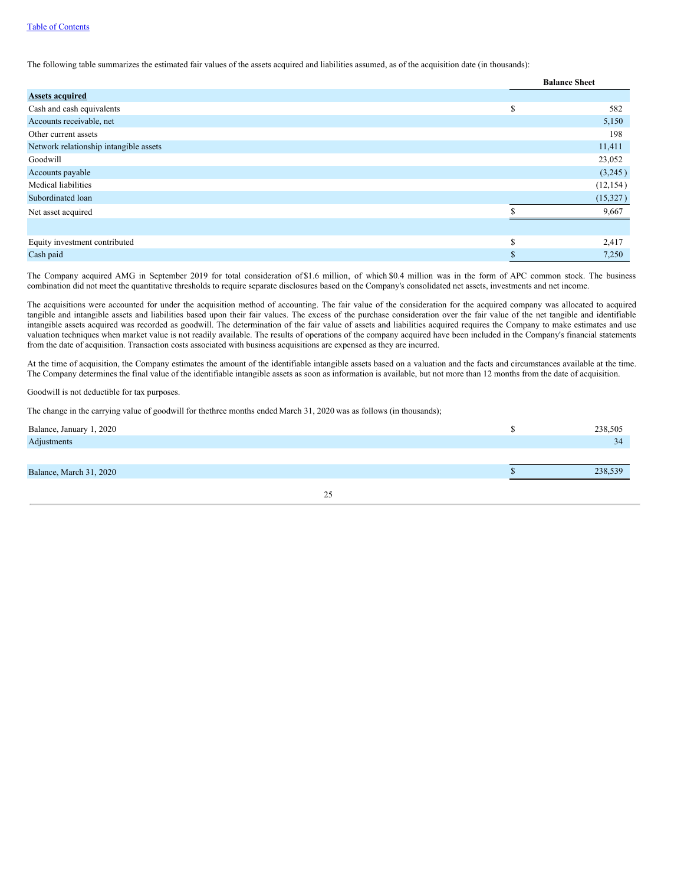The following table summarizes the estimated fair values of the assets acquired and liabilities assumed, as of the acquisition date (in thousands):

|                                        |    | <b>Balance Sheet</b> |
|----------------------------------------|----|----------------------|
| <b>Assets acquired</b>                 |    |                      |
| Cash and cash equivalents              | \$ | 582                  |
| Accounts receivable, net               |    | 5,150                |
| Other current assets                   |    | 198                  |
| Network relationship intangible assets |    | 11,411               |
| Goodwill                               |    | 23,052               |
| Accounts payable                       |    | (3,245)              |
| Medical liabilities                    |    | (12, 154)            |
| Subordinated loan                      |    | (15,327)             |
| Net asset acquired                     |    | 9,667                |
|                                        |    |                      |
| Equity investment contributed          | S  | 2,417                |
| Cash paid                              |    | 7,250                |

The Company acquired AMG in September 2019 for total consideration of \$1.6 million, of which \$0.4 million was in the form of APC common stock. The business combination did not meet the quantitative thresholds to require separate disclosures based on the Company's consolidated net assets, investments and net income.

The acquisitions were accounted for under the acquisition method of accounting. The fair value of the consideration for the acquired company was allocated to acquired tangible and intangible assets and liabilities based upon their fair values. The excess of the purchase consideration over the fair value of the net tangible and identifiable intangible assets acquired was recorded as goodwill. The determination of the fair value of assets and liabilities acquired requires the Company to make estimates and use valuation techniques when market value is not readily available. The results of operations of the company acquired have been included in the Company's financial statements from the date of acquisition. Transaction costs associated with business acquisitions are expensed as they are incurred.

At the time of acquisition, the Company estimates the amount of the identifiable intangible assets based on a valuation and the facts and circumstances available at the time. The Company determines the final value of the identifiable intangible assets as soon as information is available, but not more than 12 months from the date of acquisition.

Goodwill is not deductible for tax purposes.

The change in the carrying value of goodwill for thethree months ended March 31, 2020 was as follows (in thousands);

| Balance, January 1, 2020 |  | 238,505 |
|--------------------------|--|---------|
| Adjustments              |  | 34      |
|                          |  |         |
| Balance, March 31, 2020  |  | 238,539 |
|                          |  |         |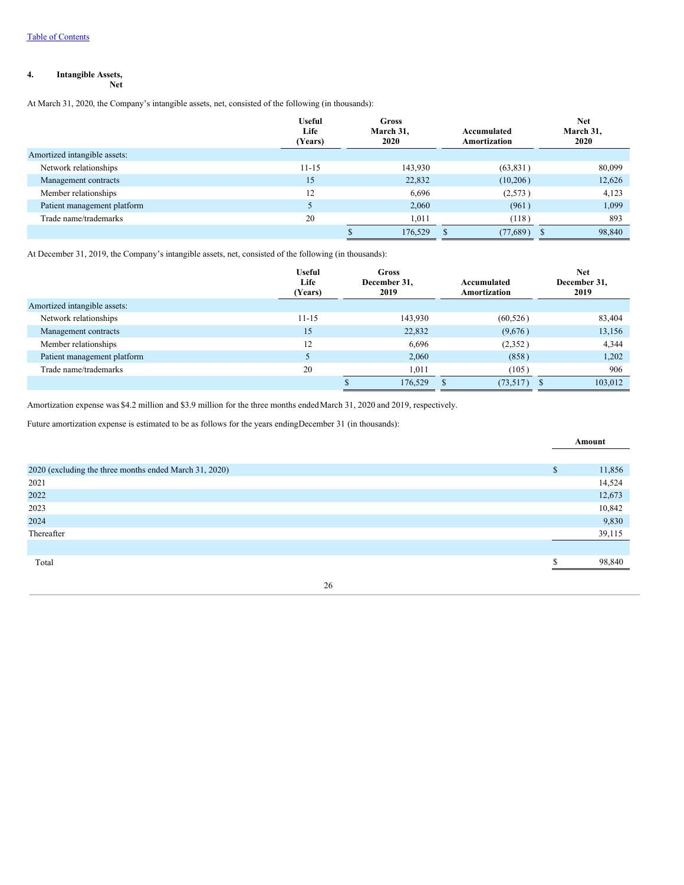#### **4. Intangible Assets, Net**

At March 31, 2020, the Company's intangible assets, net, consisted of the following (in thousands):

|                              | <b>Useful</b><br>Life<br>(Years) | <b>Gross</b><br>March 31,<br>2020 | Accumulated<br>Amortization | <b>Net</b><br>March 31,<br>2020 |
|------------------------------|----------------------------------|-----------------------------------|-----------------------------|---------------------------------|
| Amortized intangible assets: |                                  |                                   |                             |                                 |
| Network relationships        | $11 - 15$                        | 143,930                           | (63, 831)                   | 80,099                          |
| Management contracts         | 15                               | 22,832                            | (10,206)                    | 12,626                          |
| Member relationships         | 12                               | 6,696                             | (2,573)                     | 4,123                           |
| Patient management platform  |                                  | 2,060                             | (961)                       | 1,099                           |
| Trade name/trademarks        | 20                               | 1,011                             | (118)                       | 893                             |
|                              |                                  | 176,529                           | (77,689)                    | 98.840                          |

At December 31, 2019, the Company's intangible assets, net, consisted of the following (in thousands):

|                              | <b>Useful</b><br>Life<br>(Years) | Gross<br>December 31,<br>2019 | Accumulated<br>Amortization | <b>Net</b><br>December 31,<br>2019 |
|------------------------------|----------------------------------|-------------------------------|-----------------------------|------------------------------------|
| Amortized intangible assets: |                                  |                               |                             |                                    |
| Network relationships        | $11 - 15$                        | 143,930                       | (60, 526)                   | 83,404                             |
| Management contracts         | 15                               | 22,832                        | (9,676)                     | 13,156                             |
| Member relationships         | 12                               | 6,696                         | (2,352)                     | 4,344                              |
| Patient management platform  |                                  | 2,060                         | (858)                       | 1,202                              |
| Trade name/trademarks        | 20                               | 1,011                         | (105)                       | 906                                |
|                              |                                  | 176,529                       | (73, 517)                   | 103,012                            |

Amortization expense was \$4.2 million and \$3.9 million for the three months endedMarch 31, 2020 and 2019, respectively.

Future amortization expense is estimated to be as follows for the years endingDecember 31 (in thousands):

|                                                        |             | Amount |
|--------------------------------------------------------|-------------|--------|
|                                                        |             |        |
| 2020 (excluding the three months ended March 31, 2020) | \$          | 11,856 |
| 2021                                                   |             | 14,524 |
| 2022                                                   |             | 12,673 |
| 2023                                                   |             | 10,842 |
| 2024                                                   |             | 9,830  |
| Thereafter                                             |             | 39,115 |
|                                                        |             |        |
| Total                                                  | $\triangle$ | 98,840 |
|                                                        |             |        |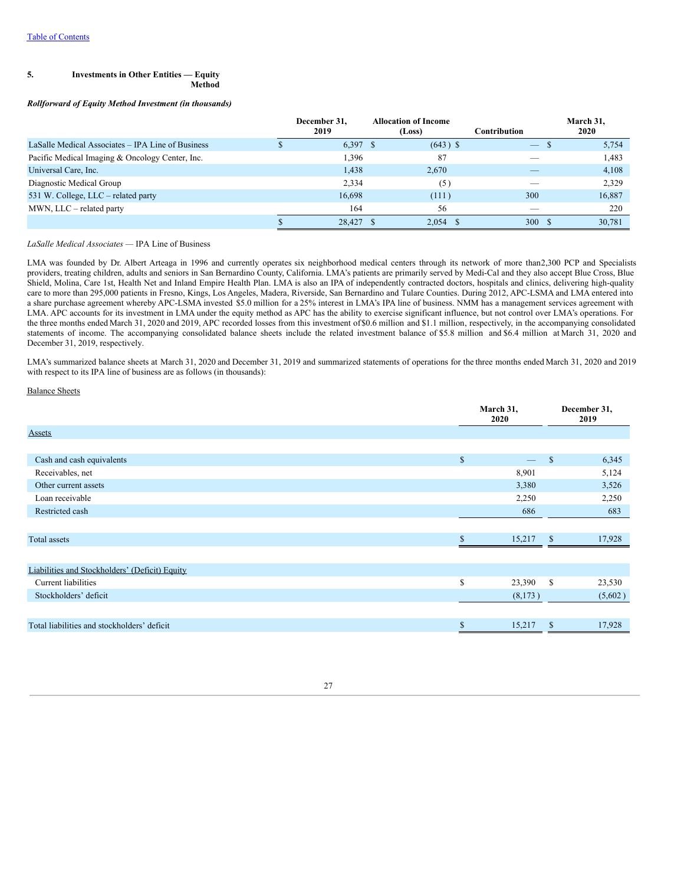#### **5. Investments in Other Entities — Equity Method**

### *Rollforward of Equity Method Investment (in thousands)*

|                                                   | December 31,<br>2019 | <b>Allocation of Income</b><br>(Loss) | <b>Contribution</b>      | March 31.<br>2020 |
|---------------------------------------------------|----------------------|---------------------------------------|--------------------------|-------------------|
| LaSalle Medical Associates – IPA Line of Business | $6,397$ \$           | $(643)$ \$                            | $\overline{\phantom{m}}$ | 5,754             |
| Pacific Medical Imaging & Oncology Center, Inc.   | 1,396                | 87                                    |                          | 1,483             |
| Universal Care, Inc.                              | 1,438                | 2,670                                 |                          | 4,108             |
| Diagnostic Medical Group                          | 2,334                | (5)                                   |                          | 2,329             |
| 531 W. College, LLC – related party               | 16.698               | (111)                                 | 300                      | 16,887            |
| MWN, LLC – related party                          | 164                  | 56                                    | __                       | 220               |
|                                                   | 28,427 \$            | $2,054$ \$                            | 300S                     | 30,781            |

#### *LaSalle Medical Associates —* IPA Line of Business

LMA was founded by Dr. Albert Arteaga in 1996 and currently operates six neighborhood medical centers through its network of more than2,300 PCP and Specialists providers, treating children, adults and seniors in San Bernardino County, California. LMA's patients are primarily served by Medi-Cal and they also accept Blue Cross, Blue Shield, Molina, Care 1st, Health Net and Inland Empire Health Plan. LMA is also an IPA of independently contracted doctors, hospitals and clinics, delivering high-quality care to more than 295,000 patients in Fresno, Kings, Los Angeles, Madera, Riverside, San Bernardino and Tulare Counties. During 2012, APC-LSMA and LMA entered into a share purchase agreement whereby APC-LSMA invested \$5.0 million for a 25% interest in LMA's IPA line of business. NMM has a management services agreement with LMA. APC accounts for its investment in LMA under the equity method as APC has the ability to exercise significant influence, but not control over LMA's operations. For the three months ended March 31, 2020 and 2019, APC recorded losses from this investment of \$0.6 million and \$1.1 million, respectively, in the accompanying consolidated statements of income. The accompanying consolidated balance sheets include the related investment balance of \$5.8 million and \$6.4 million at March 31, 2020 and December 31, 2019, respectively.

LMA's summarized balance sheets at March 31, 2020 and December 31, 2019 and summarized statements of operations for the three months ended March 31, 2020 and 2019 with respect to its IPA line of business are as follows (in thousands):

#### Balance Sheets

|                                                |              | March 31,<br>2020        |              | December 31,<br>2019 |
|------------------------------------------------|--------------|--------------------------|--------------|----------------------|
| <b>Assets</b>                                  |              |                          |              |                      |
|                                                |              |                          |              |                      |
| Cash and cash equivalents                      | $\mathbb{S}$ | $\overline{\phantom{m}}$ | $\mathbb{S}$ | 6,345                |
| Receivables, net                               |              | 8,901                    |              | 5,124                |
| Other current assets                           |              | 3,380                    |              | 3,526                |
| Loan receivable                                |              | 2,250                    |              | 2,250                |
| Restricted cash                                |              | 686                      |              | 683                  |
|                                                |              |                          |              |                      |
| Total assets                                   | $\mathbb{S}$ | 15,217                   | \$           | 17,928               |
|                                                |              |                          |              |                      |
| Liabilities and Stockholders' (Deficit) Equity |              |                          |              |                      |
| Current liabilities                            | \$           | 23,390                   | \$           | 23,530               |
| Stockholders' deficit                          |              | (8,173)                  |              | (5,602)              |
|                                                |              |                          |              |                      |
| Total liabilities and stockholders' deficit    | \$           | 15,217                   | \$           | 17,928               |
|                                                |              |                          |              |                      |

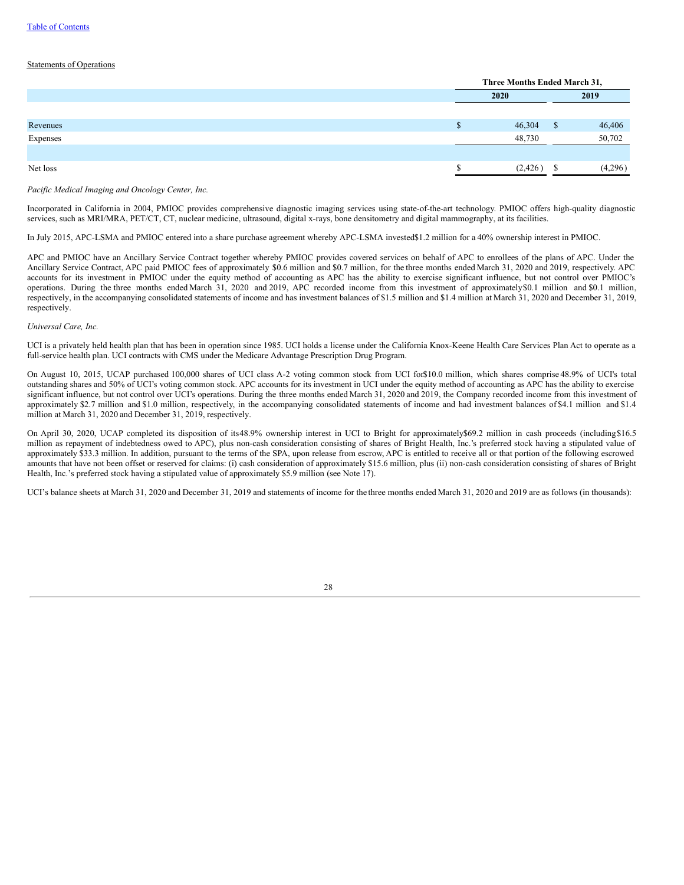#### Statements of Operations

|          |   | Three Months Ended March 31, |    |         |
|----------|---|------------------------------|----|---------|
|          |   | 2020                         |    | 2019    |
|          |   |                              |    |         |
| Revenues | S | 46,304                       | -S | 46,406  |
| Expenses |   | 48,730                       |    | 50,702  |
|          |   |                              |    |         |
| Net loss |   | (2, 426)                     | S  | (4,296) |

#### *Pacific Medical Imaging and Oncology Center, Inc.*

Incorporated in California in 2004, PMIOC provides comprehensive diagnostic imaging services using state-of-the-art technology. PMIOC offers high-quality diagnostic services, such as MRI/MRA, PET/CT, CT, nuclear medicine, ultrasound, digital x-rays, bone densitometry and digital mammography, at its facilities.

In July 2015, APC-LSMA and PMIOC entered into a share purchase agreement whereby APC-LSMA invested\$1.2 million for a 40% ownership interest in PMIOC.

APC and PMIOC have an Ancillary Service Contract together whereby PMIOC provides covered services on behalf of APC to enrollees of the plans of APC. Under the Ancillary Service Contract, APC paid PMIOC fees of approximately \$0.6 million and \$0.7 million, for the three months ended March 31, 2020 and 2019, respectively. APC accounts for its investment in PMIOC under the equity method of accounting as APC has the ability to exercise significant influence, but not control over PMIOC's operations. During the three months ended March 31, 2020 and 2019, APC recorded income from this investment of approximately\$0.1 million and \$0.1 million, respectively, in the accompanying consolidated statements of income and has investment balances of \$1.5 million and \$1.4 million at March 31, 2020 and December 31, 2019, respectively.

#### *Universal Care, Inc.*

UCI is a privately held health plan that has been in operation since 1985. UCI holds a license under the California Knox-Keene Health Care Services Plan Act to operate as a full-service health plan. UCI contracts with CMS under the Medicare Advantage Prescription Drug Program.

On August 10, 2015, UCAP purchased 100,000 shares of UCI class A-2 voting common stock from UCI for\$10.0 million, which shares comprise 48.9% of UCI's total outstanding shares and 50% of UCI's voting common stock. APC accounts for its investment in UCI under the equity method of accounting as APC has the ability to exercise significant influence, but not control over UCI's operations. During the three months ended March 31, 2020 and 2019, the Company recorded income from this investment of approximately \$2.7 million and \$1.0 million, respectively, in the accompanying consolidated statements of income and had investment balances of \$4.1 million and \$1.4 million at March 31, 2020 and December 31, 2019, respectively.

On April 30, 2020, UCAP completed its disposition of its48.9% ownership interest in UCI to Bright for approximately\$69.2 million in cash proceeds (including\$16.5 million as repayment of indebtedness owed to APC), plus non-cash consideration consisting of shares of Bright Health, Inc.'s preferred stock having a stipulated value of approximately \$33.3 million. In addition, pursuant to the terms of the SPA, upon release from escrow, APC is entitled to receive all or that portion of the following escrowed amounts that have not been offset or reserved for claims: (i) cash consideration of approximately \$15.6 million, plus (ii) non-cash consideration consisting of shares of Bright Health, Inc.'s preferred stock having a stipulated value of approximately \$5.9 million (see Note 17).

UCI's balance sheets at March 31, 2020 and December 31, 2019 and statements of income for the three months ended March 31, 2020 and 2019 are as follows (in thousands):

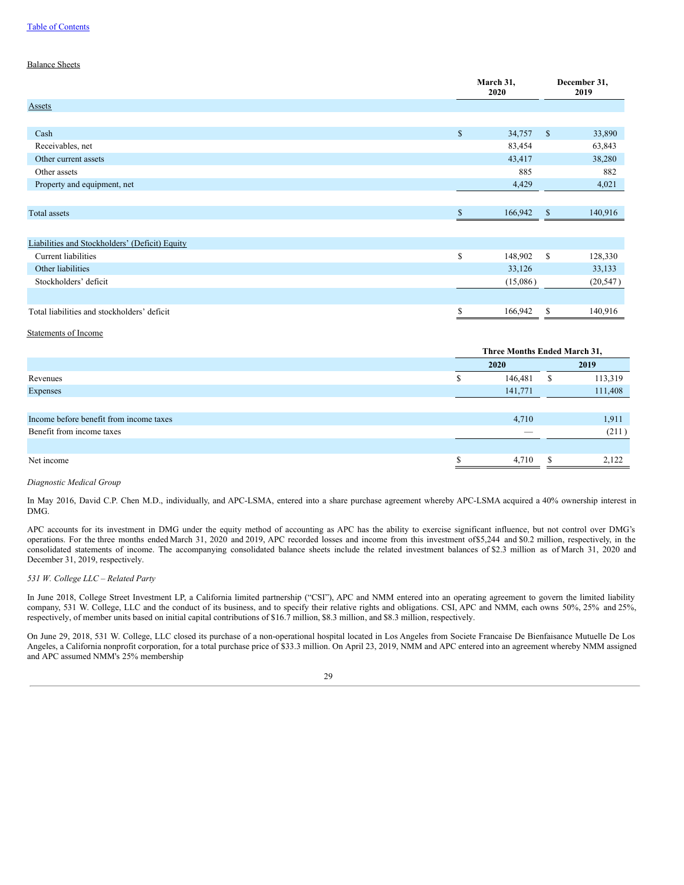#### Table of [Contents](#page-1-0)

#### Balance Sheets

|                                                |               | March 31,<br>2020            | December 31,<br>2019 |           |
|------------------------------------------------|---------------|------------------------------|----------------------|-----------|
| <b>Assets</b>                                  |               |                              |                      |           |
|                                                |               |                              |                      |           |
| Cash                                           | $\mathbb{S}$  | 34,757                       | $\mathbb{S}$         | 33,890    |
| Receivables, net                               |               | 83,454                       |                      | 63,843    |
| Other current assets                           |               | 43,417                       |                      | 38,280    |
| Other assets                                   |               | 885                          |                      | 882       |
| Property and equipment, net                    |               | 4,429                        |                      | 4,021     |
|                                                |               |                              |                      |           |
| <b>Total</b> assets                            | $\mathbb{S}$  | 166,942                      | $\mathbb{S}$         | 140,916   |
| Liabilities and Stockholders' (Deficit) Equity |               |                              |                      |           |
| <b>Current liabilities</b>                     | ${\mathbb S}$ | 148,902                      | $\mathbb S$          | 128,330   |
| Other liabilities                              |               | 33,126                       |                      | 33,133    |
| Stockholders' deficit                          |               | (15,086)                     |                      | (20, 547) |
|                                                |               |                              |                      |           |
| Total liabilities and stockholders' deficit    | <sup>\$</sup> | 166,942                      | \$                   | 140,916   |
| <b>Statements of Income</b>                    |               |                              |                      |           |
|                                                |               | Three Months Ended March 31, |                      |           |
|                                                |               | 2020                         |                      | 2019      |
| Revenues                                       | $\mathbb{S}$  | 146,481                      | $\mathbb S$          | 113,319   |
| Expenses                                       |               | 141,771                      |                      | 111,408   |
| Income before benefit from income taxes        |               | 4,710                        |                      | 1,911     |
| Benefit from income taxes                      |               |                              |                      | (211)     |
|                                                |               |                              |                      |           |
| Net income                                     | \$            | 4,710                        | \$                   | 2,122     |

#### *Diagnostic Medical Group*

In May 2016, David C.P. Chen M.D., individually, and APC-LSMA, entered into a share purchase agreement whereby APC-LSMA acquired a 40% ownership interest in DMG.

APC accounts for its investment in DMG under the equity method of accounting as APC has the ability to exercise significant influence, but not control over DMG's operations. For the three months ended March 31, 2020 and 2019, APC recorded losses and income from this investment of\$5,244 and \$0.2 million, respectively, in the consolidated statements of income. The accompanying consolidated balance sheets include the related investment balances of \$2.3 million as of March 31, 2020 and December 31, 2019, respectively.

#### *531 W. College LLC – Related Party*

In June 2018, College Street Investment LP, a California limited partnership ("CSI"), APC and NMM entered into an operating agreement to govern the limited liability company, 531 W. College, LLC and the conduct of its business, and to specify their relative rights and obligations. CSI, APC and NMM, each owns 50%, 25% and 25%, respectively, of member units based on initial capital contributions of \$16.7 million, \$8.3 million, and \$8.3 million, respectively.

On June 29, 2018, 531 W. College, LLC closed its purchase of a non-operational hospital located in Los Angeles from Societe Francaise De Bienfaisance Mutuelle De Los Angeles, a California nonprofit corporation, for a total purchase price of \$33.3 million. On April 23, 2019, NMM and APC entered into an agreement whereby NMM assigned and APC assumed NMM's 25% membership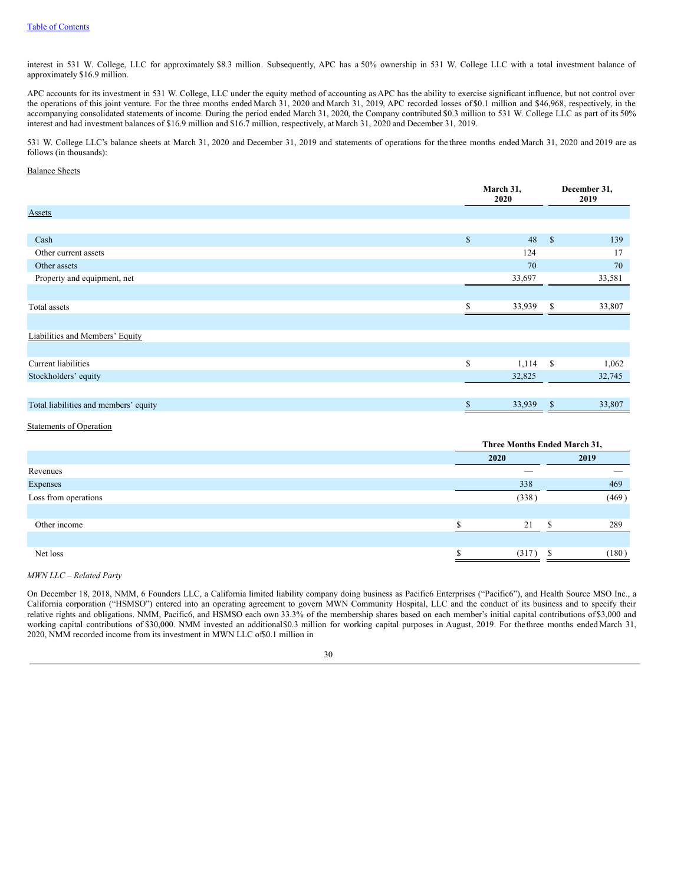interest in 531 W. College, LLC for approximately \$8.3 million. Subsequently, APC has a 50% ownership in 531 W. College LLC with a total investment balance of approximately \$16.9 million.

APC accounts for its investment in 531 W. College, LLC under the equity method of accounting as APC has the ability to exercise significant influence, but not control over the operations of this joint venture. For the three months ended March 31, 2020 and March 31, 2019, APC recorded losses of \$0.1 million and \$46,968, respectively, in the accompanying consolidated statements of income. During the period ended March 31, 2020, the Company contributed \$0.3 million to 531 W. College LLC as part of its 50% interest and had investment balances of \$16.9 million and \$16.7 million, respectively, at March 31, 2020 and December 31, 2019.

531 W. College LLC's balance sheets at March 31, 2020 and December 31, 2019 and statements of operations for the three months ended March 31, 2020 and 2019 are as follows (in thousands):

#### Balance Sheets

|                                       |              | March 31,<br>2020 |                    | December 31,<br>2019 |
|---------------------------------------|--------------|-------------------|--------------------|----------------------|
| <b>Assets</b>                         |              |                   |                    |                      |
|                                       |              |                   |                    |                      |
| Cash                                  | $\mathbb{S}$ | 48                | $\mathbf{\hat{s}}$ | 139                  |
| Other current assets                  |              | 124               |                    | 17                   |
| Other assets                          |              | 70                |                    | 70                   |
| Property and equipment, net           |              | 33,697            |                    | 33,581               |
|                                       |              |                   |                    |                      |
| Total assets                          | \$.          | 33,939            | \$                 | 33,807               |
|                                       |              |                   |                    |                      |
| Liabilities and Members' Equity       |              |                   |                    |                      |
|                                       |              |                   |                    |                      |
| Current liabilities                   | \$           | 1,114             | \$                 | 1,062                |
| Stockholders' equity                  |              | 32,825            |                    | 32,745               |
|                                       |              |                   |                    |                      |
| Total liabilities and members' equity | \$           | 33,939            | \$                 | 33,807               |

#### Statements of Operation

|                      | Three Months Ended March 31, |      |       |  |
|----------------------|------------------------------|------|-------|--|
|                      | 2020                         | 2019 |       |  |
| Revenues             | $\overline{\phantom{a}}$     |      | _     |  |
| Expenses             | 338                          |      | 469   |  |
| Loss from operations | (338)                        |      | (469) |  |
|                      |                              |      |       |  |
| Other income         | 21                           | 'N   | 289   |  |
|                      |                              |      |       |  |
| Net loss             | (317)                        |      | (180) |  |
|                      |                              |      |       |  |

#### *MWN LLC – Related Party*

On December 18, 2018, NMM, 6 Founders LLC, a California limited liability company doing business as Pacific6 Enterprises ("Pacific6"), and Health Source MSO Inc., a California corporation ("HSMSO") entered into an operating agreement to govern MWN Community Hospital, LLC and the conduct of its business and to specify their relative rights and obligations. NMM, Pacific6, and HSMSO each own 33.3% of the membership shares based on each member's initial capital contributions of \$3,000 and working capital contributions of \$30,000. NMM invested an additional\$0.3 million for working capital purposes in August, 2019. For the three months ended March 31, 2020, NMM recorded income from its investment in MWN LLC of\$0.1 million in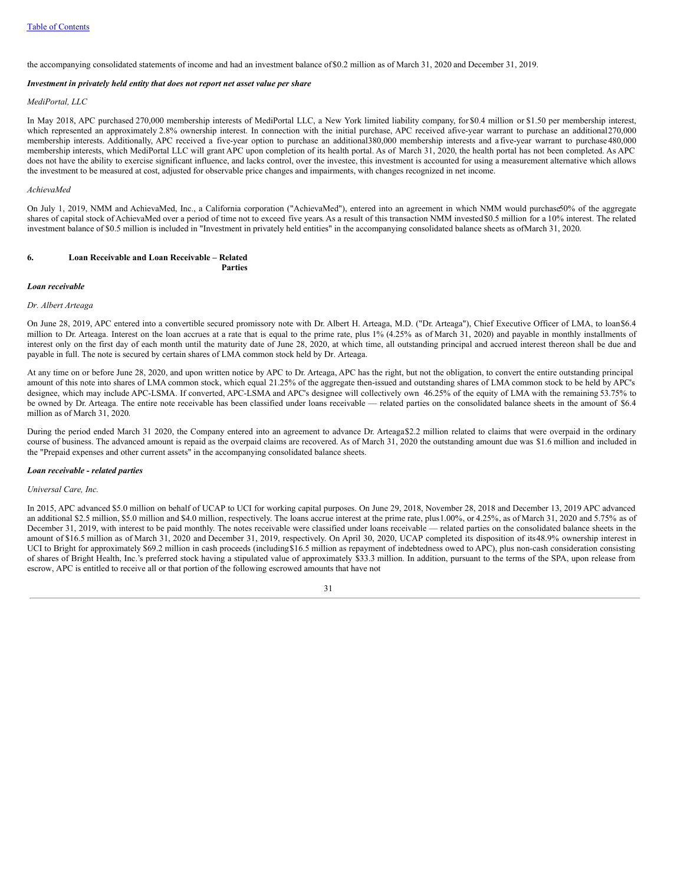the accompanying consolidated statements of income and had an investment balance of \$0.2 million as of March 31, 2020 and December 31, 2019.

#### *Investment in privately held entity that does not report net asset value per share*

#### *MediPortal, LLC*

In May 2018, APC purchased 270,000 membership interests of MediPortal LLC, a New York limited liability company, for \$0.4 million or \$1.50 per membership interest, which represented an approximately 2.8% ownership interest. In connection with the initial purchase, APC received afive-year warrant to purchase an additional270,000 membership interests. Additionally, APC received a five-year option to purchase an additional380,000 membership interests and a five-year warrant to purchase 480,000 membership interests, which MediPortal LLC will grant APC upon completion of its health portal. As of March 31, 2020, the health portal has not been completed. As APC does not have the ability to exercise significant influence, and lacks control, over the investee, this investment is accounted for using a measurement alternative which allows the investment to be measured at cost, adjusted for observable price changes and impairments, with changes recognized in net income.

#### *AchievaMed*

On July 1, 2019, NMM and AchievaMed, Inc., a California corporation ("AchievaMed"), entered into an agreement in which NMM would purchase50% of the aggregate shares of capital stock of AchievaMed over a period of time not to exceed five years. As a result of this transaction NMM invested \$0.5 million for a 10% interest. The related investment balance of \$0.5 million is included in "Investment in privately held entities" in the accompanying consolidated balance sheets as ofMarch 31, 2020.

#### **6. Loan Receivable and Loan Receivable – Related Parties**

#### *Loan receivable*

#### *Dr. Albert Arteaga*

On June 28, 2019, APC entered into a convertible secured promissory note with Dr. Albert H. Arteaga, M.D. ("Dr. Arteaga"), Chief Executive Officer of LMA, to loan\$6.4 million to Dr. Arteaga. Interest on the loan accrues at a rate that is equal to the prime rate, plus 1% (4.25% as of March 31, 2020) and payable in monthly installments of interest only on the first day of each month until the maturity date of June 28, 2020, at which time, all outstanding principal and accrued interest thereon shall be due and payable in full. The note is secured by certain shares of LMA common stock held by Dr. Arteaga.

At any time on or before June 28, 2020, and upon written notice by APC to Dr. Arteaga, APC has the right, but not the obligation, to convert the entire outstanding principal amount of this note into shares of LMA common stock, which equal 21.25% of the aggregate then-issued and outstanding shares of LMA common stock to be held by APC's designee, which may include APC-LSMA. If converted, APC-LSMA and APC's designee will collectively own 46.25% of the equity of LMA with the remaining 53.75% to be owned by Dr. Arteaga. The entire note receivable has been classified under loans receivable — related parties on the consolidated balance sheets in the amount of \$6.4 million as of March 31, 2020.

During the period ended March 31 2020, the Company entered into an agreement to advance Dr. Arteaga\$2.2 million related to claims that were overpaid in the ordinary course of business. The advanced amount is repaid as the overpaid claims are recovered. As of March 31, 2020 the outstanding amount due was \$1.6 million and included in the "Prepaid expenses and other current assets" in the accompanying consolidated balance sheets.

#### *Loan receivable - related parties*

#### *Universal Care, Inc.*

In 2015, APC advanced \$5.0 million on behalf of UCAP to UCI for working capital purposes. On June 29, 2018, November 28, 2018 and December 13, 2019 APC advanced an additional \$2.5 million, \$5.0 million and \$4.0 million, respectively. The loans accrue interest at the prime rate, plus1.00%, or 4.25%, as of March 31, 2020 and 5.75% as of December 31, 2019, with interest to be paid monthly. The notes receivable were classified under loans receivable — related parties on the consolidated balance sheets in the amount of \$16.5 million as of March 31, 2020 and December 31, 2019, respectively. On April 30, 2020, UCAP completed its disposition of its48.9% ownership interest in UCI to Bright for approximately \$69.2 million in cash proceeds (including \$16.5 million as repayment of indebtedness owed to APC), plus non-cash consideration consisting of shares of Bright Health, Inc.'s preferred stock having a stipulated value of approximately \$33.3 million. In addition, pursuant to the terms of the SPA, upon release from escrow, APC is entitled to receive all or that portion of the following escrowed amounts that have not

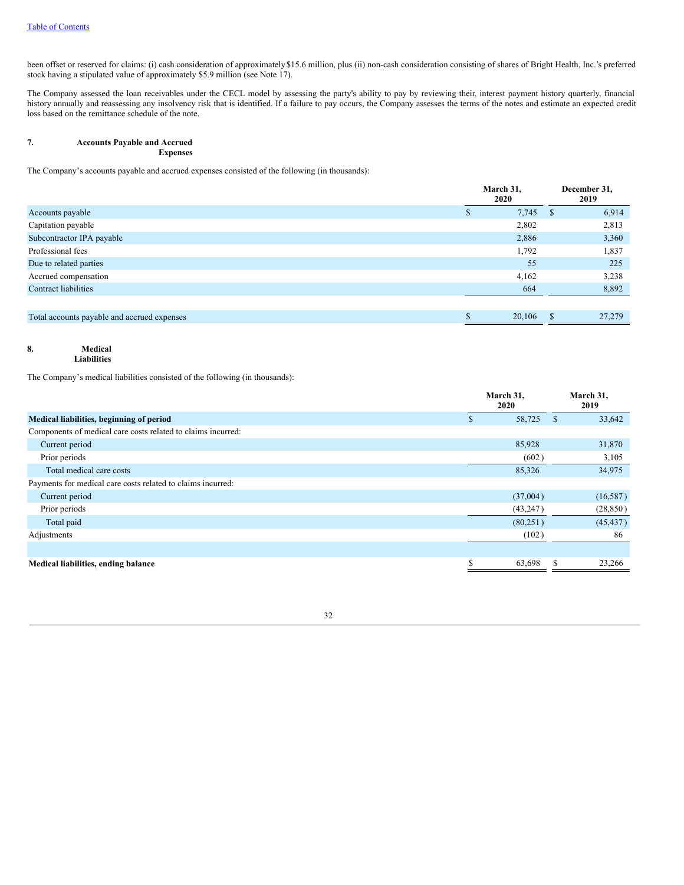been offset or reserved for claims: (i) cash consideration of approximately \$15.6 million, plus (ii) non-cash consideration consisting of shares of Bright Health, Inc.'s preferred stock having a stipulated value of approximately \$5.9 million (see Note 17).

The Company assessed the loan receivables under the CECL model by assessing the party's ability to pay by reviewing their, interest payment history quarterly, financial history annually and reassessing any insolvency risk that is identified. If a failure to pay occurs, the Company assesses the terms of the notes and estimate an expected credit loss based on the remittance schedule of the note.

#### **7. Accounts Payable and Accrued Expenses**

The Company's accounts payable and accrued expenses consisted of the following (in thousands):

|                                             | March 31,<br>2020      | December 31,<br>2019   |  |
|---------------------------------------------|------------------------|------------------------|--|
| Accounts payable                            | 7,745<br>$\mathbf{D}$  | 6,914<br><sup>\$</sup> |  |
| Capitation payable                          | 2,802                  | 2,813                  |  |
| Subcontractor IPA payable                   | 2,886                  | 3,360                  |  |
| Professional fees                           | 1,792                  | 1,837                  |  |
| Due to related parties                      | 55                     | 225                    |  |
| Accrued compensation                        | 4,162                  | 3,238                  |  |
| Contract liabilities                        | 664                    | 8,892                  |  |
|                                             |                        |                        |  |
| Total accounts payable and accrued expenses | $\mathbf{s}$<br>20,106 | 27,279<br><b>S</b>     |  |

#### **8. Medical Liabilities**

The Company's medical liabilities consisted of the following (in thousands):

|                                                              |          | March 31,<br>2020 |               | March 31,<br>2019 |
|--------------------------------------------------------------|----------|-------------------|---------------|-------------------|
| Medical liabilities, beginning of period                     | S.       | 58,725            | <sup>\$</sup> | 33,642            |
| Components of medical care costs related to claims incurred: |          |                   |               |                   |
| Current period                                               |          | 85,928            |               | 31,870            |
| Prior periods                                                |          | (602)             |               | 3,105             |
| Total medical care costs                                     |          | 85,326            |               | 34,975            |
| Payments for medical care costs related to claims incurred:  |          |                   |               |                   |
| Current period                                               |          | (37,004)          |               | (16,587)          |
| Prior periods                                                |          | (43, 247)         |               | (28, 850)         |
| Total paid                                                   |          | (80, 251)         |               | (45, 437)         |
| Adjustments                                                  |          | (102)             |               | 86                |
|                                                              |          |                   |               |                   |
| Medical liabilities, ending balance                          | $\sigma$ | 63,698            | £.            | 23,266            |

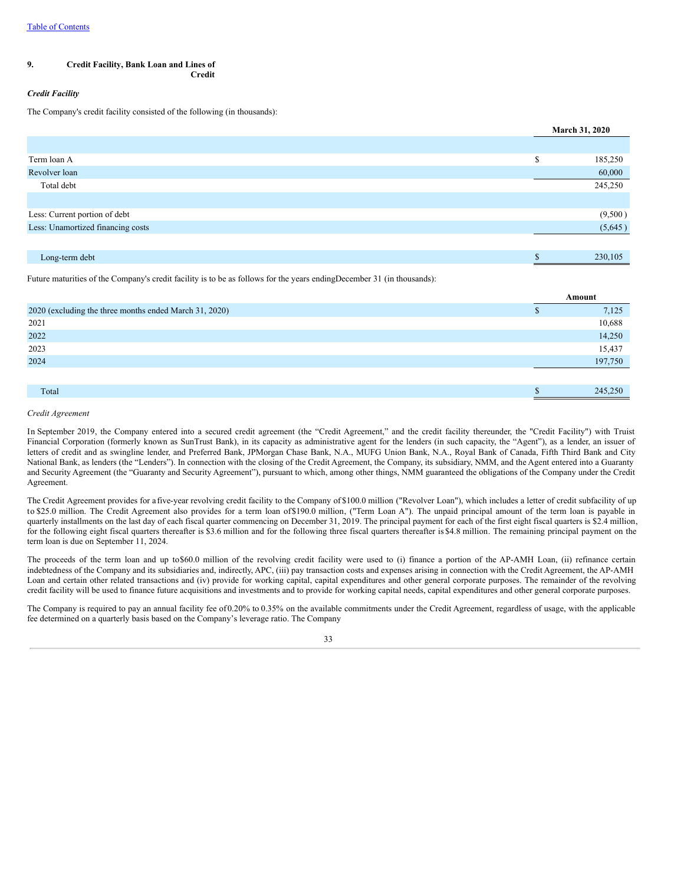#### **9. Credit Facility, Bank Loan and Lines of Credit**

#### *Credit Facility*

The Company's credit facility consisted of the following (in thousands):

|                                   |                   | <b>March 31, 2020</b> |
|-----------------------------------|-------------------|-----------------------|
|                                   |                   |                       |
| Term loan A                       | S                 | 185,250               |
| Revolver loan                     |                   | 60,000                |
| Total debt                        |                   | 245,250               |
|                                   |                   |                       |
| Less: Current portion of debt     |                   | (9,500)               |
| Less: Unamortized financing costs |                   | (5,645)               |
|                                   |                   |                       |
| Long-term debt                    | Φ<br>$\mathbf{D}$ | 230,105               |

Future maturities of the Company's credit facility is to be as follows for the years endingDecember 31 (in thousands):

|                                                        |                | Amount  |
|--------------------------------------------------------|----------------|---------|
| 2020 (excluding the three months ended March 31, 2020) |                | 7,125   |
| 2021                                                   |                | 10,688  |
| 2022                                                   |                | 14,250  |
| 2023                                                   |                | 15,437  |
| 2024                                                   |                | 197,750 |
|                                                        |                |         |
| Total                                                  | $\sigma$<br>۰D | 245,250 |

#### *Credit Agreement*

In September 2019, the Company entered into a secured credit agreement (the "Credit Agreement," and the credit facility thereunder, the "Credit Facility") with Truist Financial Corporation (formerly known as SunTrust Bank), in its capacity as administrative agent for the lenders (in such capacity, the "Agent"), as a lender, an issuer of letters of credit and as swingline lender, and Preferred Bank, JPMorgan Chase Bank, N.A., MUFG Union Bank, N.A., Royal Bank of Canada, Fifth Third Bank and City National Bank, as lenders (the "Lenders"). In connection with the closing of the Credit Agreement, the Company, its subsidiary, NMM, and the Agent entered into a Guaranty and Security Agreement (the "Guaranty and Security Agreement"), pursuant to which, among other things, NMM guaranteed the obligations of the Company under the Credit Agreement.

The Credit Agreement provides for a five-year revolving credit facility to the Company of \$100.0 million ("Revolver Loan"), which includes a letter of credit subfacility of up to \$25.0 million. The Credit Agreement also provides for a term loan of\$190.0 million, ("Term Loan A"). The unpaid principal amount of the term loan is payable in quarterly installments on the last day of each fiscal quarter commencing on December 31, 2019. The principal payment for each of the first eight fiscal quarters is \$2.4 million, for the following eight fiscal quarters thereafter is \$3.6 million and for the following three fiscal quarters thereafter is \$4.8 million. The remaining principal payment on the term loan is due on September 11, 2024.

The proceeds of the term loan and up to \$60.0 million of the revolving credit facility were used to (i) finance a portion of the AP-AMH Loan, (ii) refinance certain indebtedness of the Company and its subsidiaries and, indirectly, APC, (iii) pay transaction costs and expenses arising in connection with the Credit Agreement, the AP-AMH Loan and certain other related transactions and (iv) provide for working capital, capital expenditures and other general corporate purposes. The remainder of the revolving credit facility will be used to finance future acquisitions and investments and to provide for working capital needs, capital expenditures and other general corporate purposes.

The Company is required to pay an annual facility fee of0.20% to 0.35% on the available commitments under the Credit Agreement, regardless of usage, with the applicable fee determined on a quarterly basis based on the Company's leverage ratio. The Company

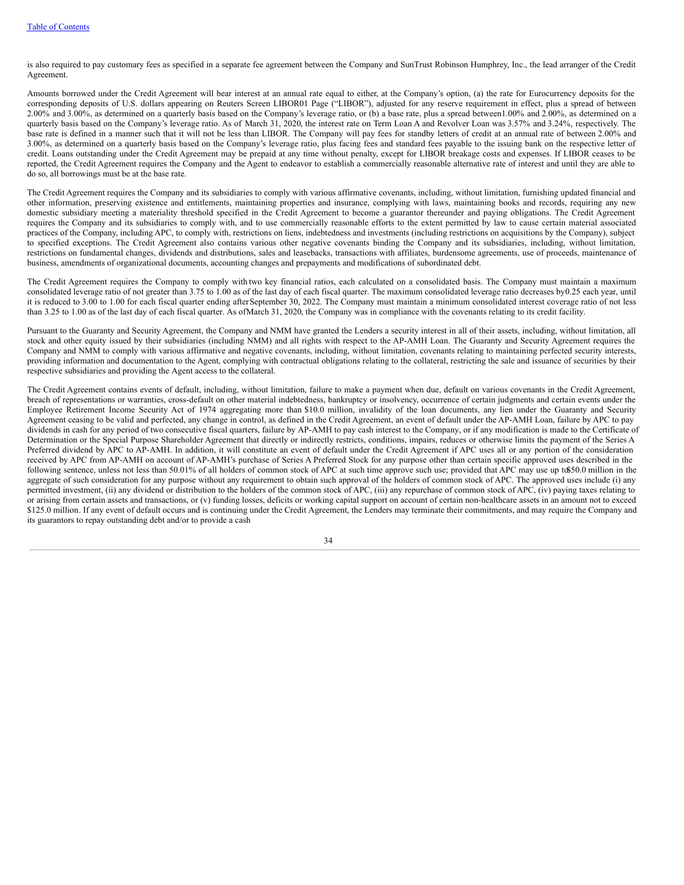is also required to pay customary fees as specified in a separate fee agreement between the Company and SunTrust Robinson Humphrey, Inc., the lead arranger of the Credit Agreement.

Amounts borrowed under the Credit Agreement will bear interest at an annual rate equal to either, at the Company's option, (a) the rate for Eurocurrency deposits for the corresponding deposits of U.S. dollars appearing on Reuters Screen LIBOR01 Page ("LIBOR"), adjusted for any reserve requirement in effect, plus a spread of between 2.00% and 3.00%, as determined on a quarterly basis based on the Company's leverage ratio, or (b) a base rate, plus a spread between1.00% and 2.00%, as determined on a quarterly basis based on the Company's leverage ratio. As of March 31, 2020, the interest rate on Term Loan A and Revolver Loan was 3.57% and 3.24%, respectively. The base rate is defined in a manner such that it will not be less than LIBOR. The Company will pay fees for standby letters of credit at an annual rate of between 2.00% and 3.00%, as determined on a quarterly basis based on the Company's leverage ratio, plus facing fees and standard fees payable to the issuing bank on the respective letter of credit. Loans outstanding under the Credit Agreement may be prepaid at any time without penalty, except for LIBOR breakage costs and expenses. If LIBOR ceases to be reported, the Credit Agreement requires the Company and the Agent to endeavor to establish a commercially reasonable alternative rate of interest and until they are able to do so, all borrowings must be at the base rate.

The Credit Agreement requires the Company and its subsidiaries to comply with various affirmative covenants, including, without limitation, furnishing updated financial and other information, preserving existence and entitlements, maintaining properties and insurance, complying with laws, maintaining books and records, requiring any new domestic subsidiary meeting a materiality threshold specified in the Credit Agreement to become a guarantor thereunder and paying obligations. The Credit Agreement requires the Company and its subsidiaries to comply with, and to use commercially reasonable efforts to the extent permitted by law to cause certain material associated practices of the Company, including APC, to comply with, restrictions on liens, indebtedness and investments (including restrictions on acquisitions by the Company), subject to specified exceptions. The Credit Agreement also contains various other negative covenants binding the Company and its subsidiaries, including, without limitation, restrictions on fundamental changes, dividends and distributions, sales and leasebacks, transactions with affiliates, burdensome agreements, use of proceeds, maintenance of business, amendments of organizational documents, accounting changes and prepayments and modifications of subordinated debt.

The Credit Agreement requires the Company to comply with two key financial ratios, each calculated on a consolidated basis. The Company must maintain a maximum consolidated leverage ratio of not greater than 3.75 to 1.00 as of the last day of each fiscal quarter. The maximum consolidated leverage ratio decreases by0.25 each year, until it is reduced to 3.00 to 1.00 for each fiscal quarter ending afterSeptember 30, 2022. The Company must maintain a minimum consolidated interest coverage ratio of not less than 3.25 to 1.00 as of the last day of each fiscal quarter. As of March 31, 2020, the Company was in compliance with the covenants relating to its credit facility.

Pursuant to the Guaranty and Security Agreement, the Company and NMM have granted the Lenders a security interest in all of their assets, including, without limitation, all stock and other equity issued by their subsidiaries (including NMM) and all rights with respect to the AP-AMH Loan. The Guaranty and Security Agreement requires the Company and NMM to comply with various affirmative and negative covenants, including, without limitation, covenants relating to maintaining perfected security interests, providing information and documentation to the Agent, complying with contractual obligations relating to the collateral, restricting the sale and issuance of securities by their respective subsidiaries and providing the Agent access to the collateral.

The Credit Agreement contains events of default, including, without limitation, failure to make a payment when due, default on various covenants in the Credit Agreement, breach of representations or warranties, cross-default on other material indebtedness, bankruptcy or insolvency, occurrence of certain judgments and certain events under the Employee Retirement Income Security Act of 1974 aggregating more than \$10.0 million, invalidity of the loan documents, any lien under the Guaranty and Security Agreement ceasing to be valid and perfected, any change in control, as defined in the Credit Agreement, an event of default under the AP-AMH Loan, failure by APC to pay dividends in cash for any period of two consecutive fiscal quarters, failure by AP-AMH to pay cash interest to the Company, or if any modification is made to the Certificate of Determination or the Special Purpose Shareholder Agreement that directly or indirectly restricts, conditions, impairs, reduces or otherwise limits the payment of the Series A Preferred dividend by APC to AP-AMH. In addition, it will constitute an event of default under the Credit Agreement if APC uses all or any portion of the consideration received by APC from AP-AMH on account of AP-AMH's purchase of Series A Preferred Stock for any purpose other than certain specific approved uses described in the following sentence, unless not less than 50.01% of all holders of common stock of APC at such time approve such use; provided that APC may use up to \$50.0 million in the aggregate of such consideration for any purpose without any requirement to obtain such approval of the holders of common stock of APC. The approved uses include (i) any permitted investment, (ii) any dividend or distribution to the holders of the common stock of APC, (iii) any repurchase of common stock of APC, (iv) paying taxes relating to or arising from certain assets and transactions, or (v) funding losses, deficits or working capital support on account of certain non-healthcare assets in an amount not to exceed \$125.0 million. If any event of default occurs and is continuing under the Credit Agreement, the Lenders may terminate their commitments, and may require the Company and its guarantors to repay outstanding debt and/or to provide a cash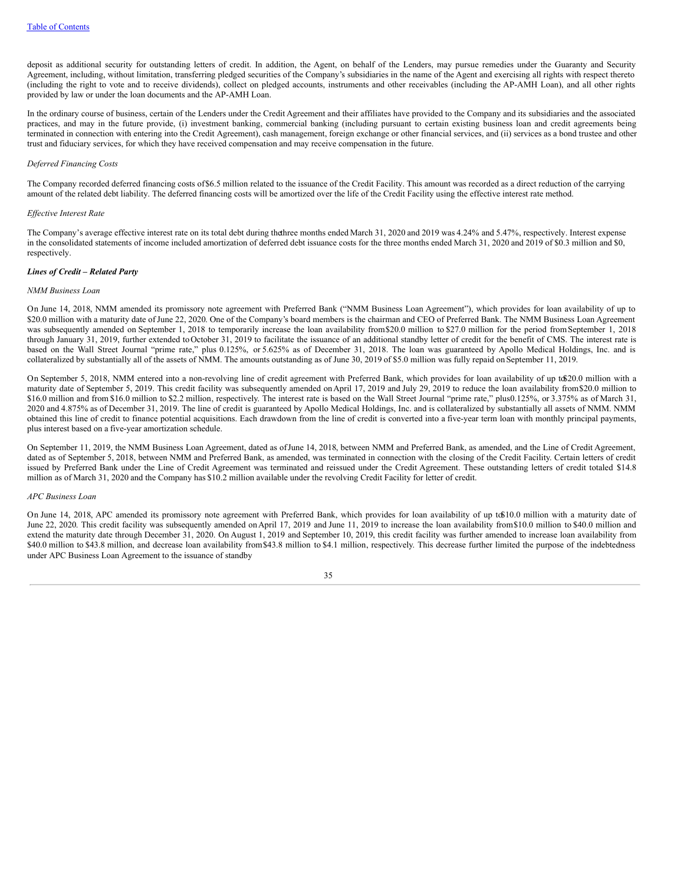deposit as additional security for outstanding letters of credit. In addition, the Agent, on behalf of the Lenders, may pursue remedies under the Guaranty and Security Agreement, including, without limitation, transferring pledged securities of the Company's subsidiaries in the name of the Agent and exercising all rights with respect thereto (including the right to vote and to receive dividends), collect on pledged accounts, instruments and other receivables (including the AP-AMH Loan), and all other rights provided by law or under the loan documents and the AP-AMH Loan.

In the ordinary course of business, certain of the Lenders under the Credit Agreement and their affiliates have provided to the Company and its subsidiaries and the associated practices, and may in the future provide, (i) investment banking, commercial banking (including pursuant to certain existing business loan and credit agreements being terminated in connection with entering into the Credit Agreement), cash management, foreign exchange or other financial services, and (ii) services as a bond trustee and other trust and fiduciary services, for which they have received compensation and may receive compensation in the future.

#### *Deferred Financing Costs*

The Company recorded deferred financing costs of\$6.5 million related to the issuance of the Credit Facility. This amount was recorded as a direct reduction of the carrying amount of the related debt liability. The deferred financing costs will be amortized over the life of the Credit Facility using the effective interest rate method.

#### *Ef ective Interest Rate*

The Company's average effective interest rate on its total debt during thethree months ended March 31, 2020 and 2019 was 4.24% and 5.47%, respectively. Interest expense in the consolidated statements of income included amortization of deferred debt issuance costs for the three months ended March 31, 2020 and 2019 of \$0.3 million and \$0, respectively.

#### *Lines of Credit – Related Party*

#### *NMM Business Loan*

On June 14, 2018, NMM amended its promissory note agreement with Preferred Bank ("NMM Business Loan Agreement"), which provides for loan availability of up to \$20.0 million with a maturity date of June 22, 2020. One of the Company's board members is the chairman and CEO of Preferred Bank. The NMM Business Loan Agreement was subsequently amended on September 1, 2018 to temporarily increase the loan availability from\$20.0 million to \$27.0 million for the period from September 1, 2018 through January 31, 2019, further extended toOctober 31, 2019 to facilitate the issuance of an additional standby letter of credit for the benefit of CMS. The interest rate is based on the Wall Street Journal "prime rate," plus 0.125%, or 5.625% as of December 31, 2018. The loan was guaranteed by Apollo Medical Holdings, Inc. and is collateralized by substantially all of the assets of NMM. The amounts outstanding as of June 30, 2019 of \$5.0 million was fully repaid on September 11, 2019.

On September 5, 2018, NMM entered into a non-revolving line of credit agreement with Preferred Bank, which provides for loan availability of up to\$20.0 million with a maturity date of September 5, 2019. This credit facility was subsequently amended onApril 17, 2019 and July 29, 2019 to reduce the loan availability from\$20.0 million to \$16.0 million and from \$16.0 million to \$2.2 million, respectively. The interest rate is based on the Wall Street Journal "prime rate," plus0.125%, or 3.375% as of March 31, 2020 and 4.875% as of December 31, 2019. The line of credit is guaranteed by Apollo Medical Holdings, Inc. and is collateralized by substantially all assets of NMM. NMM obtained this line of credit to finance potential acquisitions. Each drawdown from the line of credit is converted into a five-year term loan with monthly principal payments, plus interest based on a five-year amortization schedule.

On September 11, 2019, the NMM Business Loan Agreement, dated as ofJune 14, 2018, between NMM and Preferred Bank, as amended, and the Line of Credit Agreement, dated as of September 5, 2018, between NMM and Preferred Bank, as amended, was terminated in connection with the closing of the Credit Facility. Certain letters of credit issued by Preferred Bank under the Line of Credit Agreement was terminated and reissued under the Credit Agreement. These outstanding letters of credit totaled \$14.8 million as of March 31, 2020 and the Company has \$10.2 million available under the revolving Credit Facility for letter of credit.

#### *APC Business Loan*

On June 14, 2018, APC amended its promissory note agreement with Preferred Bank, which provides for loan availability of up to\$10.0 million with a maturity date of June 22, 2020. This credit facility was subsequently amended on April 17, 2019 and June 11, 2019 to increase the loan availability from \$10.0 million to \$40.0 million and extend the maturity date through December 31, 2020. On August 1, 2019 and September 10, 2019, this credit facility was further amended to increase loan availability from \$40.0 million to \$43.8 million, and decrease loan availability from \$43.8 million to \$4.1 million, respectively. This decrease further limited the purpose of the indebtedness under APC Business Loan Agreement to the issuance of standby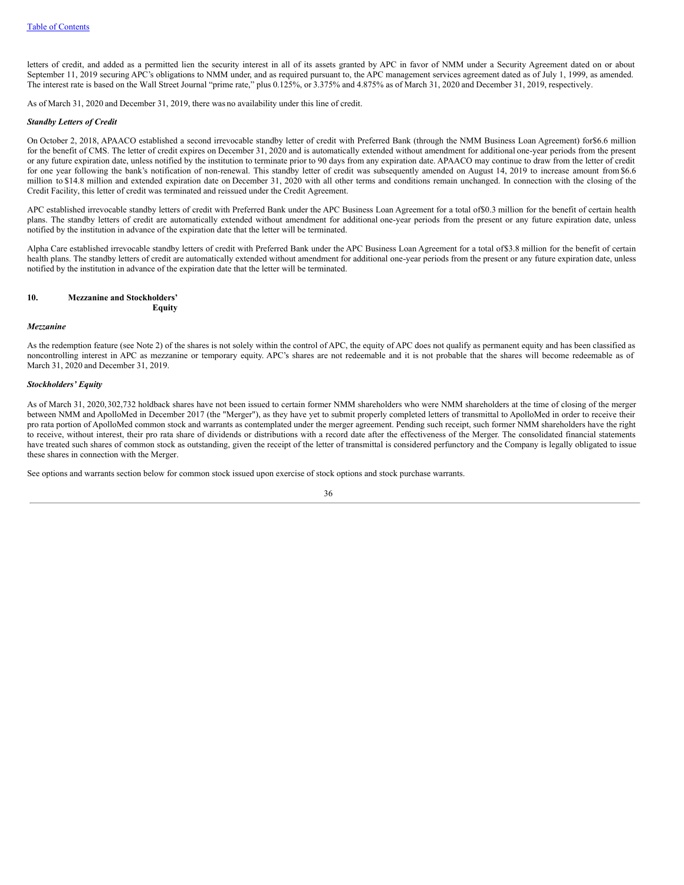letters of credit, and added as a permitted lien the security interest in all of its assets granted by APC in favor of NMM under a Security Agreement dated on or about September 11, 2019 securing APC's obligations to NMM under, and as required pursuant to, the APC management services agreement dated as of July 1, 1999, as amended. The interest rate is based on the Wall Street Journal "prime rate," plus 0.125%, or 3.375% and 4.875% as of March 31, 2020 and December 31, 2019, respectively.

As of March 31, 2020 and December 31, 2019, there was no availability under this line of credit.

#### *Standby Letters of Credit*

On October 2, 2018, APAACO established a second irrevocable standby letter of credit with Preferred Bank (through the NMM Business Loan Agreement) for\$6.6 million for the benefit of CMS. The letter of credit expires on December 31, 2020 and is automatically extended without amendment for additional one-year periods from the present or any future expiration date, unless notified by the institution to terminate prior to 90 days from any expiration date. APAACO may continue to draw from the letter of credit for one year following the bank's notification of non-renewal. This standby letter of credit was subsequently amended on August 14, 2019 to increase amount from \$6.6 million to \$14.8 million and extended expiration date on December 31, 2020 with all other terms and conditions remain unchanged. In connection with the closing of the Credit Facility, this letter of credit was terminated and reissued under the Credit Agreement.

APC established irrevocable standby letters of credit with Preferred Bank under the APC Business Loan Agreement for a total of\$0.3 million for the benefit of certain health plans. The standby letters of credit are automatically extended without amendment for additional one-year periods from the present or any future expiration date, unless notified by the institution in advance of the expiration date that the letter will be terminated.

Alpha Care established irrevocable standby letters of credit with Preferred Bank under the APC Business Loan Agreement for a total of\$3.8 million for the benefit of certain health plans. The standby letters of credit are automatically extended without amendment for additional one-year periods from the present or any future expiration date, unless notified by the institution in advance of the expiration date that the letter will be terminated.

### **10. Mezzanine and Stockholders'**

**Equity**

#### *Mezzanine*

As the redemption feature (see Note 2) of the shares is not solely within the control of APC, the equity of APC does not qualify as permanent equity and has been classified as noncontrolling interest in APC as mezzanine or temporary equity. APC's shares are not redeemable and it is not probable that the shares will become redeemable as of March 31, 2020 and December 31, 2019.

#### *Stockholders' Equity*

As of March 31, 2020,302,732 holdback shares have not been issued to certain former NMM shareholders who were NMM shareholders at the time of closing of the merger between NMM and ApolloMed in December 2017 (the "Merger"), as they have yet to submit properly completed letters of transmittal to ApolloMed in order to receive their pro rata portion of ApolloMed common stock and warrants as contemplated under the merger agreement. Pending such receipt, such former NMM shareholders have the right to receive, without interest, their pro rata share of dividends or distributions with a record date after the effectiveness of the Merger. The consolidated financial statements have treated such shares of common stock as outstanding, given the receipt of the letter of transmittal is considered perfunctory and the Company is legally obligated to issue these shares in connection with the Merger.

See options and warrants section below for common stock issued upon exercise of stock options and stock purchase warrants.

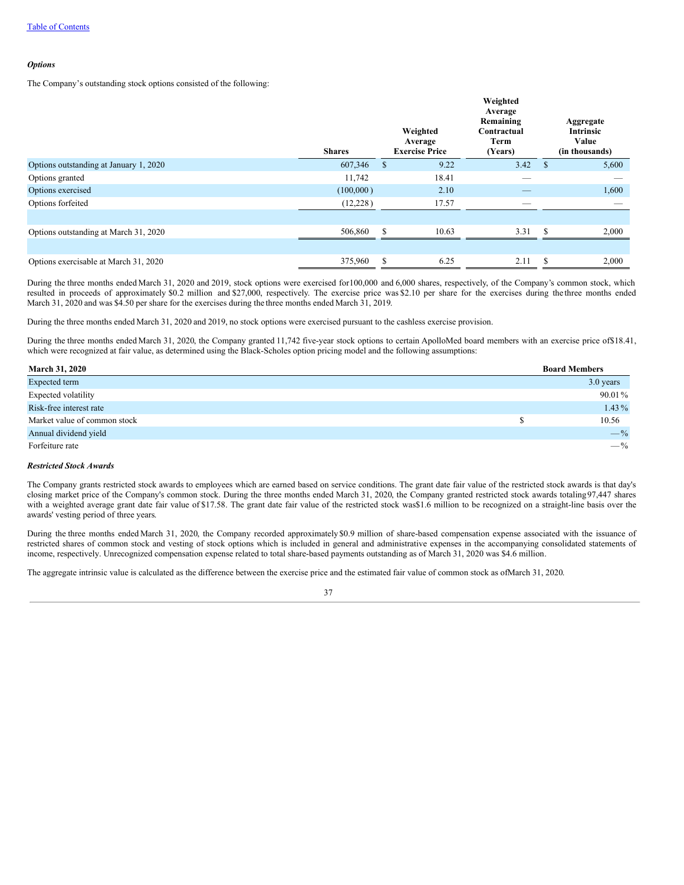#### *Options*

The Company's outstanding stock options consisted of the following:

|                                        | <b>Shares</b> |               | Weighted<br>Average<br><b>Exercise Price</b> | Weighted<br>Average<br>Remaining<br>Contractual<br>Term<br>(Years) |          | Aggregate<br>Intrinsic<br>Value<br>(in thousands) |
|----------------------------------------|---------------|---------------|----------------------------------------------|--------------------------------------------------------------------|----------|---------------------------------------------------|
| Options outstanding at January 1, 2020 | 607,346       | <sup>\$</sup> | 9.22                                         | 3.42                                                               | <b>S</b> | 5,600                                             |
| Options granted                        | 11,742        |               | 18.41                                        | $-$                                                                |          | _                                                 |
| Options exercised                      | (100,000)     |               | 2.10                                         |                                                                    |          | 1,600                                             |
| Options forfeited                      | (12,228)      |               | 17.57                                        |                                                                    |          |                                                   |
|                                        |               |               |                                              |                                                                    |          |                                                   |
| Options outstanding at March 31, 2020  | 506,860       | S             | 10.63                                        | 3.31                                                               | £.       | 2,000                                             |
|                                        |               |               |                                              |                                                                    |          |                                                   |
| Options exercisable at March 31, 2020  | 375,960       | S             | 6.25                                         | 2.11                                                               | S        | 2,000                                             |

During the three months ended March 31, 2020 and 2019, stock options were exercised for100,000 and 6,000 shares, respectively, of the Company's common stock, which resulted in proceeds of approximately \$0.2 million and \$27,000, respectively. The exercise price was \$2.10 per share for the exercises during the three months ended March 31, 2020 and was \$4.50 per share for the exercises during the three months ended March 31, 2019.

During the three months ended March 31, 2020 and 2019, no stock options were exercised pursuant to the cashless exercise provision.

During the three months ended March 31, 2020, the Company granted 11,742 five-year stock options to certain ApolloMed board members with an exercise price of\$18.41, which were recognized at fair value, as determined using the Black-Scholes option pricing model and the following assumptions:

| <b>March 31, 2020</b>        | <b>Board Members</b> |
|------------------------------|----------------------|
| Expected term                | 3.0 years            |
| Expected volatility          | 90.01%               |
| Risk-free interest rate      | $1.43\%$             |
| Market value of common stock | 10.56                |
| Annual dividend yield        | $-$ %                |
| Forfeiture rate              | $-$ %                |

#### *Restricted Stock Awards*

The Company grants restricted stock awards to employees which are earned based on service conditions. The grant date fair value of the restricted stock awards is that day's closing market price of the Company's common stock. During the three months ended March 31, 2020, the Company granted restricted stock awards totaling97,447 shares with a weighted average grant date fair value of \$17.58. The grant date fair value of the restricted stock was\$1.6 million to be recognized on a straight-line basis over the awards' vesting period of three years.

During the three months ended March 31, 2020, the Company recorded approximately \$0.9 million of share-based compensation expense associated with the issuance of restricted shares of common stock and vesting of stock options which is included in general and administrative expenses in the accompanying consolidated statements of income, respectively. Unrecognized compensation expense related to total share-based payments outstanding as of March 31, 2020 was \$4.6 million.

The aggregate intrinsic value is calculated as the difference between the exercise price and the estimated fair value of common stock as ofMarch 31, 2020.

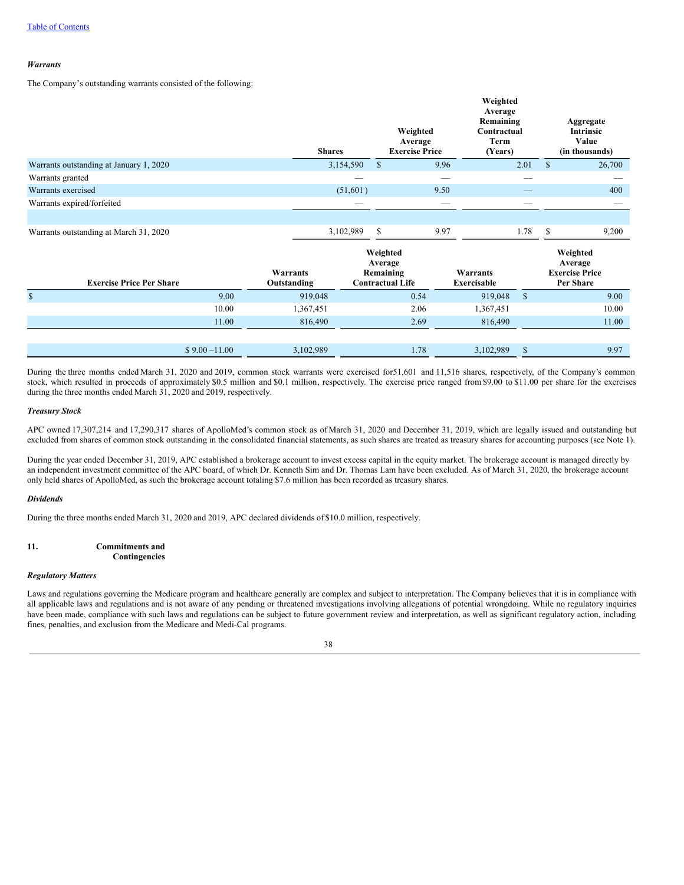#### *Warrants*

The Company's outstanding warrants consisted of the following:

|                                         | <b>Shares</b>           |           | Weighted<br>Average<br><b>Exercise Price</b>                |      | Weighted<br>Average<br>Remaining<br>Contractual<br>Term<br>(Years) |               |              | Aggregate<br><b>Intrinsic</b><br>Value<br>(in thousands)  |
|-----------------------------------------|-------------------------|-----------|-------------------------------------------------------------|------|--------------------------------------------------------------------|---------------|--------------|-----------------------------------------------------------|
| Warrants outstanding at January 1, 2020 |                         | 3,154,590 | <sup>\$</sup>                                               | 9.96 |                                                                    | 2.01          | <sup>S</sup> | 26,700                                                    |
| Warrants granted                        |                         |           |                                                             |      |                                                                    |               |              |                                                           |
| Warrants exercised                      |                         | (51,601)  |                                                             | 9.50 |                                                                    |               |              | 400                                                       |
| Warrants expired/forfeited              |                         |           |                                                             |      |                                                                    |               |              |                                                           |
|                                         |                         |           |                                                             |      |                                                                    |               |              |                                                           |
| Warrants outstanding at March 31, 2020  |                         | 3,102,989 | S                                                           | 9.97 |                                                                    | 1.78          | <b>S</b>     | 9,200                                                     |
| <b>Exercise Price Per Share</b>         | Warrants<br>Outstanding |           | Weighted<br>Average<br>Remaining<br><b>Contractual Life</b> |      | Warrants<br><b>Exercisable</b>                                     |               |              | Weighted<br>Average<br><b>Exercise Price</b><br>Per Share |
| $\mathbb S$<br>9.00                     | 919,048                 |           | 0.54                                                        |      | 919,048                                                            | <sup>\$</sup> |              | 9.00                                                      |
| 10.00                                   | 1,367,451               |           | 2.06                                                        |      | 1,367,451                                                          |               |              | 10.00                                                     |
| 11.00                                   | 816,490                 |           | 2.69                                                        |      | 816,490                                                            |               |              | 11.00                                                     |
|                                         |                         |           |                                                             |      |                                                                    |               |              |                                                           |
| $$9.00 - 11.00$                         | 3,102,989               |           | 1.78                                                        |      | 3,102,989                                                          | $\mathcal{S}$ |              | 9.97                                                      |

During the three months ended March 31, 2020 and 2019, common stock warrants were exercised for51,601 and 11,516 shares, respectively, of the Company's common stock, which resulted in proceeds of approximately \$0.5 million and \$0.1 million, respectively. The exercise price ranged from \$9.00 to \$11.00 per share for the exercises during the three months ended March 31, 2020 and 2019, respectively.

#### *Treasury Stock*

APC owned 17,307,214 and 17,290,317 shares of ApolloMed's common stock as of March 31, 2020 and December 31, 2019, which are legally issued and outstanding but excluded from shares of common stock outstanding in the consolidated financial statements, as such shares are treated as treasury shares for accounting purposes (see Note 1).

During the year ended December 31, 2019, APC established a brokerage account to invest excess capital in the equity market. The brokerage account is managed directly by an independent investment committee of the APC board, of which Dr. Kenneth Sim and Dr. Thomas Lam have been excluded. As of March 31, 2020, the brokerage account only held shares of ApolloMed, as such the brokerage account totaling \$7.6 million has been recorded as treasury shares.

#### *Dividends*

During the three months ended March 31, 2020 and 2019, APC declared dividends of \$10.0 million, respectively.

**11. Commitments and Contingencies**

#### *Regulatory Matters*

Laws and regulations governing the Medicare program and healthcare generally are complex and subject to interpretation. The Company believes that it is in compliance with all applicable laws and regulations and is not aware of any pending or threatened investigations involving allegations of potential wrongdoing. While no regulatory inquiries have been made, compliance with such laws and regulations can be subject to future government review and interpretation, as well as significant regulatory action, including fines, penalties, and exclusion from the Medicare and Medi-Cal programs.

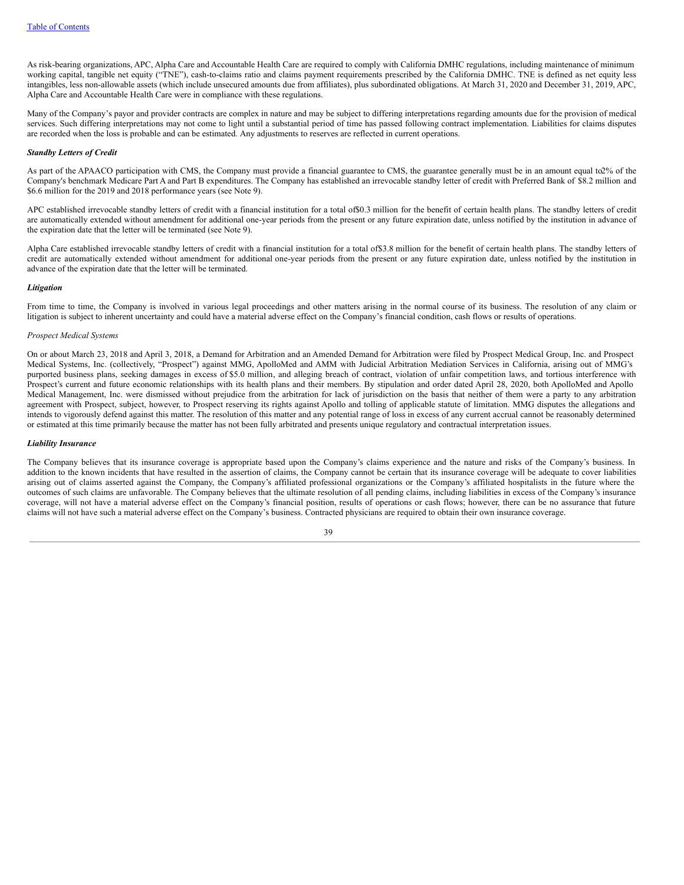As risk-bearing organizations, APC, Alpha Care and Accountable Health Care are required to comply with California DMHC regulations, including maintenance of minimum working capital, tangible net equity ("TNE"), cash-to-claims ratio and claims payment requirements prescribed by the California DMHC. TNE is defined as net equity less intangibles, less non-allowable assets (which include unsecured amounts due from affiliates), plus subordinated obligations. At March 31, 2020 and December 31, 2019, APC, Alpha Care and Accountable Health Care were in compliance with these regulations.

Many of the Company's payor and provider contracts are complex in nature and may be subject to differing interpretations regarding amounts due for the provision of medical services. Such differing interpretations may not come to light until a substantial period of time has passed following contract implementation. Liabilities for claims disputes are recorded when the loss is probable and can be estimated. Any adjustments to reserves are reflected in current operations.

#### *Standby Letters of Credit*

As part of the APAACO participation with CMS, the Company must provide a financial guarantee to CMS, the guarantee generally must be in an amount equal to2% of the Company's benchmark Medicare Part A and Part B expenditures. The Company has established an irrevocable standby letter of credit with Preferred Bank of \$8.2 million and \$6.6 million for the 2019 and 2018 performance years (see Note 9).

APC established irrevocable standby letters of credit with a financial institution for a total of\$0.3 million for the benefit of certain health plans. The standby letters of credit are automatically extended without amendment for additional one-year periods from the present or any future expiration date, unless notified by the institution in advance of the expiration date that the letter will be terminated (see Note 9).

Alpha Care established irrevocable standby letters of credit with a financial institution for a total of\$3.8 million for the benefit of certain health plans. The standby letters of credit are automatically extended without amendment for additional one-year periods from the present or any future expiration date, unless notified by the institution in advance of the expiration date that the letter will be terminated.

#### *Litigation*

From time to time, the Company is involved in various legal proceedings and other matters arising in the normal course of its business. The resolution of any claim or litigation is subject to inherent uncertainty and could have a material adverse effect on the Company's financial condition, cash flows or results of operations.

#### *Prospect Medical Systems*

On or about March 23, 2018 and April 3, 2018, a Demand for Arbitration and an Amended Demand for Arbitration were filed by Prospect Medical Group, Inc. and Prospect Medical Systems, Inc. (collectively, "Prospect") against MMG, ApolloMed and AMM with Judicial Arbitration Mediation Services in California, arising out of MMG's purported business plans, seeking damages in excess of \$5.0 million, and alleging breach of contract, violation of unfair competition laws, and tortious interference with Prospect's current and future economic relationships with its health plans and their members. By stipulation and order dated April 28, 2020, both ApolloMed and Apollo Medical Management, Inc. were dismissed without prejudice from the arbitration for lack of jurisdiction on the basis that neither of them were a party to any arbitration agreement with Prospect, subject, however, to Prospect reserving its rights against Apollo and tolling of applicable statute of limitation. MMG disputes the allegations and intends to vigorously defend against this matter. The resolution of this matter and any potential range of loss in excess of any current accrual cannot be reasonably determined or estimated at this time primarily because the matter has not been fully arbitrated and presents unique regulatory and contractual interpretation issues.

#### *Liability Insurance*

The Company believes that its insurance coverage is appropriate based upon the Company's claims experience and the nature and risks of the Company's business. In addition to the known incidents that have resulted in the assertion of claims, the Company cannot be certain that its insurance coverage will be adequate to cover liabilities arising out of claims asserted against the Company, the Company's affiliated professional organizations or the Company's affiliated hospitalists in the future where the outcomes of such claims are unfavorable. The Company believes that the ultimate resolution of all pending claims, including liabilities in excess of the Company's insurance coverage, will not have a material adverse effect on the Company's financial position, results of operations or cash flows; however, there can be no assurance that future claims will not have such a material adverse effect on the Company's business. Contracted physicians are required to obtain their own insurance coverage.

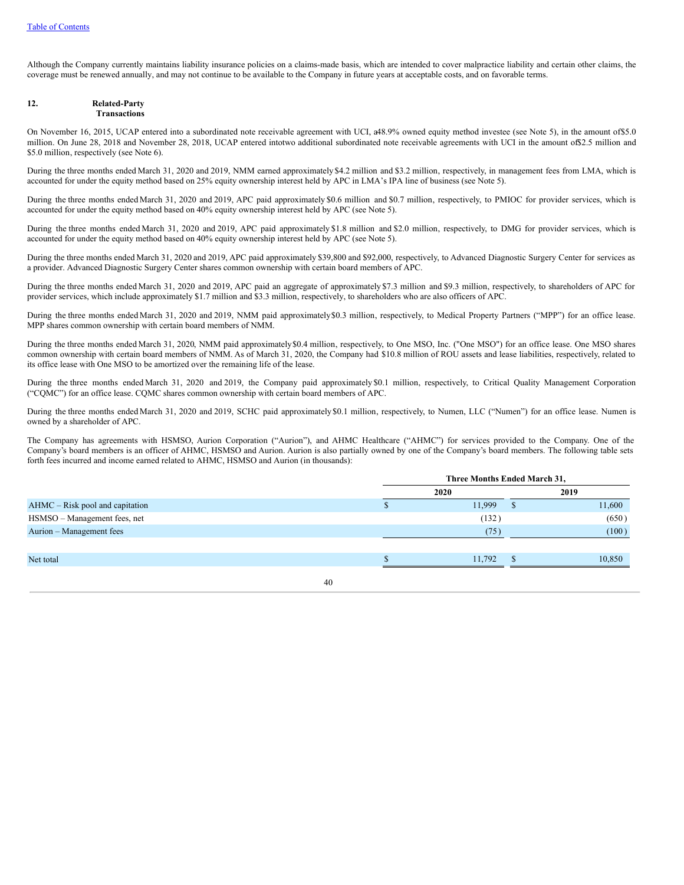Although the Company currently maintains liability insurance policies on a claims-made basis, which are intended to cover malpractice liability and certain other claims, the coverage must be renewed annually, and may not continue to be available to the Company in future years at acceptable costs, and on favorable terms.

#### **12. Related-Party Transactions**

On November 16, 2015, UCAP entered into a subordinated note receivable agreement with UCI, a48.9% owned equity method investee (see Note 5), in the amount of\$5.0 million. On June 28, 2018 and November 28, 2018, UCAP entered intotwo additional subordinated note receivable agreements with UCI in the amount of\$2.5 million and \$5.0 million, respectively (see Note 6).

During the three months ended March 31, 2020 and 2019, NMM earned approximately \$4.2 million and \$3.2 million, respectively, in management fees from LMA, which is accounted for under the equity method based on 25% equity ownership interest held by APC in LMA's IPA line of business (see Note 5).

During the three months ended March 31, 2020 and 2019, APC paid approximately \$0.6 million and \$0.7 million, respectively, to PMIOC for provider services, which is accounted for under the equity method based on 40% equity ownership interest held by APC (see Note 5).

During the three months ended March 31, 2020 and 2019, APC paid approximately \$1.8 million and \$2.0 million, respectively, to DMG for provider services, which is accounted for under the equity method based on 40% equity ownership interest held by APC (see Note 5).

During the three months ended March 31, 2020 and 2019, APC paid approximately \$39,800 and \$92,000, respectively, to Advanced Diagnostic Surgery Center for services as a provider. Advanced Diagnostic Surgery Center shares common ownership with certain board members of APC.

During the three months ended March 31, 2020 and 2019, APC paid an aggregate of approximately \$7.3 million and \$9.3 million, respectively, to shareholders of APC for provider services, which include approximately \$1.7 million and \$3.3 million, respectively, to shareholders who are also officers of APC.

During the three months ended March 31, 2020 and 2019, NMM paid approximately\$0.3 million, respectively, to Medical Property Partners ("MPP") for an office lease. MPP shares common ownership with certain board members of NMM.

During the three months ended March 31, 2020, NMM paid approximately\$0.4 million, respectively, to One MSO, Inc. ("One MSO") for an office lease. One MSO shares common ownership with certain board members of NMM. As of March 31, 2020, the Company had \$10.8 million of ROU assets and lease liabilities, respectively, related to its office lease with One MSO to be amortized over the remaining life of the lease.

During the three months ended March 31, 2020 and 2019, the Company paid approximately \$0.1 million, respectively, to Critical Quality Management Corporation ("CQMC") for an office lease. CQMC shares common ownership with certain board members of APC.

During the three months ended March 31, 2020 and 2019, SCHC paid approximately \$0.1 million, respectively, to Numen, LLC ("Numen") for an office lease. Numen is owned by a shareholder of APC.

The Company has agreements with HSMSO, Aurion Corporation ("Aurion"), and AHMC Healthcare ("AHMC") for services provided to the Company. One of the Company's board members is an officer of AHMC, HSMSO and Aurion. Aurion is also partially owned by one of the Company's board members. The following table sets forth fees incurred and income earned related to AHMC, HSMSO and Aurion (in thousands):

|                                   | Three Months Ended March 31, |              |        |  |  |  |
|-----------------------------------|------------------------------|--------------|--------|--|--|--|
|                                   | 2020                         |              | 2019   |  |  |  |
| $AHMC - Risk$ pool and capitation | 11,999                       | <sup>3</sup> | 11,600 |  |  |  |
| HSMSO – Management fees, net      | (132)                        |              | (650)  |  |  |  |
| Aurion – Management fees          | (75)                         |              | (100)  |  |  |  |
|                                   |                              |              |        |  |  |  |
| Net total                         | 11.792                       |              | 10,850 |  |  |  |
|                                   |                              |              |        |  |  |  |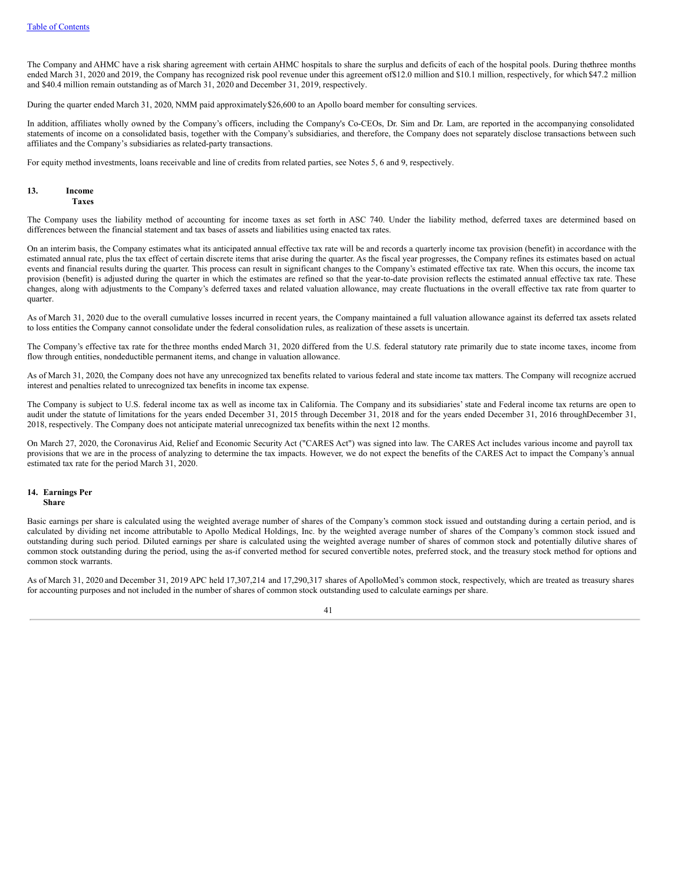The Company and AHMC have a risk sharing agreement with certain AHMC hospitals to share the surplus and deficits of each of the hospital pools. During thethree months ended March 31, 2020 and 2019, the Company has recognized risk pool revenue under this agreement of \$12.0 million and \$10.1 million, respectively, for which \$47.2 million and \$40.4 million remain outstanding as of March 31, 2020 and December 31, 2019, respectively.

During the quarter ended March 31, 2020, NMM paid approximately \$26,600 to an Apollo board member for consulting services.

In addition, affiliates wholly owned by the Company's officers, including the Company's Co-CEOs, Dr. Sim and Dr. Lam, are reported in the accompanying consolidated statements of income on a consolidated basis, together with the Company's subsidiaries, and therefore, the Company does not separately disclose transactions between such affiliates and the Company's subsidiaries as related-party transactions.

For equity method investments, loans receivable and line of credits from related parties, see Notes 5, 6 and 9, respectively.

#### **13. Income Taxes**

The Company uses the liability method of accounting for income taxes as set forth in ASC 740. Under the liability method, deferred taxes are determined based on differences between the financial statement and tax bases of assets and liabilities using enacted tax rates.

On an interim basis, the Company estimates what its anticipated annual effective tax rate will be and records a quarterly income tax provision (benefit) in accordance with the estimated annual rate, plus the tax effect of certain discrete items that arise during the quarter. As the fiscal year progresses, the Company refines its estimates based on actual events and financial results during the quarter. This process can result in significant changes to the Company's estimated effective tax rate. When this occurs, the income tax provision (benefit) is adjusted during the quarter in which the estimates are refined so that the year-to-date provision reflects the estimated annual effective tax rate. These changes, along with adjustments to the Company's deferred taxes and related valuation allowance, may create fluctuations in the overall effective tax rate from quarter to quarter.

As of March 31, 2020 due to the overall cumulative losses incurred in recent years, the Company maintained a full valuation allowance against its deferred tax assets related to loss entities the Company cannot consolidate under the federal consolidation rules, as realization of these assets is uncertain.

The Company's effective tax rate for the three months ended March 31, 2020 differed from the U.S. federal statutory rate primarily due to state income taxes, income from flow through entities, nondeductible permanent items, and change in valuation allowance.

As of March 31, 2020, the Company does not have any unrecognized tax benefits related to various federal and state income tax matters. The Company will recognize accrued interest and penalties related to unrecognized tax benefits in income tax expense.

The Company is subject to U.S. federal income tax as well as income tax in California. The Company and its subsidiaries' state and Federal income tax returns are open to audit under the statute of limitations for the years ended December 31, 2015 through December 31, 2018 and for the years ended December 31, 2016 throughDecember 31, 2018, respectively. The Company does not anticipate material unrecognized tax benefits within the next 12 months.

On March 27, 2020, the Coronavirus Aid, Relief and Economic Security Act ("CARES Act") was signed into law. The CARES Act includes various income and payroll tax provisions that we are in the process of analyzing to determine the tax impacts. However, we do not expect the benefits of the CARES Act to impact the Company's annual estimated tax rate for the period March 31, 2020.

#### **14. Earnings Per Share**

Basic earnings per share is calculated using the weighted average number of shares of the Company's common stock issued and outstanding during a certain period, and is calculated by dividing net income attributable to Apollo Medical Holdings, Inc. by the weighted average number of shares of the Company's common stock issued and outstanding during such period. Diluted earnings per share is calculated using the weighted average number of shares of common stock and potentially dilutive shares of common stock outstanding during the period, using the as-if converted method for secured convertible notes, preferred stock, and the treasury stock method for options and common stock warrants.

As of March 31, 2020 and December 31, 2019 APC held 17,307,214 and 17,290,317 shares of ApolloMed's common stock, respectively, which are treated as treasury shares for accounting purposes and not included in the number of shares of common stock outstanding used to calculate earnings per share.

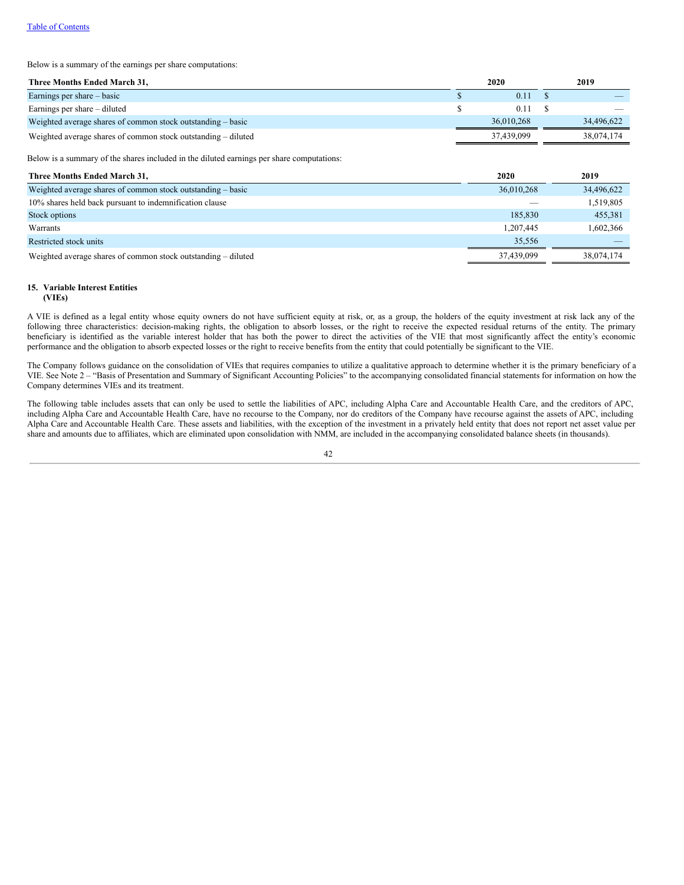Below is a summary of the earnings per share computations:

| Three Months Ended March 31,                                  |  | 2020       | 2019                     |
|---------------------------------------------------------------|--|------------|--------------------------|
| Earnings per share – basic                                    |  | 0.11       |                          |
| Earnings per share – diluted                                  |  | 0.11       | $\overline{\phantom{a}}$ |
| Weighted average shares of common stock outstanding – basic   |  | 36,010,268 | 34,496,622               |
| Weighted average shares of common stock outstanding - diluted |  | 37.439.099 | 38,074,174               |

Below is a summary of the shares included in the diluted earnings per share computations:

| Three Months Ended March 31,                                  | 2020       | 2019       |
|---------------------------------------------------------------|------------|------------|
| Weighted average shares of common stock outstanding – basic   | 36,010,268 | 34,496,622 |
| 10% shares held back pursuant to indemnification clause       |            | 1,519,805  |
| Stock options                                                 | 185,830    | 455,381    |
| Warrants                                                      | 1,207,445  | 1,602,366  |
| Restricted stock units                                        | 35.556     |            |
| Weighted average shares of common stock outstanding – diluted | 37,439,099 | 38,074,174 |

### **15. Variable Interest Entities**

#### **(VIEs)**

A VIE is defined as a legal entity whose equity owners do not have sufficient equity at risk, or, as a group, the holders of the equity investment at risk lack any of the following three characteristics: decision-making rights, the obligation to absorb losses, or the right to receive the expected residual returns of the entity. The primary beneficiary is identified as the variable interest holder that has both the power to direct the activities of the VIE that most significantly affect the entity's economic performance and the obligation to absorb expected losses or the right to receive benefits from the entity that could potentially be significant to the VIE.

The Company follows guidance on the consolidation of VIEs that requires companies to utilize a qualitative approach to determine whether it is the primary beneficiary of a VIE. See Note 2 – "Basis of Presentation and Summary of Significant Accounting Policies" to the accompanying consolidated financial statements for information on how the Company determines VIEs and its treatment.

The following table includes assets that can only be used to settle the liabilities of APC, including Alpha Care and Accountable Health Care, and the creditors of APC, including Alpha Care and Accountable Health Care, have no recourse to the Company, nor do creditors of the Company have recourse against the assets of APC, including Alpha Care and Accountable Health Care. These assets and liabilities, with the exception of the investment in a privately held entity that does not report net asset value per share and amounts due to affiliates, which are eliminated upon consolidation with NMM, are included in the accompanying consolidated balance sheets (in thousands).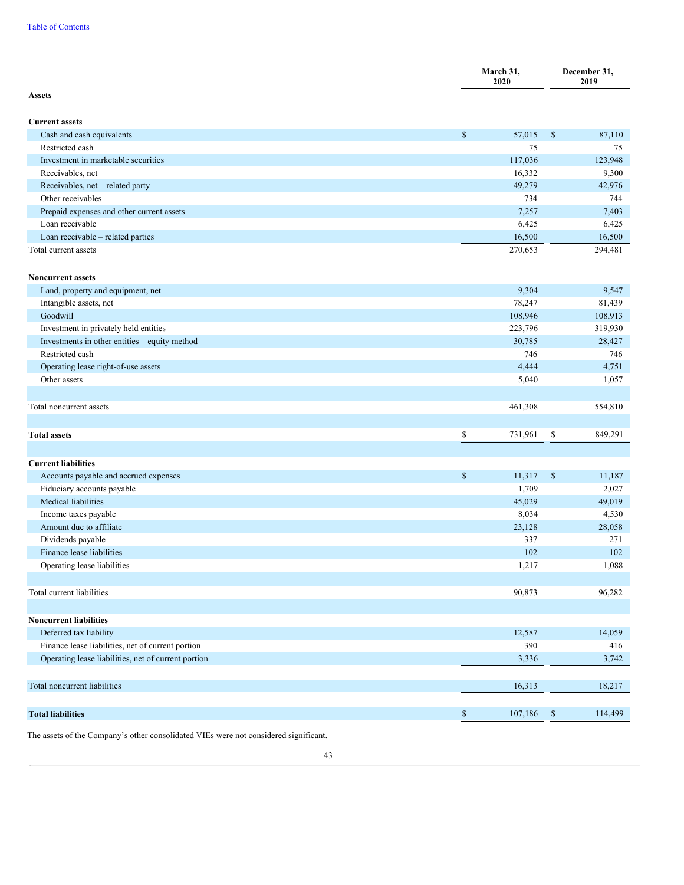|                                                     |              | March 31,<br>2020 |              | December 31,<br>2019 |
|-----------------------------------------------------|--------------|-------------------|--------------|----------------------|
| <b>Assets</b>                                       |              |                   |              |                      |
| <b>Current assets</b>                               |              |                   |              |                      |
| Cash and cash equivalents                           | $\mathbb{S}$ | 57,015            | $\mathbb{S}$ | 87,110               |
| Restricted cash                                     |              | 75                |              | 75                   |
| Investment in marketable securities                 |              | 117,036           |              | 123,948              |
| Receivables, net                                    |              | 16,332            |              | 9,300                |
| Receivables, net - related party                    |              | 49,279            |              | 42,976               |
| Other receivables                                   |              | 734               |              | 744                  |
| Prepaid expenses and other current assets           |              | 7,257             |              | 7,403                |
| Loan receivable                                     |              | 6,425             |              | 6,425                |
| Loan receivable - related parties                   |              | 16,500            |              | 16,500               |
| Total current assets                                |              | 270,653           |              | 294,481              |
|                                                     |              |                   |              |                      |
| <b>Noncurrent assets</b>                            |              |                   |              |                      |
| Land, property and equipment, net                   |              | 9,304             |              | 9,547                |
| Intangible assets, net                              |              | 78,247            |              | 81,439               |
| Goodwill                                            |              | 108,946           |              | 108,913              |
| Investment in privately held entities               |              | 223,796           |              | 319,930              |
| Investments in other entities - equity method       |              | 30,785            |              | 28,427               |
| Restricted cash                                     |              | 746               |              | 746                  |
| Operating lease right-of-use assets                 |              | 4,444             |              | 4,751                |
| Other assets                                        |              | 5,040             |              | 1,057                |
|                                                     |              |                   |              |                      |
| Total noncurrent assets                             |              | 461,308           |              | 554,810              |
|                                                     |              |                   |              |                      |
|                                                     | \$           | 731,961           | \$           | 849,291              |
| <b>Total assets</b>                                 |              |                   |              |                      |
|                                                     |              |                   |              |                      |
| <b>Current liabilities</b>                          |              |                   |              |                      |
| Accounts payable and accrued expenses               | $\mathbb{S}$ | 11,317            | $\mathbb{S}$ | 11,187               |
| Fiduciary accounts payable                          |              | 1,709             |              | 2,027                |
| Medical liabilities                                 |              | 45,029            |              | 49,019               |
| Income taxes payable                                |              | 8,034             |              | 4,530                |
| Amount due to affiliate                             |              | 23,128            |              | 28,058               |
| Dividends payable                                   |              | 337               |              | 271                  |
| Finance lease liabilities                           |              | 102               |              | 102                  |
| Operating lease liabilities                         |              | 1,217             |              | 1,088                |
|                                                     |              |                   |              |                      |
| Total current liabilities                           |              | 90,873            |              | 96,282               |
|                                                     |              |                   |              |                      |
| <b>Noncurrent liabilities</b>                       |              |                   |              |                      |
| Deferred tax liability                              |              | 12,587            |              | 14,059               |
| Finance lease liabilities, net of current portion   |              | 390               |              | 416                  |
| Operating lease liabilities, net of current portion |              | 3,336             |              | 3,742                |
|                                                     |              |                   |              |                      |
| Total noncurrent liabilities                        |              | 16,313            |              | 18,217               |
|                                                     |              |                   |              |                      |
| <b>Total liabilities</b>                            | $\$$         | 107,186           | \$           | 114,499              |
|                                                     |              |                   |              |                      |

The assets of the Company's other consolidated VIEs were not considered significant.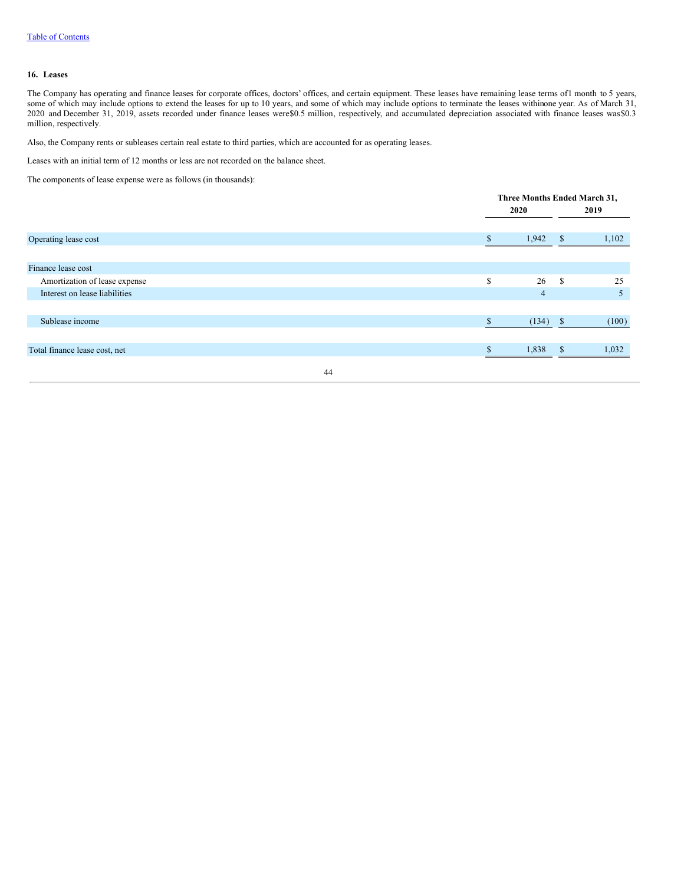#### **16. Leases**

The Company has operating and finance leases for corporate offices, doctors' offices, and certain equipment. These leases have remaining lease terms of1 month to 5 years, some of which may include options to extend the leases for up to 10 years, and some of which may include options to terminate the leases withinone year. As of March 31, 2020 and December 31, 2019, assets recorded under finance leases were\$0.5 million, respectively, and accumulated depreciation associated with finance leases was\$0.3 million, respectively.

Also, the Company rents or subleases certain real estate to third parties, which are accounted for as operating leases.

Leases with an initial term of 12 months or less are not recorded on the balance sheet.

The components of lease expense were as follows (in thousands):

|                               |    |               | Three Months Ended March 31, |               |       |  |
|-------------------------------|----|---------------|------------------------------|---------------|-------|--|
|                               |    |               | 2020                         |               | 2019  |  |
|                               |    |               |                              |               |       |  |
| Operating lease cost          |    | $\mathbf{s}$  | 1,942                        | $\mathbf{s}$  | 1,102 |  |
|                               |    |               |                              |               |       |  |
| Finance lease cost            |    |               |                              |               |       |  |
| Amortization of lease expense |    | \$.           | 26                           | <sup>\$</sup> | 25    |  |
| Interest on lease liabilities |    |               | $\overline{4}$               |               | 5     |  |
|                               |    |               |                              |               |       |  |
| Sublease income               |    | <sup>\$</sup> | $(134)$ \$                   |               | (100) |  |
|                               |    |               |                              |               |       |  |
| Total finance lease cost, net |    |               | $1,838$ \$                   |               | 1,032 |  |
|                               |    |               |                              |               |       |  |
|                               | 44 |               |                              |               |       |  |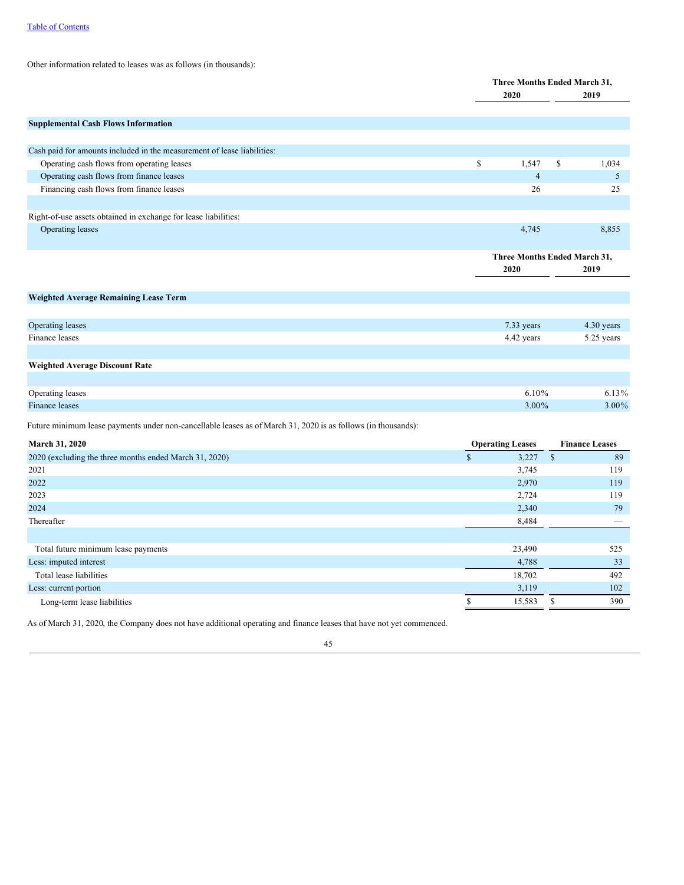Other information related to leases was as follows (in thousands):

|                                                                         | Three Months Ended March 31, |    |            |
|-------------------------------------------------------------------------|------------------------------|----|------------|
|                                                                         | 2020                         |    | 2019       |
|                                                                         |                              |    |            |
| <b>Supplemental Cash Flows Information</b>                              |                              |    |            |
|                                                                         |                              |    |            |
| Cash paid for amounts included in the measurement of lease liabilities: |                              |    |            |
| Operating cash flows from operating leases                              | \$<br>1,547                  | \$ | 1,034      |
| Operating cash flows from finance leases                                | $\overline{4}$               |    | 5          |
| Financing cash flows from finance leases                                | 26                           |    | 25         |
|                                                                         |                              |    |            |
| Right-of-use assets obtained in exchange for lease liabilities:         |                              |    |            |
| Operating leases                                                        | 4,745                        |    | 8,855      |
|                                                                         |                              |    |            |
|                                                                         | Three Months Ended March 31, |    |            |
|                                                                         | 2020                         |    | 2019       |
|                                                                         |                              |    |            |
| <b>Weighted Average Remaining Lease Term</b>                            |                              |    |            |
|                                                                         |                              |    |            |
| Operating leases                                                        | 7.33 years                   |    | 4.30 years |
| Finance leases                                                          | 4.42 years                   |    | 5.25 years |
|                                                                         |                              |    |            |
| <b>Weighted Average Discount Rate</b>                                   |                              |    |            |
|                                                                         |                              |    |            |
| Operating leases                                                        | 6.10%                        |    | 6.13%      |
| <b>Finance leases</b>                                                   | 3.00%                        |    | 3.00%      |

Future minimum lease payments under non-cancellable leases as of March 31, 2020 is as follows (in thousands):

| March 31, 2020                                         | <b>Operating Leases</b> | <b>Finance Leases</b> |
|--------------------------------------------------------|-------------------------|-----------------------|
| 2020 (excluding the three months ended March 31, 2020) | 3,227<br>\$             | 89<br><sup>\$</sup>   |
| 2021                                                   | 3,745                   | 119                   |
| 2022                                                   | 2,970                   | 119                   |
| 2023                                                   | 2,724                   | 119                   |
| 2024                                                   | 2,340                   | 79                    |
| Thereafter                                             | 8,484                   |                       |
|                                                        |                         |                       |
| Total future minimum lease payments                    | 23,490                  | 525                   |
| Less: imputed interest                                 | 4,788                   | 33                    |
| Total lease liabilities                                | 18,702                  | 492                   |
| Less: current portion                                  | 3,119                   | 102                   |
| Long-term lease liabilities                            | 15,583                  | 390                   |

As of March 31, 2020, the Company does not have additional operating and finance leases that have not yet commenced.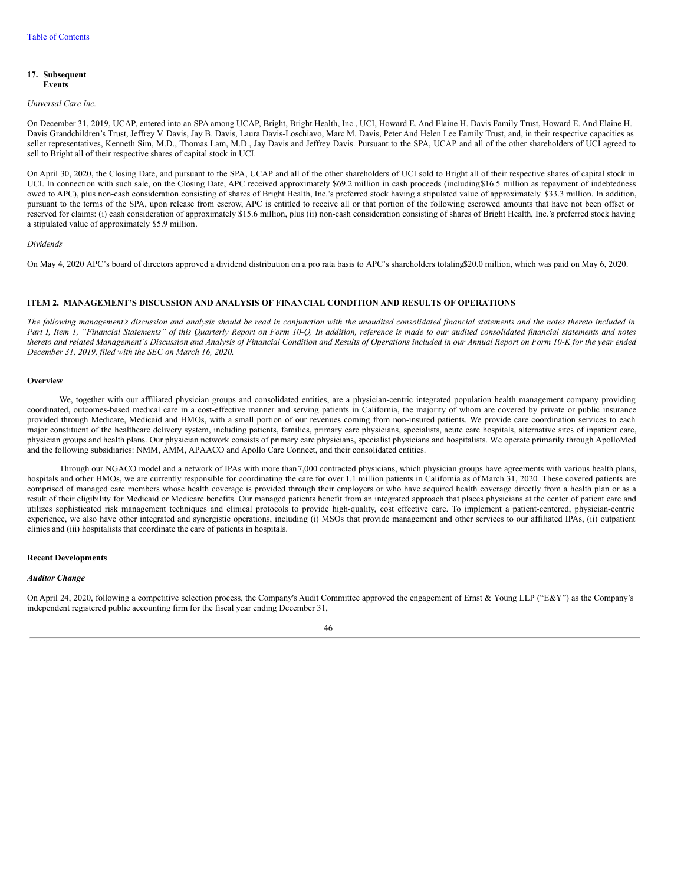#### **17. Subsequent Events**

*Universal Care Inc.*

On December 31, 2019, UCAP, entered into an SPA among UCAP, Bright, Bright Health, Inc., UCI, Howard E. And Elaine H. Davis Family Trust, Howard E. And Elaine H. Davis Grandchildren's Trust, Jeffrey V. Davis, Jay B. Davis, Laura Davis-Loschiavo, Marc M. Davis, Peter And Helen Lee Family Trust, and, in their respective capacities as seller representatives, Kenneth Sim, M.D., Thomas Lam, M.D., Jay Davis and Jeffrey Davis. Pursuant to the SPA, UCAP and all of the other shareholders of UCI agreed to sell to Bright all of their respective shares of capital stock in UCI.

On April 30, 2020, the Closing Date, and pursuant to the SPA, UCAP and all of the other shareholders of UCI sold to Bright all of their respective shares of capital stock in UCI. In connection with such sale, on the Closing Date, APC received approximately \$69.2 million in cash proceeds (including \$16.5 million as repayment of indebtedness owed to APC), plus non-cash consideration consisting of shares of Bright Health, Inc.'s preferred stock having a stipulated value of approximately \$33.3 million. In addition, pursuant to the terms of the SPA, upon release from escrow, APC is entitled to receive all or that portion of the following escrowed amounts that have not been offset or reserved for claims: (i) cash consideration of approximately \$15.6 million, plus (ii) non-cash consideration consisting of shares of Bright Health, Inc.'s preferred stock having a stipulated value of approximately \$5.9 million.

#### *Dividends*

<span id="page-45-0"></span>On May 4, 2020 APC's board of directors approved a dividend distribution on a pro rata basis to APC's shareholders totaling\$20.0 million, which was paid on May 6, 2020.

#### **ITEM 2. MANAGEMENT'S DISCUSSION AND ANALYSIS OF FINANCIAL CONDITION AND RESULTS OF OPERATIONS**

The following management's discussion and analysis should be read in conjunction with the unaudited consolidated financial statements and the notes thereto included in Part I, Item 1, "Financial Statements" of this Quarterly Report on Form 10-Q. In addition, reference is made to our audited consolidated financial statements and notes thereto and related Management's Discussion and Analysis of Financial Condition and Results of Operations included in our Annual Report on Form 10-K for the year ended *December 31, 2019, filed with the SEC on March 16, 2020.*

#### **Overview**

We, together with our affiliated physician groups and consolidated entities, are a physician-centric integrated population health management company providing coordinated, outcomes-based medical care in a cost-effective manner and serving patients in California, the majority of whom are covered by private or public insurance provided through Medicare, Medicaid and HMOs, with a small portion of our revenues coming from non-insured patients. We provide care coordination services to each major constituent of the healthcare delivery system, including patients, families, primary care physicians, specialists, acute care hospitals, alternative sites of inpatient care, physician groups and health plans. Our physician network consists of primary care physicians, specialist physicians and hospitalists. We operate primarily through ApolloMed and the following subsidiaries: NMM, AMM, APAACO and Apollo Care Connect, and their consolidated entities.

Through our NGACO model and a network of IPAs with more than7,000 contracted physicians, which physician groups have agreements with various health plans, hospitals and other HMOs, we are currently responsible for coordinating the care for over 1.1 million patients in California as of March 31, 2020. These covered patients are comprised of managed care members whose health coverage is provided through their employers or who have acquired health coverage directly from a health plan or as a result of their eligibility for Medicaid or Medicare benefits. Our managed patients benefit from an integrated approach that places physicians at the center of patient care and utilizes sophisticated risk management techniques and clinical protocols to provide high-quality, cost effective care. To implement a patient-centered, physician-centric experience, we also have other integrated and synergistic operations, including (i) MSOs that provide management and other services to our affiliated IPAs, (ii) outpatient clinics and (iii) hospitalists that coordinate the care of patients in hospitals.

#### **Recent Developments**

#### *Auditor Change*

On April 24, 2020, following a competitive selection process, the Company's Audit Committee approved the engagement of Ernst & Young LLP ("E&Y") as the Company's independent registered public accounting firm for the fiscal year ending December 31,

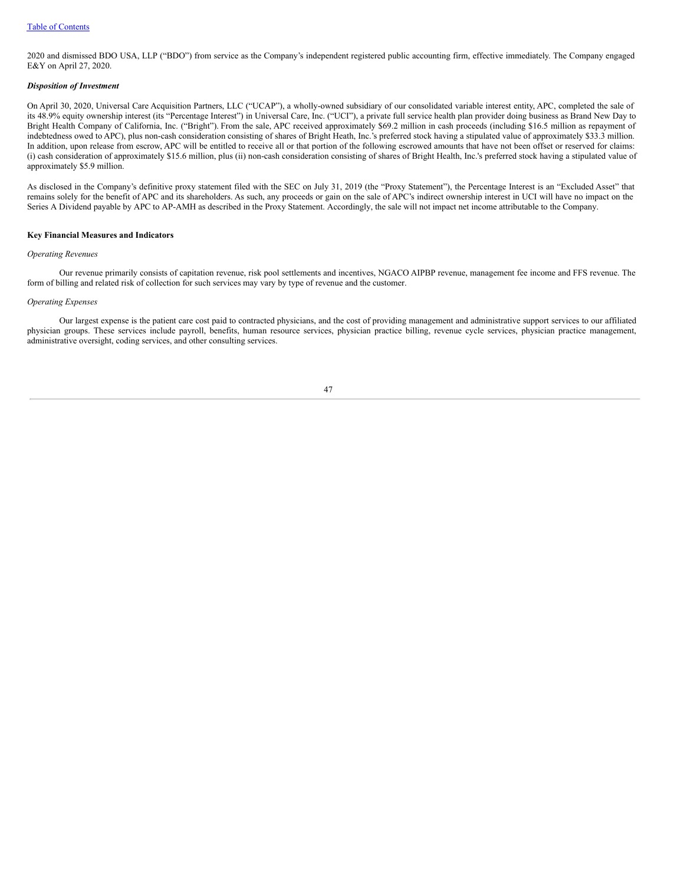2020 and dismissed BDO USA, LLP ("BDO") from service as the Company's independent registered public accounting firm, effective immediately. The Company engaged E&Y on April 27, 2020.

#### *Disposition of Investment*

On April 30, 2020, Universal Care Acquisition Partners, LLC ("UCAP"), a wholly-owned subsidiary of our consolidated variable interest entity, APC, completed the sale of its 48.9% equity ownership interest (its "Percentage Interest") in Universal Care, Inc. ("UCI"), a private full service health plan provider doing business as Brand New Day to Bright Health Company of California, Inc. ("Bright"). From the sale, APC received approximately \$69.2 million in cash proceeds (including \$16.5 million as repayment of indebtedness owed to APC), plus non-cash consideration consisting of shares of Bright Heath, Inc.'s preferred stock having a stipulated value of approximately \$33.3 million. In addition, upon release from escrow, APC will be entitled to receive all or that portion of the following escrowed amounts that have not been offset or reserved for claims: (i) cash consideration of approximately \$15.6 million, plus (ii) non-cash consideration consisting of shares of Bright Health, Inc.'s preferred stock having a stipulated value of approximately \$5.9 million.

As disclosed in the Company's definitive proxy statement filed with the SEC on July 31, 2019 (the "Proxy Statement"), the Percentage Interest is an "Excluded Asset" that remains solely for the benefit of APC and its shareholders. As such, any proceeds or gain on the sale of APC's indirect ownership interest in UCI will have no impact on the Series A Dividend payable by APC to AP-AMH as described in the Proxy Statement. Accordingly, the sale will not impact net income attributable to the Company.

#### **Key Financial Measures and Indicators**

#### *Operating Revenues*

Our revenue primarily consists of capitation revenue, risk pool settlements and incentives, NGACO AIPBP revenue, management fee income and FFS revenue. The form of billing and related risk of collection for such services may vary by type of revenue and the customer.

#### *Operating Expenses*

Our largest expense is the patient care cost paid to contracted physicians, and the cost of providing management and administrative support services to our affiliated physician groups. These services include payroll, benefits, human resource services, physician practice billing, revenue cycle services, physician practice management, administrative oversight, coding services, and other consulting services.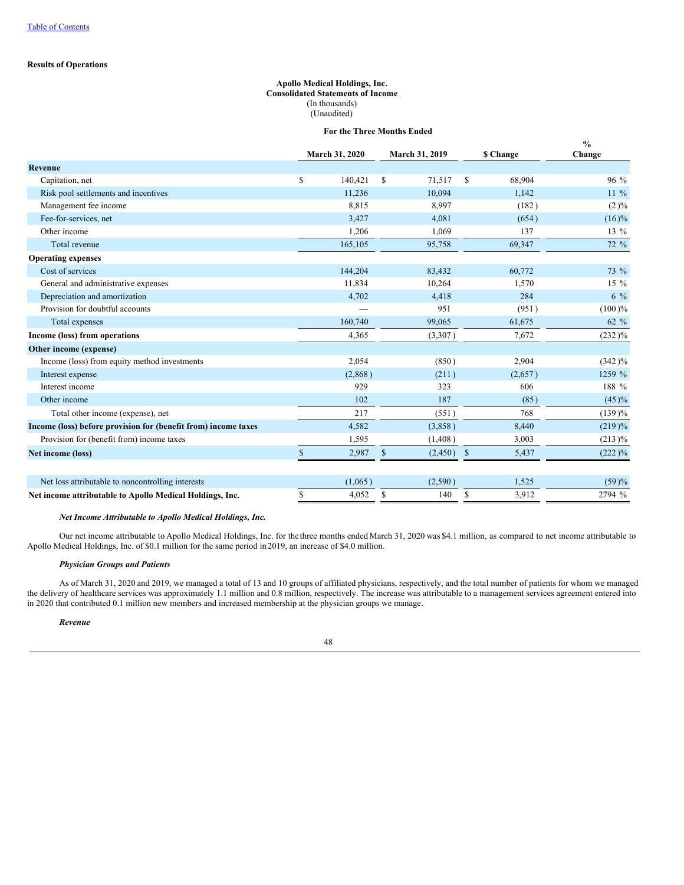#### **Results of Operations**

#### **Apollo Medical Holdings, Inc. Consolidated Statements of Income** (In thousands) (Unaudited)

### **For the Three Months Ended**

|                                                                |             | March 31, 2020 |              | March 31, 2019 |               | \$ Change | $\frac{0}{0}$<br>Change |
|----------------------------------------------------------------|-------------|----------------|--------------|----------------|---------------|-----------|-------------------------|
| Revenue                                                        |             |                |              |                |               |           |                         |
| Capitation, net                                                | \$          | 140,421        | S            | 71,517         | <sup>\$</sup> | 68,904    | 96 %                    |
| Risk pool settlements and incentives                           |             | 11,236         |              | 10,094         |               | 1,142     | $11\%$                  |
| Management fee income                                          |             | 8,815          |              | 8,997          |               | (182)     | $(2)\%$                 |
| Fee-for-services, net                                          |             | 3,427          |              | 4,081          |               | (654)     | $(16)\%$                |
| Other income                                                   |             | 1,206          |              | 1,069          |               | 137       | $13\%$                  |
| Total revenue                                                  |             | 165,105        |              | 95,758         |               | 69,347    | 72 %                    |
| <b>Operating expenses</b>                                      |             |                |              |                |               |           |                         |
| Cost of services                                               |             | 144,204        |              | 83,432         |               | 60,772    | 73 %                    |
| General and administrative expenses                            |             | 11,834         |              | 10,264         |               | 1,570     | 15 %                    |
| Depreciation and amortization                                  |             | 4,702          |              | 4,418          |               | 284       | $6\%$                   |
| Provision for doubtful accounts                                |             |                |              | 951            |               | (951)     | $(100) \%$              |
| Total expenses                                                 |             | 160,740        |              | 99,065         |               | 61,675    | 62 %                    |
| Income (loss) from operations                                  |             | 4,365          |              | (3,307)        |               | 7,672     | $(232)\%$               |
| Other income (expense)                                         |             |                |              |                |               |           |                         |
| Income (loss) from equity method investments                   |             | 2,054          |              | (850)          |               | 2,904     | $(342)\%$               |
| Interest expense                                               |             | (2,868)        |              | (211)          |               | (2,657)   | 1259 %                  |
| Interest income                                                |             | 929            |              | 323            |               | 606       | 188 %                   |
| Other income                                                   |             | 102            |              | 187            |               | (85)      | $(45)\%$                |
| Total other income (expense), net                              |             | 217            |              | (551)          |               | 768       | (139)%                  |
| Income (loss) before provision for (benefit from) income taxes |             | 4,582          |              | (3,858)        |               | 8,440     | (219)%                  |
| Provision for (benefit from) income taxes                      |             | 1,595          |              | (1, 408)       |               | 3,003     | $(213)\%$               |
| Net income (loss)                                              | $\mathbf S$ | 2,987          | $\mathbb{S}$ | (2,450)        | -S            | 5,437     | $(222)\%$               |
|                                                                |             |                |              |                |               |           |                         |
| Net loss attributable to noncontrolling interests              |             | (1,065)        |              | (2,590)        |               | 1,525     | (59)%                   |
| Net income attributable to Apollo Medical Holdings, Inc.       | \$          | 4,052          | \$           | 140            | \$            | 3,912     | 2794 %                  |

### *Net Income Attributable to Apollo Medical Holdings, Inc.*

Our net income attributable to Apollo Medical Holdings, Inc. for the three months ended March 31, 2020 was \$4.1 million, as compared to net income attributable to Apollo Medical Holdings, Inc. of \$0.1 million for the same period in 2019, an increase of \$4.0 million.

### *Physician Groups and Patients*

As of March 31, 2020 and 2019, we managed a total of 13 and 10 groups of affiliated physicians, respectively, and the total number of patients for whom we managed the delivery of healthcare services was approximately 1.1 million and 0.8 million, respectively. The increase was attributable to a management services agreement entered into in 2020 that contributed 0.1 million new members and increased membership at the physician groups we manage.

*Revenue*

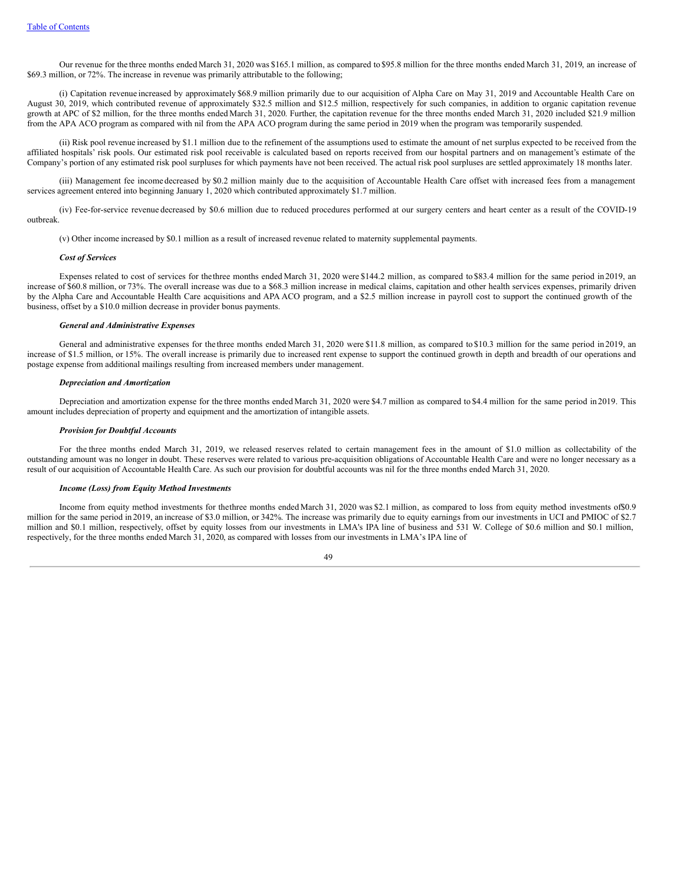Our revenue for the three months ended March 31, 2020 was \$165.1 million, as compared to \$95.8 million for the three months ended March 31, 2019, an increase of \$69.3 million, or 72%. The increase in revenue was primarily attributable to the following;

(i) Capitation revenue increased by approximately \$68.9 million primarily due to our acquisition of Alpha Care on May 31, 2019 and Accountable Health Care on August 30, 2019, which contributed revenue of approximately \$32.5 million and \$12.5 million, respectively for such companies, in addition to organic capitation revenue growth at APC of \$2 million, for the three months ended March 31, 2020. Further, the capitation revenue for the three months ended March 31, 2020 included \$21.9 million from the APA ACO program as compared with nil from the APA ACO program during the same period in 2019 when the program was temporarily suspended.

(ii) Risk pool revenue increased by \$1.1 million due to the refinement of the assumptions used to estimate the amount of net surplus expected to be received from the affiliated hospitals' risk pools. Our estimated risk pool receivable is calculated based on reports received from our hospital partners and on management's estimate of the Company's portion of any estimated risk pool surpluses for which payments have not been received. The actual risk pool surpluses are settled approximately 18 months later.

(iii) Management fee income decreased by \$0.2 million mainly due to the acquisition of Accountable Health Care offset with increased fees from a management services agreement entered into beginning January 1, 2020 which contributed approximately \$1.7 million.

(iv) Fee-for-service revenue decreased by \$0.6 million due to reduced procedures performed at our surgery centers and heart center as a result of the COVID-19 outbreak.

(v) Other income increased by \$0.1 million as a result of increased revenue related to maternity supplemental payments.

#### *Cost of Services*

Expenses related to cost of services for thethree months ended March 31, 2020 were \$144.2 million, as compared to \$83.4 million for the same period in 2019, an increase of \$60.8 million, or 73%. The overall increase was due to a \$68.3 million increase in medical claims, capitation and other health services expenses, primarily driven by the Alpha Care and Accountable Health Care acquisitions and APA ACO program, and a \$2.5 million increase in payroll cost to support the continued growth of the business, offset by a \$10.0 million decrease in provider bonus payments.

#### *General and Administrative Expenses*

General and administrative expenses for the three months ended March 31, 2020 were \$11.8 million, as compared to \$10.3 million for the same period in 2019, an increase of \$1.5 million, or 15%. The overall increase is primarily due to increased rent expense to support the continued growth in depth and breadth of our operations and postage expense from additional mailings resulting from increased members under management.

#### *Depreciation and Amortization*

Depreciation and amortization expense for the three months ended March 31, 2020 were \$4.7 million as compared to \$4.4 million for the same period in 2019. This amount includes depreciation of property and equipment and the amortization of intangible assets.

#### *Provision for Doubtful Accounts*

For the three months ended March 31, 2019, we released reserves related to certain management fees in the amount of \$1.0 million as collectability of the outstanding amount was no longer in doubt. These reserves were related to various pre-acquisition obligations of Accountable Health Care and were no longer necessary as a result of our acquisition of Accountable Health Care. As such our provision for doubtful accounts was nil for the three months ended March 31, 2020.

#### *Income (Loss) from Equity Method Investments*

Income from equity method investments for thethree months ended March 31, 2020 was \$2.1 million, as compared to loss from equity method investments of\$0.9 million for the same period in 2019, an increase of \$3.0 million, or 342%. The increase was primarily due to equity earnings from our investments in UCI and PMIOC of \$2.7 million and \$0.1 million, respectively, offset by equity losses from our investments in LMA's IPA line of business and 531 W. College of \$0.6 million and \$0.1 million, respectively, for the three months ended March 31, 2020, as compared with losses from our investments in LMA's IPA line of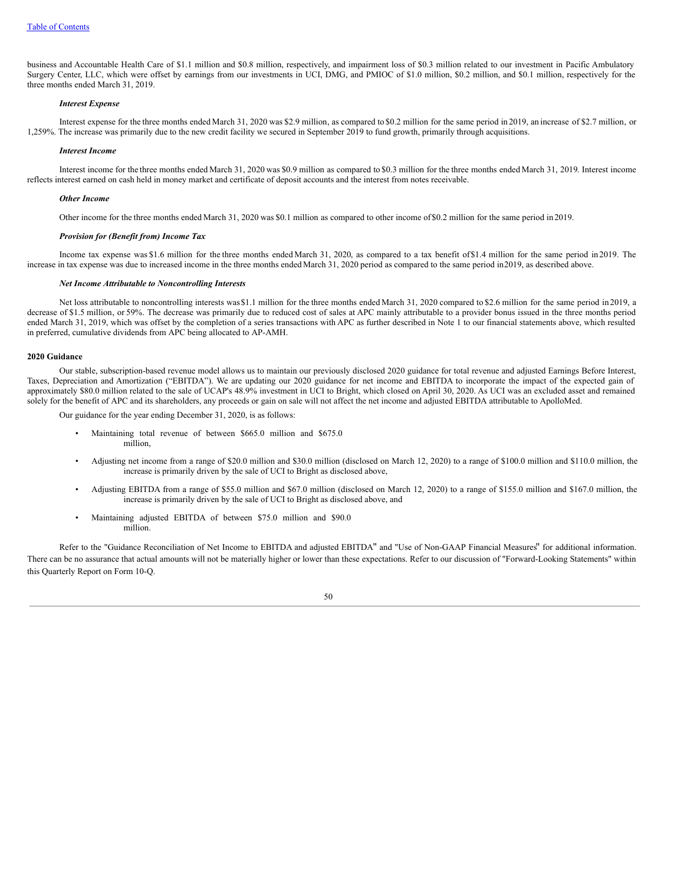business and Accountable Health Care of \$1.1 million and \$0.8 million, respectively, and impairment loss of \$0.3 million related to our investment in Pacific Ambulatory Surgery Center, LLC, which were offset by earnings from our investments in UCI, DMG, and PMIOC of \$1.0 million, \$0.2 million, and \$0.1 million, respectively for the three months ended March 31, 2019.

#### *Interest Expense*

Interest expense for the three months ended March 31, 2020 was \$2.9 million, as compared to \$0.2 million for the same period in 2019, an increase of \$2.7 million, or 1,259%. The increase was primarily due to the new credit facility we secured in September 2019 to fund growth, primarily through acquisitions.

#### *Interest Income*

Interest income for the three months ended March 31, 2020 was \$0.9 million as compared to \$0.3 million for the three months ended March 31, 2019. Interest income reflects interest earned on cash held in money market and certificate of deposit accounts and the interest from notes receivable.

#### *Other Income*

Other income for the three months ended March 31, 2020 was \$0.1 million as compared to other income of\$0.2 million for the same period in 2019.

#### *Provision for (Benefit from) Income Tax*

Income tax expense was \$1.6 million for the three months ended March 31, 2020, as compared to a tax benefit of\$1.4 million for the same period in 2019. The increase in tax expense was due to increased income in the three months ended March 31, 2020 period as compared to the same period in2019, as described above.

#### *Net Income Attributable to Noncontrolling Interests*

Net loss attributable to noncontrolling interests was \$1.1 million for the three months ended March 31, 2020 compared to \$2.6 million for the same period in 2019, a decrease of \$1.5 million, or 59%. The decrease was primarily due to reduced cost of sales at APC mainly attributable to a provider bonus issued in the three months period ended March 31, 2019, which was offset by the completion of a series transactions with APC as further described in Note 1 to our financial statements above, which resulted in preferred, cumulative dividends from APC being allocated to AP-AMH.

#### **2020 Guidance**

Our stable, subscription-based revenue model allows us to maintain our previously disclosed 2020 guidance for total revenue and adjusted Earnings Before Interest, Taxes, Depreciation and Amortization ("EBITDA"). We are updating our 2020 guidance for net income and EBITDA to incorporate the impact of the expected gain of approximately \$80.0 million related to the sale of UCAP's 48.9% investment in UCI to Bright, which closed on April 30, 2020. As UCI was an excluded asset and remained solely for the benefit of APC and its shareholders, any proceeds or gain on sale will not affect the net income and adjusted EBITDA attributable to ApolloMed.

Our guidance for the year ending December 31, 2020, is as follows:

- Maintaining total revenue of between \$665.0 million and \$675.0 million,
- Adjusting net income from a range of \$20.0 million and \$30.0 million (disclosed on March 12, 2020) to a range of \$100.0 million and \$110.0 million, the increase is primarily driven by the sale of UCI to Bright as disclosed above,
- Adjusting EBITDA from a range of \$55.0 million and \$67.0 million (disclosed on March 12, 2020) to a range of \$155.0 million and \$167.0 million, the increase is primarily driven by the sale of UCI to Bright as disclosed above, and
- Maintaining adjusted EBITDA of between \$75.0 million and \$90.0 million.

Refer to the "Guidance Reconciliation of Net Income to EBITDA and adjusted EBITDA" and "Use of Non-GAAP Financial Measures" for additional information. There can be no assurance that actual amounts will not be materially higher or lower than these expectations. Refer to our discussion of "Forward-Looking Statements" within this Quarterly Report on Form 10-Q.

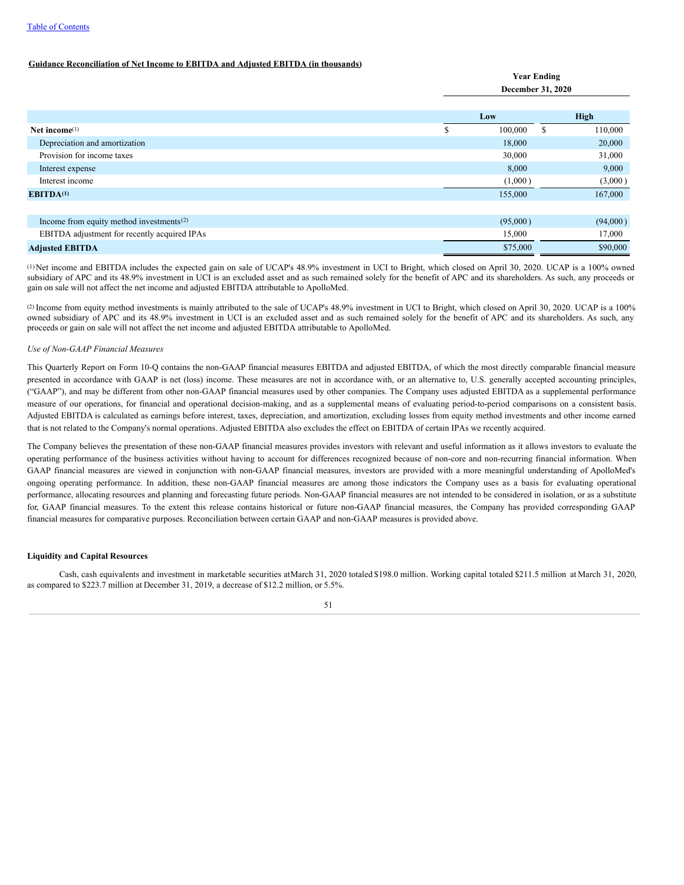#### **Guidance Reconciliation of Net Income to EBITDA and Adjusted EBITDA (in thousands)**

# **Year Ending**

| December 31, 2020 |  |  |
|-------------------|--|--|
|-------------------|--|--|

|                                              |   | Low      | <b>High</b>  |
|----------------------------------------------|---|----------|--------------|
| Net income $(1)$                             | ъ | 100,000  | 110,000<br>S |
| Depreciation and amortization                |   | 18,000   | 20,000       |
| Provision for income taxes                   |   | 30,000   | 31,000       |
| Interest expense                             |   | 8,000    | 9,000        |
| Interest income                              |   | (1,000)  | (3,000)      |
| EBITDA <sup>(1)</sup>                        |   | 155,000  | 167,000      |
|                                              |   |          |              |
| Income from equity method investments $(2)$  |   | (95,000) | (94,000)     |
| EBITDA adjustment for recently acquired IPAs |   | 15,000   | 17,000       |
| <b>Adjusted EBITDA</b>                       |   | \$75,000 | \$90,000     |

(1)Net income and EBITDA includes the expected gain on sale of UCAP's 48.9% investment in UCI to Bright, which closed on April 30, 2020. UCAP is a 100% owned subsidiary of APC and its 48.9% investment in UCI is an excluded asset and as such remained solely for the benefit of APC and its shareholders. As such, any proceeds or gain on sale will not affect the net income and adjusted EBITDA attributable to ApolloMed.

(2) Income from equity method investments is mainly attributed to the sale of UCAP's 48.9% investment in UCI to Bright, which closed on April 30, 2020. UCAP is a 100% owned subsidiary of APC and its 48.9% investment in UCI is an excluded asset and as such remained solely for the benefit of APC and its shareholders. As such, any proceeds or gain on sale will not affect the net income and adjusted EBITDA attributable to ApolloMed.

#### *Use of Non-GAAP Financial Measures*

This Quarterly Report on Form 10-Q contains the non-GAAP financial measures EBITDA and adjusted EBITDA, of which the most directly comparable financial measure presented in accordance with GAAP is net (loss) income. These measures are not in accordance with, or an alternative to, U.S. generally accepted accounting principles, ("GAAP"), and may be different from other non-GAAP financial measures used by other companies. The Company uses adjusted EBITDA as a supplemental performance measure of our operations, for financial and operational decision-making, and as a supplemental means of evaluating period-to-period comparisons on a consistent basis. Adjusted EBITDA is calculated as earnings before interest, taxes, depreciation, and amortization, excluding losses from equity method investments and other income earned that is not related to the Company's normal operations. Adjusted EBITDA also excludes the effect on EBITDA of certain IPAs we recently acquired.

The Company believes the presentation of these non-GAAP financial measures provides investors with relevant and useful information as it allows investors to evaluate the operating performance of the business activities without having to account for differences recognized because of non-core and non-recurring financial information. When GAAP financial measures are viewed in conjunction with non-GAAP financial measures, investors are provided with a more meaningful understanding of ApolloMed's ongoing operating performance. In addition, these non-GAAP financial measures are among those indicators the Company uses as a basis for evaluating operational performance, allocating resources and planning and forecasting future periods. Non-GAAP financial measures are not intended to be considered in isolation, or as a substitute for, GAAP financial measures. To the extent this release contains historical or future non-GAAP financial measures, the Company has provided corresponding GAAP financial measures for comparative purposes. Reconciliation between certain GAAP and non-GAAP measures is provided above.

#### **Liquidity and Capital Resources**

Cash, cash equivalents and investment in marketable securities atMarch 31, 2020 totaled \$198.0 million. Working capital totaled \$211.5 million at March 31, 2020, as compared to \$223.7 million at December 31, 2019, a decrease of \$12.2 million, or 5.5%.

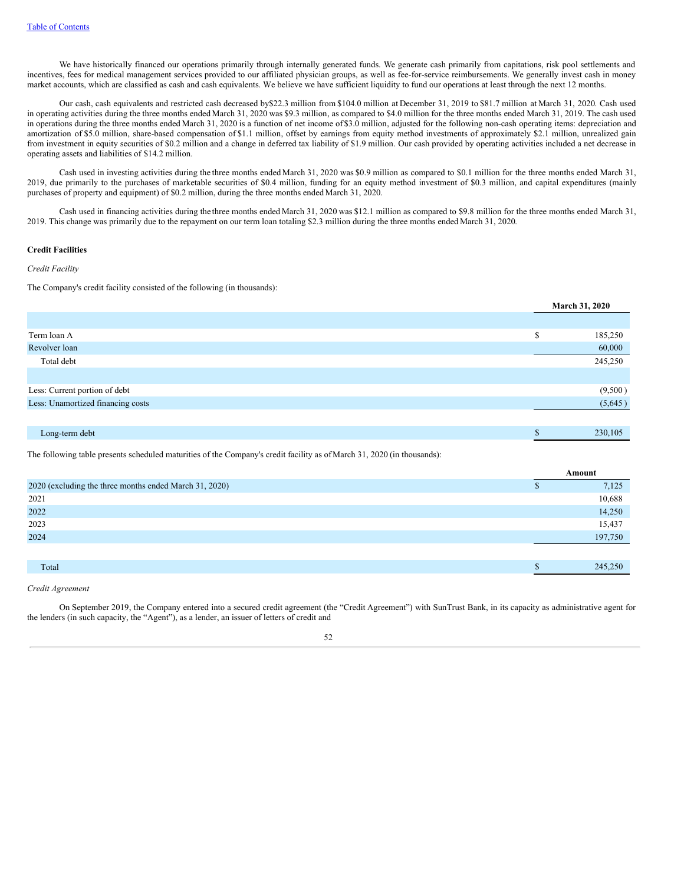We have historically financed our operations primarily through internally generated funds. We generate cash primarily from capitations, risk pool settlements and incentives, fees for medical management services provided to our affiliated physician groups, as well as fee-for-service reimbursements. We generally invest cash in money market accounts, which are classified as cash and cash equivalents. We believe we have sufficient liquidity to fund our operations at least through the next 12 months.

Our cash, cash equivalents and restricted cash decreased by\$22.3 million from \$104.0 million at December 31, 2019 to \$81.7 million at March 31, 2020. Cash used in operating activities during the three months ended March 31, 2020 was \$9.3 million, as compared to \$4.0 million for the three months ended March 31, 2019. The cash used in operations during the three months ended March 31, 2020 is a function of net income of \$3.0 million, adjusted for the following non-cash operating items: depreciation and amortization of \$5.0 million, share-based compensation of \$1.1 million, offset by earnings from equity method investments of approximately \$2.1 million, unrealized gain from investment in equity securities of \$0.2 million and a change in deferred tax liability of \$1.9 million. Our cash provided by operating activities included a net decrease in operating assets and liabilities of \$14.2 million.

Cash used in investing activities during the three months ended March 31, 2020 was \$0.9 million as compared to \$0.1 million for the three months ended March 31, 2019, due primarily to the purchases of marketable securities of \$0.4 million, funding for an equity method investment of \$0.3 million, and capital expenditures (mainly purchases of property and equipment) of \$0.2 million, during the three months ended March 31, 2020.

Cash used in financing activities during the three months ended March 31, 2020 was \$12.1 million as compared to \$9.8 million for the three months ended March 31, 2019. This change was primarily due to the repayment on our term loan totaling \$2.3 million during the three months ended March 31, 2020.

#### **Credit Facilities**

#### *Credit Facility*

The Company's credit facility consisted of the following (in thousands):

|                                   |     | <b>March 31, 2020</b> |
|-----------------------------------|-----|-----------------------|
|                                   |     |                       |
| Term loan A                       | \$. | 185,250               |
| Revolver loan                     |     | 60,000                |
| Total debt                        |     | 245,250               |
|                                   |     |                       |
| Less: Current portion of debt     |     | (9,500)               |
| Less: Unamortized financing costs |     | (5,645)               |
|                                   |     |                       |

Long-term debt  $$ 230,105$ 

The following table presents scheduled maturities of the Company's credit facility as of March 31, 2020 (in thousands):

|                                                        | Amount  |
|--------------------------------------------------------|---------|
| 2020 (excluding the three months ended March 31, 2020) | 7,125   |
| 2021                                                   | 10,688  |
| 2022                                                   | 14,250  |
| 2023                                                   | 15,437  |
| 2024                                                   | 197,750 |
|                                                        |         |
| Total                                                  | 245,250 |

*Credit Agreement*

On September 2019, the Company entered into a secured credit agreement (the "Credit Agreement") with SunTrust Bank, in its capacity as administrative agent for the lenders (in such capacity, the "Agent"), as a lender, an issuer of letters of credit and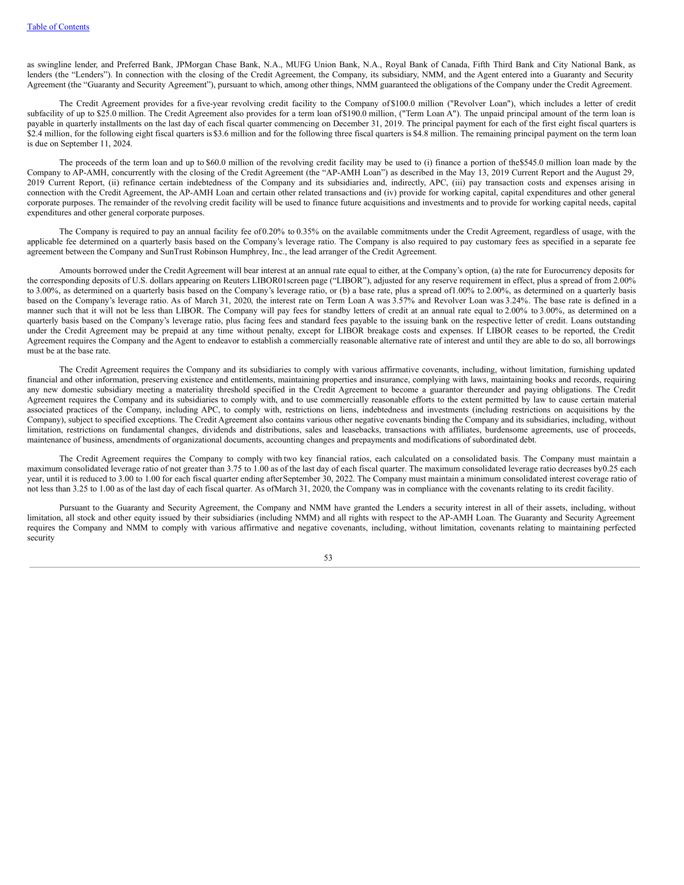as swingline lender, and Preferred Bank, JPMorgan Chase Bank, N.A., MUFG Union Bank, N.A., Royal Bank of Canada, Fifth Third Bank and City National Bank, as lenders (the "Lenders"). In connection with the closing of the Credit Agreement, the Company, its subsidiary, NMM, and the Agent entered into a Guaranty and Security Agreement (the "Guaranty and Security Agreement"), pursuant to which, among other things, NMM guaranteed the obligations of the Company under the Credit Agreement.

The Credit Agreement provides for a five-year revolving credit facility to the Company of \$100.0 million ("Revolver Loan"), which includes a letter of credit subfacility of up to \$25.0 million. The Credit Agreement also provides for a term loan of \$190.0 million, ("Term Loan A"). The unpaid principal amount of the term loan is payable in quarterly installments on the last day of each fiscal quarter commencing on December 31, 2019. The principal payment for each of the first eight fiscal quarters is \$2.4 million, for the following eight fiscal quarters is \$3.6 million and for the following three fiscal quarters is \$4.8 million. The remaining principal payment on the term loan is due on September 11, 2024.

The proceeds of the term loan and up to \$60.0 million of the revolving credit facility may be used to (i) finance a portion of the\$545.0 million loan made by the Company to AP-AMH, concurrently with the closing of the Credit Agreement (the "AP-AMH Loan") as described in the May 13, 2019 Current Report and the August 29, 2019 Current Report, (ii) refinance certain indebtedness of the Company and its subsidiaries and, indirectly, APC, (iii) pay transaction costs and expenses arising in connection with the Credit Agreement, the AP-AMH Loan and certain other related transactions and (iv) provide for working capital, capital expenditures and other general corporate purposes. The remainder of the revolving credit facility will be used to finance future acquisitions and investments and to provide for working capital needs, capital expenditures and other general corporate purposes.

The Company is required to pay an annual facility fee of0.20% to 0.35% on the available commitments under the Credit Agreement, regardless of usage, with the applicable fee determined on a quarterly basis based on the Company's leverage ratio. The Company is also required to pay customary fees as specified in a separate fee agreement between the Company and SunTrust Robinson Humphrey, Inc., the lead arranger of the Credit Agreement.

Amounts borrowed under the Credit Agreement will bear interest at an annual rate equal to either, at the Company's option, (a) the rate for Eurocurrency deposits for the corresponding deposits of U.S. dollars appearing on Reuters LIBOR01screen page ("LIBOR"), adjusted for any reserve requirement in effect, plus a spread of from 2.00% to 3.00%, as determined on a quarterly basis based on the Company's leverage ratio, or (b) a base rate, plus a spread of1.00% to 2.00%, as determined on a quarterly basis based on the Company's leverage ratio. As of March 31, 2020, the interest rate on Term Loan A was 3.57% and Revolver Loan was 3.24%. The base rate is defined in a manner such that it will not be less than LIBOR. The Company will pay fees for standby letters of credit at an annual rate equal to 2.00% to 3.00%, as determined on a quarterly basis based on the Company's leverage ratio, plus facing fees and standard fees payable to the issuing bank on the respective letter of credit. Loans outstanding under the Credit Agreement may be prepaid at any time without penalty, except for LIBOR breakage costs and expenses. If LIBOR ceases to be reported, the Credit Agreement requires the Company and the Agent to endeavor to establish a commercially reasonable alternative rate of interest and until they are able to do so, all borrowings must be at the base rate.

The Credit Agreement requires the Company and its subsidiaries to comply with various affirmative covenants, including, without limitation, furnishing updated financial and other information, preserving existence and entitlements, maintaining properties and insurance, complying with laws, maintaining books and records, requiring any new domestic subsidiary meeting a materiality threshold specified in the Credit Agreement to become a guarantor thereunder and paying obligations. The Credit Agreement requires the Company and its subsidiaries to comply with, and to use commercially reasonable efforts to the extent permitted by law to cause certain material associated practices of the Company, including APC, to comply with, restrictions on liens, indebtedness and investments (including restrictions on acquisitions by the Company), subject to specified exceptions. The Credit Agreement also contains various other negative covenants binding the Company and its subsidiaries, including, without limitation, restrictions on fundamental changes, dividends and distributions, sales and leasebacks, transactions with affiliates, burdensome agreements, use of proceeds, maintenance of business, amendments of organizational documents, accounting changes and prepayments and modifications of subordinated debt.

The Credit Agreement requires the Company to comply with two key financial ratios, each calculated on a consolidated basis. The Company must maintain a maximum consolidated leverage ratio of not greater than 3.75 to 1.00 as of the last day of each fiscal quarter. The maximum consolidated leverage ratio decreases by0.25 each year, until it is reduced to 3.00 to 1.00 for each fiscal quarter ending after September 30, 2022. The Company must maintain a minimum consolidated interest coverage ratio of not less than 3.25 to 1.00 as of the last day of each fiscal quarter. As ofMarch 31, 2020, the Company was in compliance with the covenants relating to its credit facility.

Pursuant to the Guaranty and Security Agreement, the Company and NMM have granted the Lenders a security interest in all of their assets, including, without limitation, all stock and other equity issued by their subsidiaries (including NMM) and all rights with respect to the AP-AMH Loan. The Guaranty and Security Agreement requires the Company and NMM to comply with various affirmative and negative covenants, including, without limitation, covenants relating to maintaining perfected security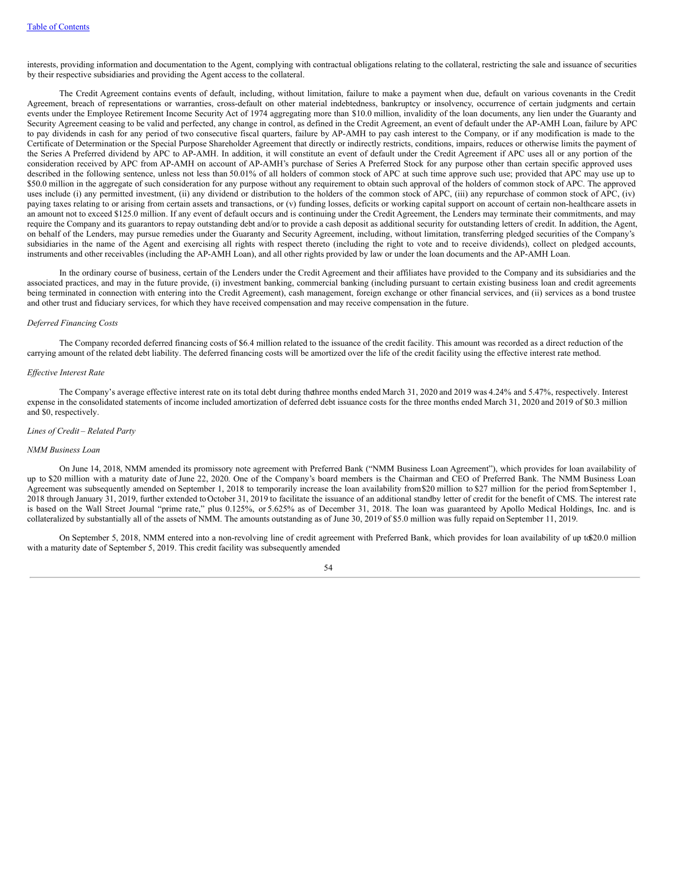interests, providing information and documentation to the Agent, complying with contractual obligations relating to the collateral, restricting the sale and issuance of securities by their respective subsidiaries and providing the Agent access to the collateral.

The Credit Agreement contains events of default, including, without limitation, failure to make a payment when due, default on various covenants in the Credit Agreement, breach of representations or warranties, cross-default on other material indebtedness, bankruptcy or insolvency, occurrence of certain judgments and certain events under the Employee Retirement Income Security Act of 1974 aggregating more than \$10.0 million, invalidity of the loan documents, any lien under the Guaranty and Security Agreement ceasing to be valid and perfected, any change in control, as defined in the Credit Agreement, an event of default under the AP-AMH Loan, failure by APC to pay dividends in cash for any period of two consecutive fiscal quarters, failure by AP-AMH to pay cash interest to the Company, or if any modification is made to the Certificate of Determination or the Special Purpose Shareholder Agreement that directly or indirectly restricts, conditions, impairs, reduces or otherwise limits the payment of the Series A Preferred dividend by APC to AP-AMH. In addition, it will constitute an event of default under the Credit Agreement if APC uses all or any portion of the consideration received by APC from AP-AMH on account of AP-AMH's purchase of Series A Preferred Stock for any purpose other than certain specific approved uses described in the following sentence, unless not less than 50.01% of all holders of common stock of APC at such time approve such use; provided that APC may use up to \$50.0 million in the aggregate of such consideration for any purpose without any requirement to obtain such approval of the holders of common stock of APC. The approved uses include (i) any permitted investment, (ii) any dividend or distribution to the holders of the common stock of APC, (iii) any repurchase of common stock of APC, (iv) paying taxes relating to or arising from certain assets and transactions, or (v) funding losses, deficits or working capital support on account of certain non-healthcare assets in an amount not to exceed \$125.0 million. If any event of default occurs and is continuing under the Credit Agreement, the Lenders may terminate their commitments, and may require the Company and its guarantors to repay outstanding debt and/or to provide a cash deposit as additional security for outstanding letters of credit. In addition, the Agent, on behalf of the Lenders, may pursue remedies under the Guaranty and Security Agreement, including, without limitation, transferring pledged securities of the Company's subsidiaries in the name of the Agent and exercising all rights with respect thereto (including the right to vote and to receive dividends), collect on pledged accounts, instruments and other receivables (including the AP-AMH Loan), and all other rights provided by law or under the loan documents and the AP-AMH Loan.

In the ordinary course of business, certain of the Lenders under the Credit Agreement and their affiliates have provided to the Company and its subsidiaries and the associated practices, and may in the future provide, (i) investment banking, commercial banking (including pursuant to certain existing business loan and credit agreements being terminated in connection with entering into the Credit Agreement), cash management, foreign exchange or other financial services, and (ii) services as a bond trustee and other trust and fiduciary services, for which they have received compensation and may receive compensation in the future.

#### *Deferred Financing Costs*

The Company recorded deferred financing costs of \$6.4 million related to the issuance of the credit facility. This amount was recorded as a direct reduction of the carrying amount of the related debt liability. The deferred financing costs will be amortized over the life of the credit facility using the effective interest rate method.

#### *Ef ective Interest Rate*

The Company's average effective interest rate on its total debt during thethree months ended March 31, 2020 and 2019 was 4.24% and 5.47%, respectively. Interest expense in the consolidated statements of income included amortization of deferred debt issuance costs for the three months ended March 31, 2020 and 2019 of \$0.3 million and \$0, respectively.

#### *Lines of Credit* – *Related Party*

#### *NMM Business Loan*

On June 14, 2018, NMM amended its promissory note agreement with Preferred Bank ("NMM Business Loan Agreement"), which provides for loan availability of up to \$20 million with a maturity date of June 22, 2020. One of the Company's board members is the Chairman and CEO of Preferred Bank. The NMM Business Loan Agreement was subsequently amended on September 1, 2018 to temporarily increase the loan availability from\$20 million to \$27 million for the period from September 1, 2018 through January 31, 2019, further extended toOctober 31, 2019 to facilitate the issuance of an additional standby letter of credit for the benefit of CMS. The interest rate is based on the Wall Street Journal "prime rate," plus 0.125%, or 5.625% as of December 31, 2018. The loan was guaranteed by Apollo Medical Holdings, Inc. and is collateralized by substantially all of the assets of NMM. The amounts outstanding as of June 30, 2019 of \$5.0 million was fully repaid on September 11, 2019.

On September 5, 2018, NMM entered into a non-revolving line of credit agreement with Preferred Bank, which provides for loan availability of up to\$20.0 million with a maturity date of September 5, 2019. This credit facility was subsequently amended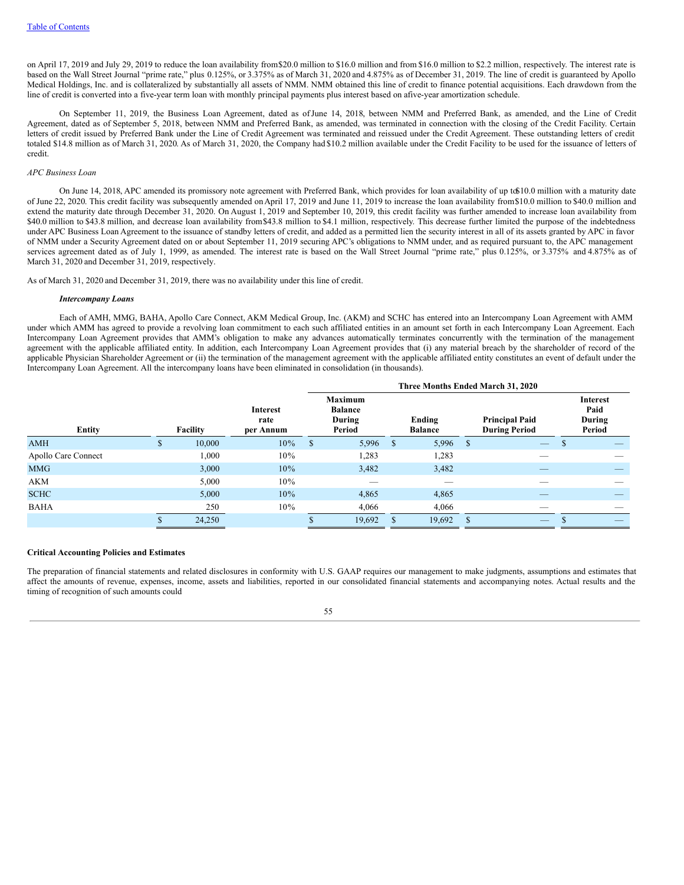on April 17, 2019 and July 29, 2019 to reduce the loan availability from\$20.0 million to \$16.0 million and from \$16.0 million to \$2.2 million, respectively. The interest rate is based on the Wall Street Journal "prime rate," plus 0.125%, or 3.375% as of March 31, 2020 and 4.875% as of December 31, 2019. The line of credit is guaranteed by Apollo Medical Holdings, Inc. and is collateralized by substantially all assets of NMM. NMM obtained this line of credit to finance potential acquisitions. Each drawdown from the line of credit is converted into a five-year term loan with monthly principal payments plus interest based on afive-year amortization schedule.

On September 11, 2019, the Business Loan Agreement, dated as ofJune 14, 2018, between NMM and Preferred Bank, as amended, and the Line of Credit Agreement, dated as of September 5, 2018, between NMM and Preferred Bank, as amended, was terminated in connection with the closing of the Credit Facility. Certain letters of credit issued by Preferred Bank under the Line of Credit Agreement was terminated and reissued under the Credit Agreement. These outstanding letters of credit totaled \$14.8 million as of March 31, 2020. As of March 31, 2020, the Company had \$10.2 million available under the Credit Facility to be used for the issuance of letters of credit.

#### *APC Business Loan*

On June 14, 2018, APC amended its promissory note agreement with Preferred Bank, which provides for loan availability of up to\$10.0 million with a maturity date of June 22, 2020. This credit facility was subsequently amended onApril 17, 2019 and June 11, 2019 to increase the loan availability from\$10.0 million to \$40.0 million and extend the maturity date through December 31, 2020. On August 1, 2019 and September 10, 2019, this credit facility was further amended to increase loan availability from \$40.0 million to \$43.8 million, and decrease loan availability from \$43.8 million to \$4.1 million, respectively. This decrease further limited the purpose of the indebtedness under APC Business Loan Agreement to the issuance of standby letters of credit, and added as a permitted lien the security interest in all of its assets granted by APC in favor of NMM under a Security Agreement dated on or about September 11, 2019 securing APC's obligations to NMM under, and as required pursuant to, the APC management services agreement dated as of July 1, 1999, as amended. The interest rate is based on the Wall Street Journal "prime rate," plus 0.125%, or 3.375% and 4.875% as of March 31, 2020 and December 31, 2019, respectively.

As of March 31, 2020 and December 31, 2019, there was no availability under this line of credit.

#### *Intercompany Loans*

Each of AMH, MMG, BAHA, Apollo Care Connect, AKM Medical Group, Inc. (AKM) and SCHC has entered into an Intercompany Loan Agreement with AMM under which AMM has agreed to provide a revolving loan commitment to each such affiliated entities in an amount set forth in each Intercompany Loan Agreement. Each Intercompany Loan Agreement provides that AMM's obligation to make any advances automatically terminates concurrently with the termination of the management agreement with the applicable affiliated entity. In addition, each Intercompany Loan Agreement provides that (i) any material breach by the shareholder of record of the applicable Physician Shareholder Agreement or (ii) the termination of the management agreement with the applicable affiliated entity constitutes an event of default under the Intercompany Loan Agreement. All the intercompany loans have been eliminated in consolidation (in thousands).

|                     |    |          | Three Months Ended March 31, 2020    |              |                                                      |               |                          |      |                                               |   |                                             |
|---------------------|----|----------|--------------------------------------|--------------|------------------------------------------------------|---------------|--------------------------|------|-----------------------------------------------|---|---------------------------------------------|
| Entity              |    | Facility | <b>Interest</b><br>rate<br>per Annum |              | <b>Maximum</b><br><b>Balance</b><br>During<br>Period |               | Ending<br><b>Balance</b> |      | <b>Principal Paid</b><br><b>During Period</b> |   | <b>Interest</b><br>Paid<br>During<br>Period |
| <b>AMH</b>          | Ф  | 10,000   | 10%                                  | $\mathbb{S}$ | 5,996                                                | <sup>\$</sup> | 5,996                    | - \$ | $\qquad \qquad -$                             | Ф | _                                           |
| Apollo Care Connect |    | 1,000    | 10%                                  |              | 1,283                                                |               | 1,283                    |      | __                                            |   | $\overline{\phantom{a}}$                    |
| <b>MMG</b>          |    | 3,000    | 10%                                  |              | 3,482                                                |               | 3,482                    |      |                                               |   |                                             |
| AKM                 |    | 5,000    | 10%                                  |              |                                                      |               |                          |      |                                               |   |                                             |
| <b>SCHC</b>         |    | 5,000    | 10%                                  |              | 4,865                                                |               | 4,865                    |      |                                               |   |                                             |
| <b>BAHA</b>         |    | 250      | 10%                                  |              | 4,066                                                |               | 4,066                    |      | -                                             |   | _                                           |
|                     | D. | 24,250   |                                      |              | 19,692                                               | S             | 19,692                   |      | $\overline{\phantom{m}}$                      |   |                                             |

#### **Critical Accounting Policies and Estimates**

The preparation of financial statements and related disclosures in conformity with U.S. GAAP requires our management to make judgments, assumptions and estimates that affect the amounts of revenue, expenses, income, assets and liabilities, reported in our consolidated financial statements and accompanying notes. Actual results and the timing of recognition of such amounts could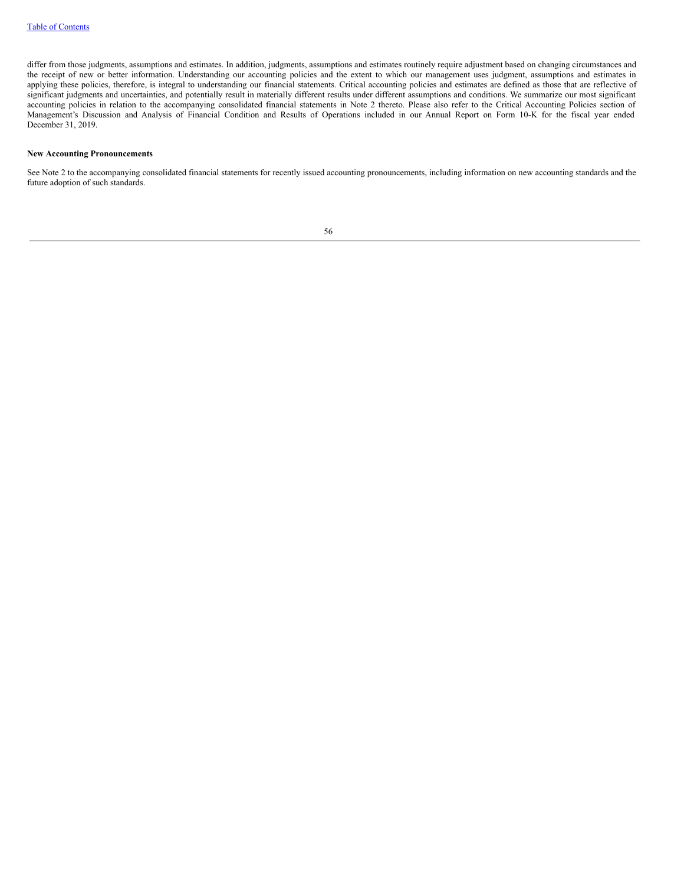differ from those judgments, assumptions and estimates. In addition, judgments, assumptions and estimates routinely require adjustment based on changing circumstances and the receipt of new or better information. Understanding our accounting policies and the extent to which our management uses judgment, assumptions and estimates in applying these policies, therefore, is integral to understanding our financial statements. Critical accounting policies and estimates are defined as those that are reflective of significant judgments and uncertainties, and potentially result in materially different results under different assumptions and conditions. We summarize our most significant accounting policies in relation to the accompanying consolidated financial statements in Note 2 thereto. Please also refer to the Critical Accounting Policies section of Management's Discussion and Analysis of Financial Condition and Results of Operations included in our Annual Report on Form 10-K for the fiscal year ended December 31, 2019.

#### **New Accounting Pronouncements**

See Note 2 to the accompanying consolidated financial statements for recently issued accounting pronouncements, including information on new accounting standards and the future adoption of such standards.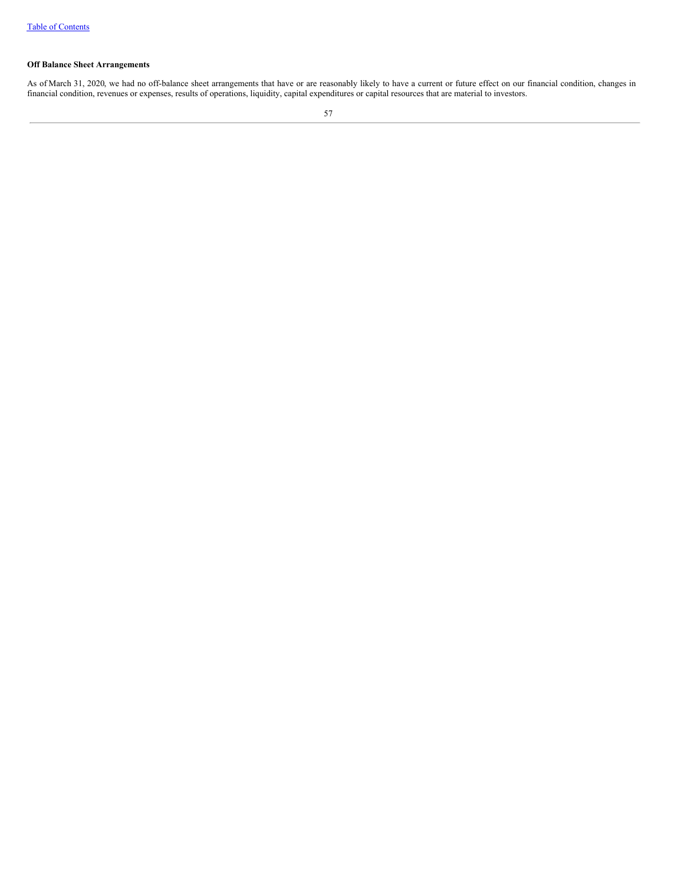### **Off Balance Sheet Arrangements**

As of March 31, 2020, we had no off-balance sheet arrangements that have or are reasonably likely to have a current or future effect on our financial condition, changes in financial condition, revenues or expenses, results of operations, liquidity, capital expenditures or capital resources that are material to investors.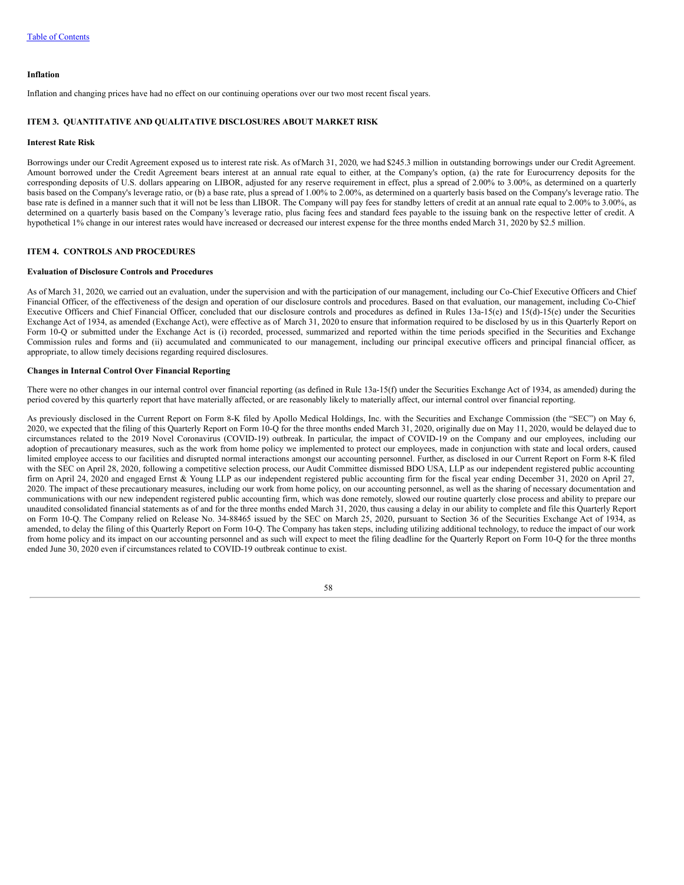#### **Inflation**

<span id="page-57-0"></span>Inflation and changing prices have had no effect on our continuing operations over our two most recent fiscal years.

#### **ITEM 3. QUANTITATIVE AND QUALITATIVE DISCLOSURES ABOUT MARKET RISK**

#### **Interest Rate Risk**

Borrowings under our Credit Agreement exposed us to interest rate risk. As ofMarch 31, 2020, we had \$245.3 million in outstanding borrowings under our Credit Agreement. Amount borrowed under the Credit Agreement bears interest at an annual rate equal to either, at the Company's option, (a) the rate for Eurocurrency deposits for the corresponding deposits of U.S. dollars appearing on LIBOR, adjusted for any reserve requirement in effect, plus a spread of 2.00% to 3.00%, as determined on a quarterly basis based on the Company's leverage ratio, or (b) a base rate, plus a spread of 1.00% to 2.00%, as determined on a quarterly basis based on the Company's leverage ratio. The base rate is defined in a manner such that it will not be less than LIBOR. The Company will pay fees for standby letters of credit at an annual rate equal to 2.00% to 3.00%, as determined on a quarterly basis based on the Company's leverage ratio, plus facing fees and standard fees payable to the issuing bank on the respective letter of credit. A hypothetical 1% change in our interest rates would have increased or decreased our interest expense for the three months ended March 31, 2020 by \$2.5 million.

### <span id="page-57-1"></span>**ITEM 4. CONTROLS AND PROCEDURES**

#### **Evaluation of Disclosure Controls and Procedures**

As of March 31, 2020, we carried out an evaluation, under the supervision and with the participation of our management, including our Co-Chief Executive Officers and Chief Financial Officer, of the effectiveness of the design and operation of our disclosure controls and procedures. Based on that evaluation, our management, including Co-Chief Executive Officers and Chief Financial Officer, concluded that our disclosure controls and procedures as defined in Rules 13a-15(e) and 15(d)-15(e) under the Securities Exchange Act of 1934, as amended (Exchange Act), were effective as of March 31, 2020 to ensure that information required to be disclosed by us in this Quarterly Report on Form 10-Q or submitted under the Exchange Act is (i) recorded, processed, summarized and reported within the time periods specified in the Securities and Exchange Commission rules and forms and (ii) accumulated and communicated to our management, including our principal executive officers and principal financial officer, as appropriate, to allow timely decisions regarding required disclosures.

#### **Changes in Internal Control Over Financial Reporting**

There were no other changes in our internal control over financial reporting (as defined in Rule 13a-15(f) under the Securities Exchange Act of 1934, as amended) during the period covered by this quarterly report that have materially affected, or are reasonably likely to materially affect, our internal control over financial reporting.

As previously disclosed in the Current Report on Form 8-K filed by Apollo Medical Holdings, Inc. with the Securities and Exchange Commission (the "SEC") on May 6, 2020, we expected that the filing of this Quarterly Report on Form 10-Q for the three months ended March 31, 2020, originally due on May 11, 2020, would be delayed due to circumstances related to the 2019 Novel Coronavirus (COVID-19) outbreak. In particular, the impact of COVID-19 on the Company and our employees, including our adoption of precautionary measures, such as the work from home policy we implemented to protect our employees, made in conjunction with state and local orders, caused limited employee access to our facilities and disrupted normal interactions amongst our accounting personnel. Further, as disclosed in our Current Report on Form 8-K filed with the SEC on April 28, 2020, following a competitive selection process, our Audit Committee dismissed BDO USA, LLP as our independent registered public accounting firm on April 24, 2020 and engaged Ernst & Young LLP as our independent registered public accounting firm for the fiscal year ending December 31, 2020 on April 27, 2020. The impact of these precautionary measures, including our work from home policy, on our accounting personnel, as well as the sharing of necessary documentation and communications with our new independent registered public accounting firm, which was done remotely, slowed our routine quarterly close process and ability to prepare our unaudited consolidated financial statements as of and for the three months ended March 31, 2020, thus causing a delay in our ability to complete and file this Quarterly Report on Form 10-Q. The Company relied on Release No. 34-88465 issued by the SEC on March 25, 2020, pursuant to Section 36 of the Securities Exchange Act of 1934, as amended, to delay the filing of this Quarterly Report on Form 10-Q. The Company has taken steps, including utilizing additional technology, to reduce the impact of our work from home policy and its impact on our accounting personnel and as such will expect to meet the filing deadline for the Quarterly Report on Form 10-Q for the three months ended June 30, 2020 even if circumstances related to COVID-19 outbreak continue to exist.

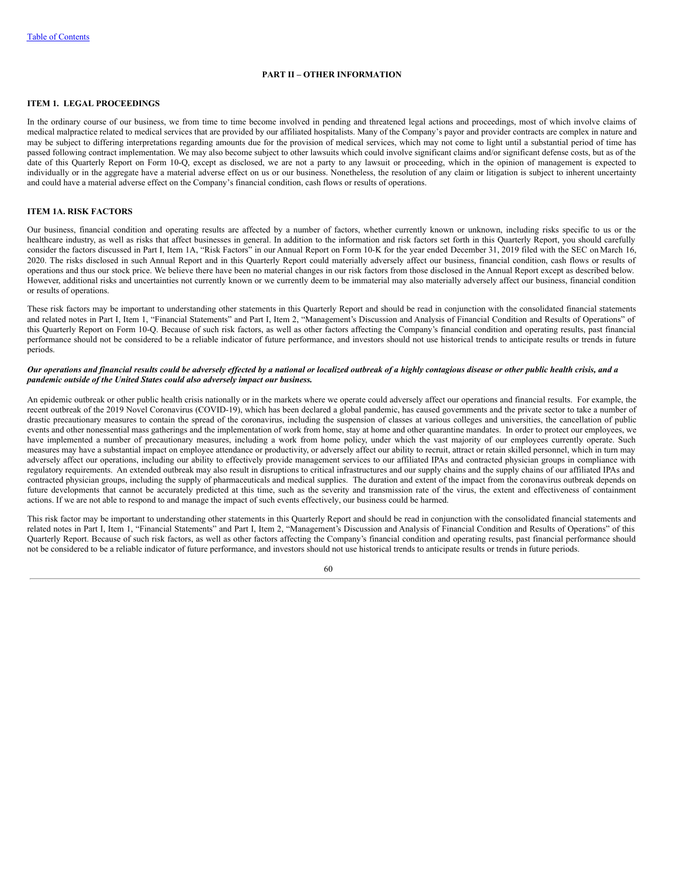#### **PART II – OTHER INFORMATION**

### <span id="page-59-1"></span><span id="page-59-0"></span>**ITEM 1. LEGAL PROCEEDINGS**

In the ordinary course of our business, we from time to time become involved in pending and threatened legal actions and proceedings, most of which involve claims of medical malpractice related to medical services that are provided by our affiliated hospitalists. Many of the Company's payor and provider contracts are complex in nature and may be subject to differing interpretations regarding amounts due for the provision of medical services, which may not come to light until a substantial period of time has passed following contract implementation. We may also become subject to other lawsuits which could involve significant claims and/or significant defense costs, but as of the date of this Quarterly Report on Form 10-Q, except as disclosed, we are not a party to any lawsuit or proceeding, which in the opinion of management is expected to individually or in the aggregate have a material adverse effect on us or our business. Nonetheless, the resolution of any claim or litigation is subject to inherent uncertainty and could have a material adverse effect on the Company's financial condition, cash flows or results of operations.

#### <span id="page-59-2"></span>**ITEM 1A. RISK FACTORS**

Our business, financial condition and operating results are affected by a number of factors, whether currently known or unknown, including risks specific to us or the healthcare industry, as well as risks that affect businesses in general. In addition to the information and risk factors set forth in this Quarterly Report, you should carefully consider the factors discussed in Part I, Item 1A, "Risk Factors" in our Annual Report on Form 10-K for the year ended December 31, 2019 filed with the SEC on March 16, 2020. The risks disclosed in such Annual Report and in this Quarterly Report could materially adversely affect our business, financial condition, cash flows or results of operations and thus our stock price. We believe there have been no material changes in our risk factors from those disclosed in the Annual Report except as described below. However, additional risks and uncertainties not currently known or we currently deem to be immaterial may also materially adversely affect our business, financial condition or results of operations.

These risk factors may be important to understanding other statements in this Quarterly Report and should be read in conjunction with the consolidated financial statements and related notes in Part I, Item 1, "Financial Statements" and Part I, Item 2, "Management's Discussion and Analysis of Financial Condition and Results of Operations" of this Quarterly Report on Form 10-Q. Because of such risk factors, as well as other factors affecting the Company's financial condition and operating results, past financial performance should not be considered to be a reliable indicator of future performance, and investors should not use historical trends to anticipate results or trends in future periods.

#### Our operations and financial results could be adversely effected by a national or localized outbreak of a highly contagious disease or other public health crisis, and a *pandemic outside of the United States could also adversely impact our business.*

An epidemic outbreak or other public health crisis nationally or in the markets where we operate could adversely affect our operations and financial results. For example, the recent outbreak of the 2019 Novel Coronavirus (COVID-19), which has been declared a global pandemic, has caused governments and the private sector to take a number of drastic precautionary measures to contain the spread of the coronavirus, including the suspension of classes at various colleges and universities, the cancellation of public events and other nonessential mass gatherings and the implementation of work from home, stay at home and other quarantine mandates. In order to protect our employees, we have implemented a number of precautionary measures, including a work from home policy, under which the vast majority of our employees currently operate. Such measures may have a substantial impact on employee attendance or productivity, or adversely affect our ability to recruit, attract or retain skilled personnel, which in turn may adversely affect our operations, including our ability to effectively provide management services to our affiliated IPAs and contracted physician groups in compliance with regulatory requirements. An extended outbreak may also result in disruptions to critical infrastructures and our supply chains and the supply chains of our affiliated IPAs and contracted physician groups, including the supply of pharmaceuticals and medical supplies. The duration and extent of the impact from the coronavirus outbreak depends on future developments that cannot be accurately predicted at this time, such as the severity and transmission rate of the virus, the extent and effectiveness of containment actions. If we are not able to respond to and manage the impact of such events effectively, our business could be harmed.

This risk factor may be important to understanding other statements in this Quarterly Report and should be read in conjunction with the consolidated financial statements and related notes in Part I, Item 1, "Financial Statements" and Part I, Item 2, "Management's Discussion and Analysis of Financial Condition and Results of Operations" of this Quarterly Report. Because of such risk factors, as well as other factors affecting the Company's financial condition and operating results, past financial performance should not be considered to be a reliable indicator of future performance, and investors should not use historical trends to anticipate results or trends in future periods.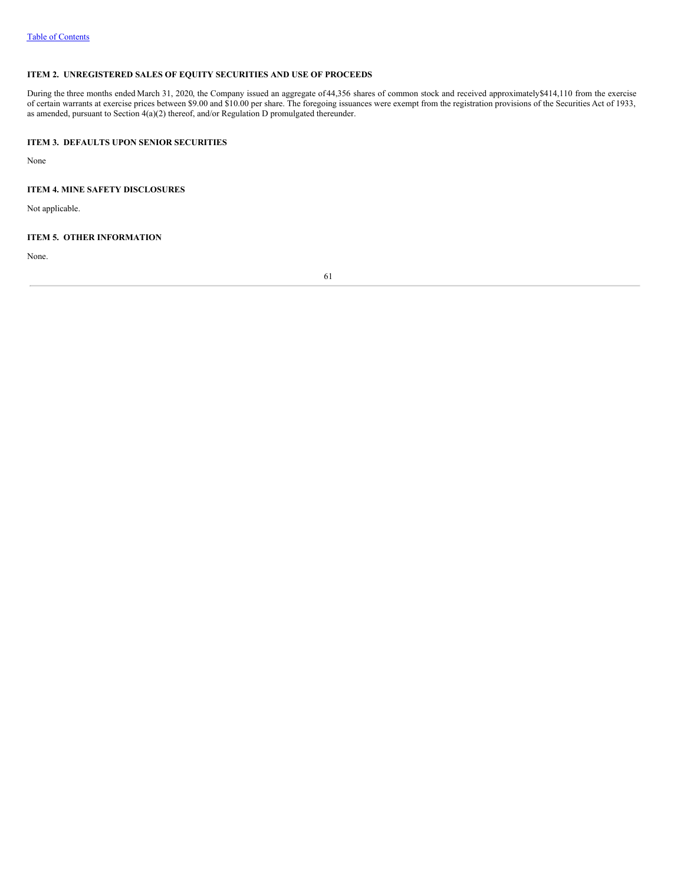### <span id="page-60-0"></span>**ITEM 2. UNREGISTERED SALES OF EQUITY SECURITIES AND USE OF PROCEEDS**

During the three months ended March 31, 2020, the Company issued an aggregate of 44,356 shares of common stock and received approximately\$414,110 from the exercise of certain warrants at exercise prices between \$9.00 and \$10.00 per share. The foregoing issuances were exempt from the registration provisions of the Securities Act of 1933, as amended, pursuant to Section  $4(a)(2)$  thereof, and/or Regulation D promulgated thereunder.

### <span id="page-60-1"></span>**ITEM 3. DEFAULTS UPON SENIOR SECURITIES**

<span id="page-60-2"></span>None

### **ITEM 4. MINE SAFETY DISCLOSURES**

<span id="page-60-3"></span>Not applicable.

### **ITEM 5. OTHER INFORMATION**

None.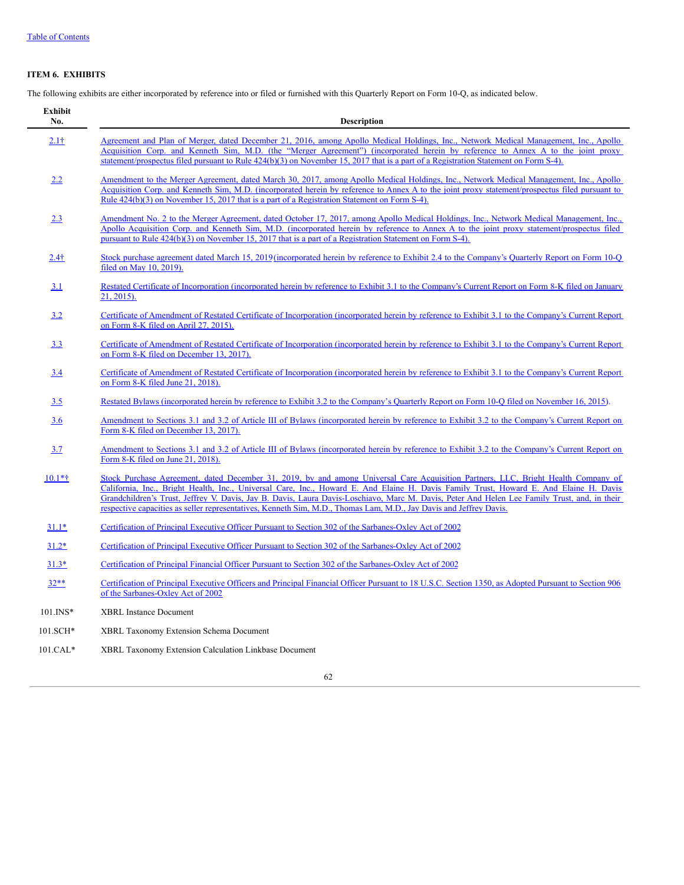### <span id="page-61-0"></span>**ITEM 6. EXHIBITS**

The following exhibits are either incorporated by reference into or filed or furnished with this Quarterly Report on Form 10-Q, as indicated below.

| Exhibit<br>No.   | <b>Description</b>                                                                                                                                                                                                                                                                                                                                                                                                                                                                                                                                 |  |  |  |  |
|------------------|----------------------------------------------------------------------------------------------------------------------------------------------------------------------------------------------------------------------------------------------------------------------------------------------------------------------------------------------------------------------------------------------------------------------------------------------------------------------------------------------------------------------------------------------------|--|--|--|--|
| 2.1 <sup>†</sup> | Agreement and Plan of Merger, dated December 21, 2016, among Apollo Medical Holdings, Inc., Network Medical Management, Inc., Apollo<br>Acquisition Corp. and Kenneth Sim, M.D. (the "Merger Agreement") (incorporated herein by reference to Annex A to the joint proxy<br>statement/prospectus filed pursuant to Rule 424(b)(3) on November 15, 2017 that is a part of a Registration Statement on Form S-4).                                                                                                                                    |  |  |  |  |
| 2.2              | Amendment to the Merger Agreement, dated March 30, 2017, among Apollo Medical Holdings, Inc., Network Medical Management, Inc., Apollo<br>Acquisition Corp. and Kenneth Sim, M.D. (incorporated herein by reference to Annex A to the joint proxy statement/prospectus filed pursuant to<br>Rule $424(b)(3)$ on November 15, 2017 that is a part of a Registration Statement on Form S-4).                                                                                                                                                         |  |  |  |  |
| 2.3              | Amendment No. 2 to the Merger Agreement, dated October 17, 2017, among Apollo Medical Holdings, Inc., Network Medical Management, Inc.,<br>Apollo Acquisition Corp. and Kenneth Sim, M.D. (incorporated herein by reference to Annex A to the joint proxy statement/prospectus filed<br>pursuant to Rule 424(b)(3) on November 15, 2017 that is a part of a Registration Statement on Form S-4).                                                                                                                                                   |  |  |  |  |
| 2.4 <sub>1</sub> | Stock purchase agreement dated March 15, 2019 (incorporated herein by reference to Exhibit 2.4 to the Company's Quarterly Report on Form 10-Q<br>filed on May 10, 2019).                                                                                                                                                                                                                                                                                                                                                                           |  |  |  |  |
| 3.1              | Restated Certificate of Incorporation (incorporated herein by reference to Exhibit 3.1 to the Company's Current Report on Form 8-K filed on January<br>21, 2015).                                                                                                                                                                                                                                                                                                                                                                                  |  |  |  |  |
| 3.2              | Certificate of Amendment of Restated Certificate of Incorporation (incorporated herein by reference to Exhibit 3.1 to the Company's Current Report<br>on Form 8-K filed on April 27, 2015).                                                                                                                                                                                                                                                                                                                                                        |  |  |  |  |
| 3.3              | Certificate of Amendment of Restated Certificate of Incorporation (incorporated herein by reference to Exhibit 3.1 to the Company's Current Report<br>on Form 8-K filed on December 13, 2017).                                                                                                                                                                                                                                                                                                                                                     |  |  |  |  |
| 3.4              | Certificate of Amendment of Restated Certificate of Incorporation (incorporated herein by reference to Exhibit 3.1 to the Company's Current Report<br>on Form 8-K filed June 21, 2018).                                                                                                                                                                                                                                                                                                                                                            |  |  |  |  |
| 3.5              | Restated Bylaws (incorporated herein by reference to Exhibit 3.2 to the Company's Quarterly Report on Form 10-O filed on November 16, 2015).                                                                                                                                                                                                                                                                                                                                                                                                       |  |  |  |  |
| 3.6              | Amendment to Sections 3.1 and 3.2 of Article III of Bylaws (incorporated herein by reference to Exhibit 3.2 to the Company's Current Report on<br>Form 8-K filed on December 13, 2017).                                                                                                                                                                                                                                                                                                                                                            |  |  |  |  |
| 3.7              | Amendment to Sections 3.1 and 3.2 of Article III of Bylaws (incorporated herein by reference to Exhibit 3.2 to the Company's Current Report on<br>Form 8-K filed on June 21, 2018).                                                                                                                                                                                                                                                                                                                                                                |  |  |  |  |
| $10.1*$          | Stock Purchase Agreement, dated December 31, 2019, by and among Universal Care Acquisition Partners, LLC, Bright Health Company of<br>California, Inc., Bright Health, Inc., Universal Care, Inc., Howard E. And Elaine H. Davis Family Trust, Howard E. And Elaine H. Davis<br>Grandchildren's Trust, Jeffrey V. Davis, Jay B. Davis, Laura Davis-Loschiavo, Marc M. Davis, Peter And Helen Lee Family Trust, and, in their<br>respective capacities as seller representatives, Kenneth Sim, M.D., Thomas Lam, M.D., Jay Davis and Jeffrey Davis. |  |  |  |  |
| $31.1*$          | Certification of Principal Executive Officer Pursuant to Section 302 of the Sarbanes-Oxley Act of 2002                                                                                                                                                                                                                                                                                                                                                                                                                                             |  |  |  |  |
| $31.2*$          | Certification of Principal Executive Officer Pursuant to Section 302 of the Sarbanes-Oxley Act of 2002                                                                                                                                                                                                                                                                                                                                                                                                                                             |  |  |  |  |
| $31.3*$          | Certification of Principal Financial Officer Pursuant to Section 302 of the Sarbanes-Oxley Act of 2002                                                                                                                                                                                                                                                                                                                                                                                                                                             |  |  |  |  |
| $32**$           | Certification of Principal Executive Officers and Principal Financial Officer Pursuant to 18 U.S.C. Section 1350, as Adopted Pursuant to Section 906<br>of the Sarbanes-Oxley Act of 2002                                                                                                                                                                                                                                                                                                                                                          |  |  |  |  |
| $101.$ INS*      | <b>XBRL Instance Document</b>                                                                                                                                                                                                                                                                                                                                                                                                                                                                                                                      |  |  |  |  |
| 101.SCH*         | XBRL Taxonomy Extension Schema Document                                                                                                                                                                                                                                                                                                                                                                                                                                                                                                            |  |  |  |  |
| $101.CAL*$       | <b>XBRL Taxonomy Extension Calculation Linkbase Document</b>                                                                                                                                                                                                                                                                                                                                                                                                                                                                                       |  |  |  |  |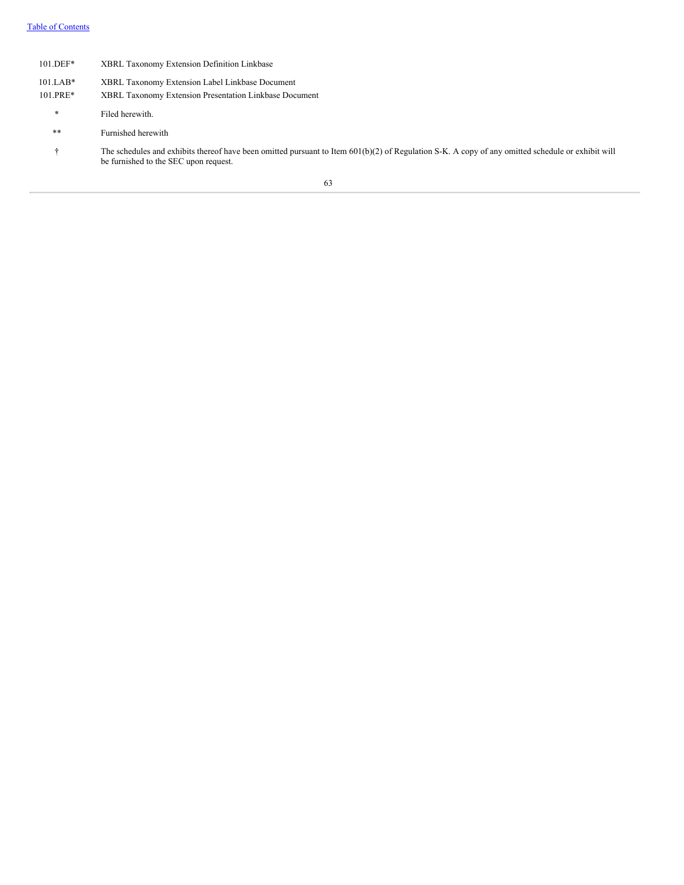| $101.DEF*$               | XBRL Taxonomy Extension Definition Linkbase                                                                                                                                                |
|--------------------------|--------------------------------------------------------------------------------------------------------------------------------------------------------------------------------------------|
| $101.LAB*$<br>$101.PRE*$ | XBRL Taxonomy Extension Label Linkbase Document<br>XBRL Taxonomy Extension Presentation Linkbase Document                                                                                  |
| *                        | Filed herewith.                                                                                                                                                                            |
| **                       | Furnished herewith                                                                                                                                                                         |
|                          | The schedules and exhibits thereof have been omitted pursuant to Item 601(b)(2) of Regulation S-K. A copy of any omitted schedule or exhibit will<br>be furnished to the SEC upon request. |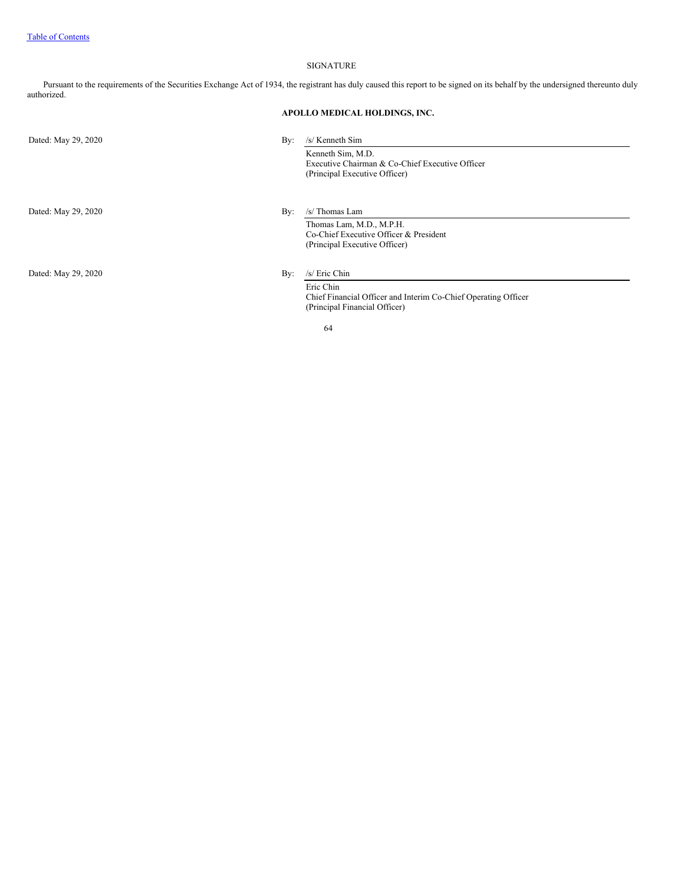### SIGNATURE

Pursuant to the requirements of the Securities Exchange Act of 1934, the registrant has duly caused this report to be signed on its behalf by the undersigned thereunto duly authorized.

### **APOLLO MEDICAL HOLDINGS, INC.**

| Dated: May 29, 2020<br>By: | /s/ Kenneth Sim                                                                                              |
|----------------------------|--------------------------------------------------------------------------------------------------------------|
|                            | Kenneth Sim, M.D.<br>Executive Chairman & Co-Chief Executive Officer<br>(Principal Executive Officer)        |
| Dated: May 29, 2020<br>By: | /s/ Thomas Lam                                                                                               |
|                            | Thomas Lam, M.D., M.P.H.                                                                                     |
|                            | Co-Chief Executive Officer & President<br>(Principal Executive Officer)                                      |
| Dated: May 29, 2020<br>By: | /s/ Eric Chin                                                                                                |
|                            | Eric Chin<br>Chief Financial Officer and Interim Co-Chief Operating Officer<br>(Principal Financial Officer) |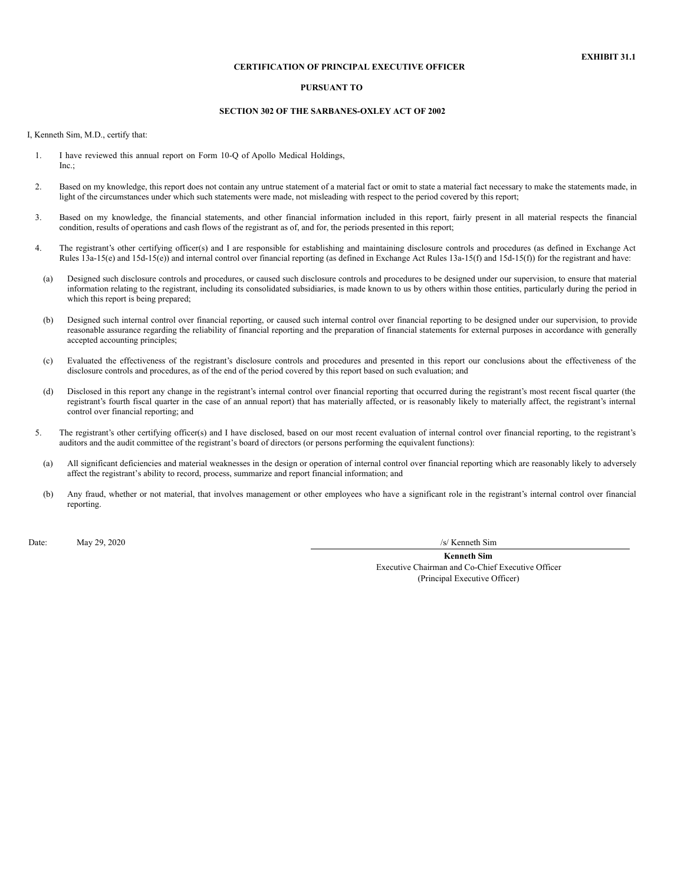#### **CERTIFICATION OF PRINCIPAL EXECUTIVE OFFICER**

#### **PURSUANT TO**

#### **SECTION 302 OF THE SARBANES-OXLEY ACT OF 2002**

<span id="page-64-0"></span>I, Kenneth Sim, M.D., certify that:

- 1. I have reviewed this annual report on Form 10-Q of Apollo Medical Holdings, Inc.;
- 2. Based on my knowledge, this report does not contain any untrue statement of a material fact or omit to state a material fact necessary to make the statements made, in light of the circumstances under which such statements were made, not misleading with respect to the period covered by this report;
- 3. Based on my knowledge, the financial statements, and other financial information included in this report, fairly present in all material respects the financial condition, results of operations and cash flows of the registrant as of, and for, the periods presented in this report;
- 4. The registrant's other certifying officer(s) and I are responsible for establishing and maintaining disclosure controls and procedures (as defined in Exchange Act Rules 13a-15(e) and 15d-15(e)) and internal control over financial reporting (as defined in Exchange Act Rules 13a-15(f) and 15d-15(f)) for the registrant and have:
- (a) Designed such disclosure controls and procedures, or caused such disclosure controls and procedures to be designed under our supervision, to ensure that material information relating to the registrant, including its consolidated subsidiaries, is made known to us by others within those entities, particularly during the period in which this report is being prepared;
- (b) Designed such internal control over financial reporting, or caused such internal control over financial reporting to be designed under our supervision, to provide reasonable assurance regarding the reliability of financial reporting and the preparation of financial statements for external purposes in accordance with generally accepted accounting principles;
- (c) Evaluated the effectiveness of the registrant's disclosure controls and procedures and presented in this report our conclusions about the effectiveness of the disclosure controls and procedures, as of the end of the period covered by this report based on such evaluation; and
- (d) Disclosed in this report any change in the registrant's internal control over financial reporting that occurred during the registrant's most recent fiscal quarter (the registrant's fourth fiscal quarter in the case of an annual report) that has materially affected, or is reasonably likely to materially affect, the registrant's internal control over financial reporting; and
- 5. The registrant's other certifying officer(s) and I have disclosed, based on our most recent evaluation of internal control over financial reporting, to the registrant's auditors and the audit committee of the registrant's board of directors (or persons performing the equivalent functions):
	- (a) All significant deficiencies and material weaknesses in the design or operation of internal control over financial reporting which are reasonably likely to adversely affect the registrant's ability to record, process, summarize and report financial information; and
	- (b) Any fraud, whether or not material, that involves management or other employees who have a significant role in the registrant's internal control over financial reporting.

Date: May 29, 2020 /s/ Kenneth Sim

**Kenneth Sim** Executive Chairman and Co-Chief Executive Officer (Principal Executive Officer)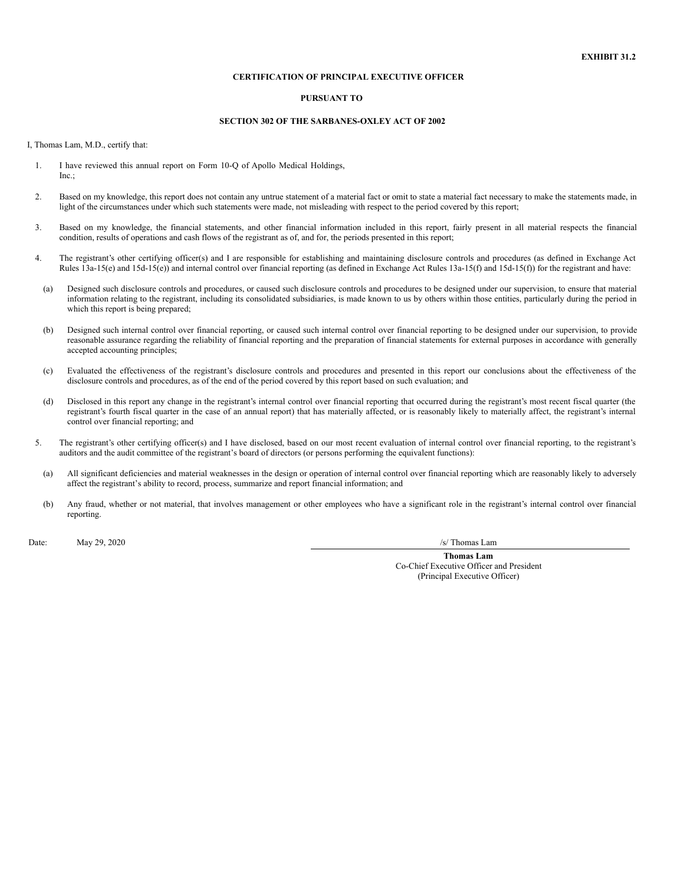#### **CERTIFICATION OF PRINCIPAL EXECUTIVE OFFICER**

#### **PURSUANT TO**

#### **SECTION 302 OF THE SARBANES-OXLEY ACT OF 2002**

<span id="page-65-0"></span>I, Thomas Lam, M.D., certify that:

- 1. I have reviewed this annual report on Form 10-Q of Apollo Medical Holdings,  $Inc$
- 2. Based on my knowledge, this report does not contain any untrue statement of a material fact or omit to state a material fact necessary to make the statements made, in light of the circumstances under which such statements were made, not misleading with respect to the period covered by this report;
- 3. Based on my knowledge, the financial statements, and other financial information included in this report, fairly present in all material respects the financial condition, results of operations and cash flows of the registrant as of, and for, the periods presented in this report;
- 4. The registrant's other certifying officer(s) and I are responsible for establishing and maintaining disclosure controls and procedures (as defined in Exchange Act Rules 13a-15(e) and 15d-15(e)) and internal control over financial reporting (as defined in Exchange Act Rules 13a-15(f) and 15d-15(f)) for the registrant and have:
	- (a) Designed such disclosure controls and procedures, or caused such disclosure controls and procedures to be designed under our supervision, to ensure that material information relating to the registrant, including its consolidated subsidiaries, is made known to us by others within those entities, particularly during the period in which this report is being prepared;
	- (b) Designed such internal control over financial reporting, or caused such internal control over financial reporting to be designed under our supervision, to provide reasonable assurance regarding the reliability of financial reporting and the preparation of financial statements for external purposes in accordance with generally accepted accounting principles;
	- (c) Evaluated the effectiveness of the registrant's disclosure controls and procedures and presented in this report our conclusions about the effectiveness of the disclosure controls and procedures, as of the end of the period covered by this report based on such evaluation; and
	- (d) Disclosed in this report any change in the registrant's internal control over financial reporting that occurred during the registrant's most recent fiscal quarter (the registrant's fourth fiscal quarter in the case of an annual report) that has materially affected, or is reasonably likely to materially affect, the registrant's internal control over financial reporting; and
- 5. The registrant's other certifying officer(s) and I have disclosed, based on our most recent evaluation of internal control over financial reporting, to the registrant's auditors and the audit committee of the registrant's board of directors (or persons performing the equivalent functions):
	- (a) All significant deficiencies and material weaknesses in the design or operation of internal control over financial reporting which are reasonably likely to adversely affect the registrant's ability to record, process, summarize and report financial information; and
- (b) Any fraud, whether or not material, that involves management or other employees who have a significant role in the registrant's internal control over financial reporting.

Date: May 29, 2020 /s/ Thomas Lam

**Thomas Lam** Co-Chief Executive Officer and President (Principal Executive Officer)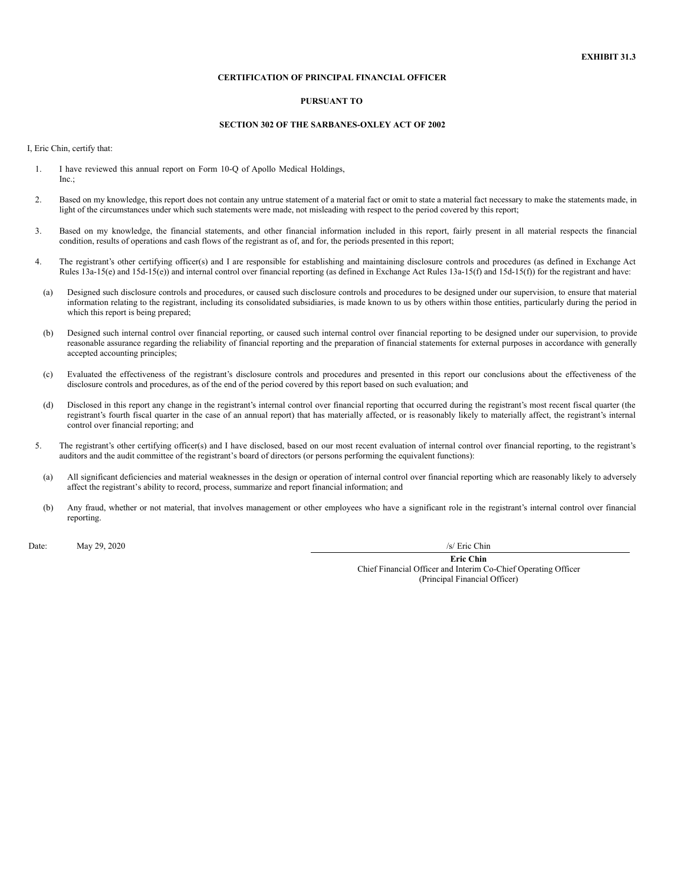#### **CERTIFICATION OF PRINCIPAL FINANCIAL OFFICER**

#### **PURSUANT TO**

#### **SECTION 302 OF THE SARBANES-OXLEY ACT OF 2002**

<span id="page-66-0"></span>I, Eric Chin, certify that:

- 1. I have reviewed this annual report on Form 10-Q of Apollo Medical Holdings, Inc.;
- 2. Based on my knowledge, this report does not contain any untrue statement of a material fact or omit to state a material fact necessary to make the statements made, in light of the circumstances under which such statements were made, not misleading with respect to the period covered by this report;
- 3. Based on my knowledge, the financial statements, and other financial information included in this report, fairly present in all material respects the financial condition, results of operations and cash flows of the registrant as of, and for, the periods presented in this report;
- 4. The registrant's other certifying officer(s) and I are responsible for establishing and maintaining disclosure controls and procedures (as defined in Exchange Act Rules 13a-15(e) and 15d-15(e)) and internal control over financial reporting (as defined in Exchange Act Rules 13a-15(f) and 15d-15(f)) for the registrant and have:
- (a) Designed such disclosure controls and procedures, or caused such disclosure controls and procedures to be designed under our supervision, to ensure that material information relating to the registrant, including its consolidated subsidiaries, is made known to us by others within those entities, particularly during the period in which this report is being prepared;
- (b) Designed such internal control over financial reporting, or caused such internal control over financial reporting to be designed under our supervision, to provide reasonable assurance regarding the reliability of financial reporting and the preparation of financial statements for external purposes in accordance with generally accepted accounting principles;
- (c) Evaluated the effectiveness of the registrant's disclosure controls and procedures and presented in this report our conclusions about the effectiveness of the disclosure controls and procedures, as of the end of the period covered by this report based on such evaluation; and
- (d) Disclosed in this report any change in the registrant's internal control over financial reporting that occurred during the registrant's most recent fiscal quarter (the registrant's fourth fiscal quarter in the case of an annual report) that has materially affected, or is reasonably likely to materially affect, the registrant's internal control over financial reporting; and
- 5. The registrant's other certifying officer(s) and I have disclosed, based on our most recent evaluation of internal control over financial reporting, to the registrant's auditors and the audit committee of the registrant's board of directors (or persons performing the equivalent functions):
- (a) All significant deficiencies and material weaknesses in the design or operation of internal control over financial reporting which are reasonably likely to adversely affect the registrant's ability to record, process, summarize and report financial information; and
- (b) Any fraud, whether or not material, that involves management or other employees who have a significant role in the registrant's internal control over financial reporting.

Date: May 29, 2020 /s/ Eric Chin

**Eric Chin** Chief Financial Officer and Interim Co-Chief Operating Officer (Principal Financial Officer)